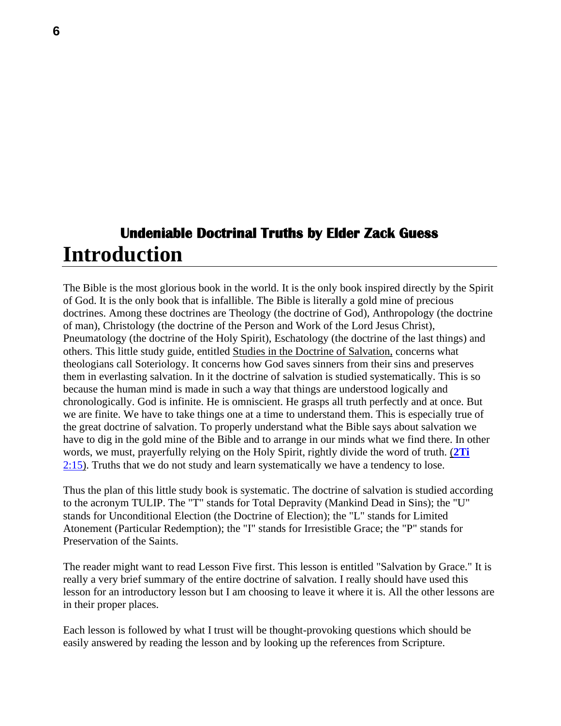# <span id="page-5-1"></span><span id="page-5-0"></span>**Undeniable Doctrinal Truths by Elder Zack Guess Introduction**

The Bible is the most glorious book in the world. It is the only book inspired directly by the Spirit of God. It is the only book that is infallible. The Bible is literally a gold mine of precious doctrines. Among these doctrines are Theology (the doctrine of God), Anthropology (the doctrine of man), Christology (the doctrine of the Person and Work of the Lord Jesus Christ), Pneumatology (the doctrine of the Holy Spirit), Eschatology (the doctrine of the last things) and others. This little study guide, entitled Studies in the Doctrine of Salvation, concerns what theologians call Soteriology. It concerns how God saves sinners from their sins and preserves them in everlasting salvation. In it the doctrine of salvation is studied systematically. This is so because the human mind is made in such a way that things are understood logically and chronologically. God is infinite. He is omniscient. He grasps all truth perfectly and at once. But we are finite. We have to take things one at a time to understand them. This is especially true of the great doctrine of salvation. To properly understand what the Bible says about salvation we have to dig in the gold mine of the Bible and to arrange in our minds what we find there. In other words, we must, prayerfully relying on the Holy Spirit, rightly divide the word of truth. (**2Ti**   $2:15$ ). Truths that we do not study and learn systematically we have a tendency to lose.

Thus the plan of this little study book is systematic. The doctrine of salvation is studied according to the acronym TULIP. The "T" stands for Total Depravity (Mankind Dead in Sins); the "U" stands for Unconditional Election (the Doctrine of Election); the "L" stands for Limited Atonement (Particular Redemption); the "I" stands for Irresistible Grace; the "P" stands for Preservation of the Saints.

The reader might want to read Lesson Five first. This lesson is entitled "Salvation by Grace." It is really a very brief summary of the entire doctrine of salvation. I really should have used this lesson for an introductory lesson but I am choosing to leave it where it is. All the other lessons are in their proper places.

Each lesson is followed by what I trust will be thought-provoking questions which should be easily answered by reading the lesson and by looking up the references from Scripture.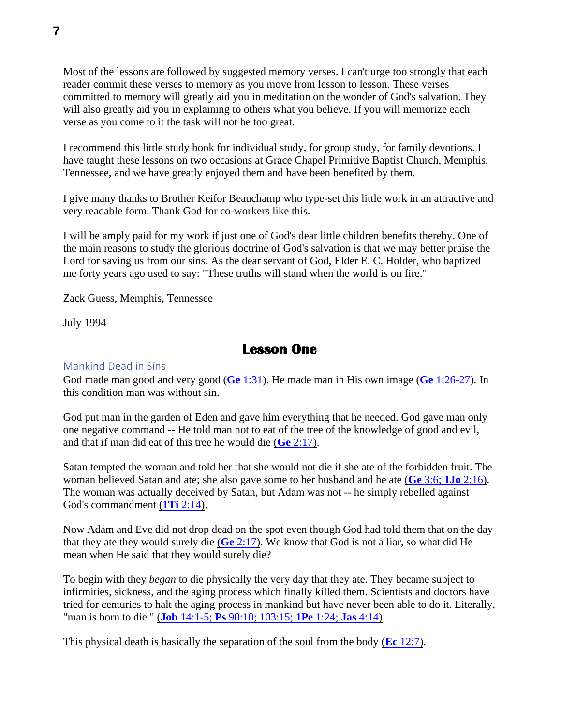Most of the lessons are followed by suggested memory verses. I can't urge too strongly that each reader commit these verses to memory as you move from lesson to lesson. These verses committed to memory will greatly aid you in meditation on the wonder of God's salvation. They will also greatly aid you in explaining to others what you believe. If you will memorize each verse as you come to it the task will not be too great.

I recommend this little study book for individual study, for group study, for family devotions. I have taught these lessons on two occasions at Grace Chapel Primitive Baptist Church, Memphis, Tennessee, and we have greatly enjoyed them and have been benefited by them.

I give many thanks to Brother Keifor Beauchamp who type-set this little work in an attractive and very readable form. Thank God for co-workers like this.

I will be amply paid for my work if just one of God's dear little children benefits thereby. One of the main reasons to study the glorious doctrine of God's salvation is that we may better praise the Lord for saving us from our sins. As the dear servant of God, Elder E. C. Holder, who baptized me forty years ago used to say: "These truths will stand when the world is on fire."

Zack Guess, Memphis, Tennessee

July 1994

## **Lesson One**

#### <span id="page-6-1"></span><span id="page-6-0"></span>Mankind Dead in Sins

God made man good and very good (**Ge** 1:31). He made man in His own image (**Ge** 1:26-27). In this condition man was without sin.

God put man in the garden of Eden and gave him everything that he needed. God gave man only one negative command -- He told man not to eat of the tree of the knowledge of good and evil, and that if man did eat of this tree he would die (**Ge** 2:17).

Satan tempted the woman and told her that she would not die if she ate of the forbidden fruit. The woman believed Satan and ate; she also gave some to her husband and he ate (**Ge** 3:6; **1Jo** 2:16). The woman was actually deceived by Satan, but Adam was not -- he simply rebelled against God's commandment (**1Ti** 2:14).

Now Adam and Eve did not drop dead on the spot even though God had told them that on the day that they ate they would surely die (**Ge** 2:17). We know that God is not a liar, so what did He mean when He said that they would surely die?

To begin with they *began* to die physically the very day that they ate. They became subject to infirmities, sickness, and the aging process which finally killed them. Scientists and doctors have tried for centuries to halt the aging process in mankind but have never been able to do it. Literally, "man is born to die." (**Job** 14:1-5; **Ps** 90:10; 103:15; **1Pe** 1:24; **Jas** 4:14).

This physical death is basically the separation of the soul from the body (**Ec** 12:7).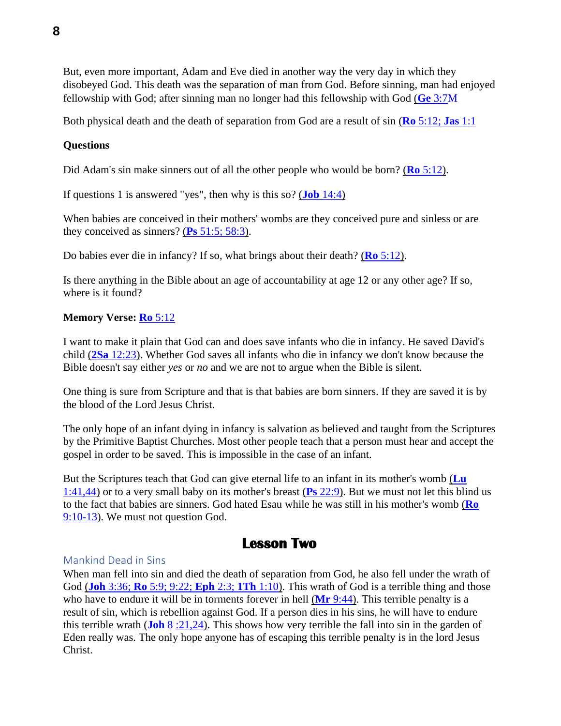But, even more important, Adam and Eve died in another way the very day in which they disobeyed God. This death was the separation of man from God. Before sinning, man had enjoyed fellowship with God; after sinning man no longer had this fellowship with God (**Ge** 3:7M

Both physical death and the death of separation from God are a result of sin (**Ro** 5:12; **Jas** 1:1

### <span id="page-7-0"></span>**Questions**

Did Adam's sin make sinners out of all the other people who would be born? (**Ro** 5:12).

If questions 1 is answered "yes", then why is this so? (**Job** 14:4)

When babies are conceived in their mothers' wombs are they conceived pure and sinless or are they conceived as sinners? (**Ps** 51:5; 58:3).

Do babies ever die in infancy? If so, what brings about their death? (**Ro** 5:12).

Is there anything in the Bible about an age of accountability at age 12 or any other age? If so, where is it found?

## <span id="page-7-1"></span>**Memory Verse: Ro** 5:12

I want to make it plain that God can and does save infants who die in infancy. He saved David's child (**2Sa** 12:23). Whether God saves all infants who die in infancy we don't know because the Bible doesn't say either *yes* or *no* and we are not to argue when the Bible is silent.

One thing is sure from Scripture and that is that babies are born sinners. If they are saved it is by the blood of the Lord Jesus Christ.

The only hope of an infant dying in infancy is salvation as believed and taught from the Scriptures by the Primitive Baptist Churches. Most other people teach that a person must hear and accept the gospel in order to be saved. This is impossible in the case of an infant.

But the Scriptures teach that God can give eternal life to an infant in its mother's womb (**Lu**  1:41,44) or to a very small baby on its mother's breast (**Ps** 22:9). But we must not let this blind us to the fact that babies are sinners. God hated Esau while he was still in his mother's womb (**Ro**  9:10-13). We must not question God.

## **Lesson Two**

## <span id="page-7-3"></span><span id="page-7-2"></span>Mankind Dead in Sins

When man fell into sin and died the death of separation from God, he also fell under the wrath of God (**Joh** 3:36; **Ro** 5:9; 9:22; **Eph** 2:3; **1Th** 1:10). This wrath of God is a terrible thing and those who have to endure it will be in torments forever in hell (**Mr** 9:44). This terrible penalty is a result of sin, which is rebellion against God. If a person dies in his sins, he will have to endure this terrible wrath (**Joh** 8 :21,24). This shows how very terrible the fall into sin in the garden of Eden really was. The only hope anyone has of escaping this terrible penalty is in the lord Jesus Christ.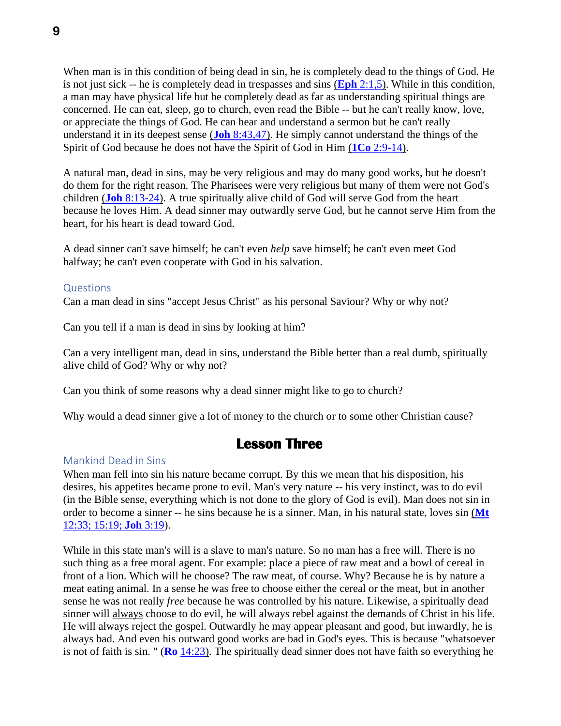When man is in this condition of being dead in sin, he is completely dead to the things of God. He is not just sick -- he is completely dead in trespasses and sins (**Eph** 2:1,5). While in this condition, a man may have physical life but be completely dead as far as understanding spiritual things are concerned. He can eat, sleep, go to church, even read the Bible -- but he can't really know, love, or appreciate the things of God. He can hear and understand a sermon but he can't really understand it in its deepest sense (**Joh** 8:43,47). He simply cannot understand the things of the Spirit of God because he does not have the Spirit of God in Him (**1Co** 2:9-14).

A natural man, dead in sins, may be very religious and may do many good works, but he doesn't do them for the right reason. The Pharisees were very religious but many of them were not God's children (**Joh** 8:13-24). A true spiritually alive child of God will serve God from the heart because he loves Him. A dead sinner may outwardly serve God, but he cannot serve Him from the heart, for his heart is dead toward God.

A dead sinner can't save himself; he can't even *help* save himself; he can't even meet God halfway; he can't even cooperate with God in his salvation.

#### <span id="page-8-0"></span>Questions

Can a man dead in sins "accept Jesus Christ" as his personal Saviour? Why or why not?

Can you tell if a man is dead in sins by looking at him?

Can a very intelligent man, dead in sins, understand the Bible better than a real dumb, spiritually alive child of God? Why or why not?

Can you think of some reasons why a dead sinner might like to go to church?

Why would a dead sinner give a lot of money to the church or to some other Christian cause?

## **Lesson Three**

#### <span id="page-8-2"></span><span id="page-8-1"></span>Mankind Dead in Sins

When man fell into sin his nature became corrupt. By this we mean that his disposition, his desires, his appetites became prone to evil. Man's very nature -- his very instinct, was to do evil (in the Bible sense, everything which is not done to the glory of God is evil). Man does not sin in order to become a sinner -- he sins because he is a sinner. Man, in his natural state, loves sin (**Mt**  12:33; 15:19; **Joh** 3:19).

While in this state man's will is a slave to man's nature. So no man has a free will. There is no such thing as a free moral agent. For example: place a piece of raw meat and a bowl of cereal in front of a lion. Which will he choose? The raw meat, of course. Why? Because he is by nature a meat eating animal. In a sense he was free to choose either the cereal or the meat, but in another sense he was not really *free* because he was controlled by his nature. Likewise, a spiritually dead sinner will always choose to do evil, he will always rebel against the demands of Christ in his life. He will always reject the gospel. Outwardly he may appear pleasant and good, but inwardly, he is always bad. And even his outward good works are bad in God's eyes. This is because "whatsoever is not of faith is sin. " (**Ro** 14:23). The spiritually dead sinner does not have faith so everything he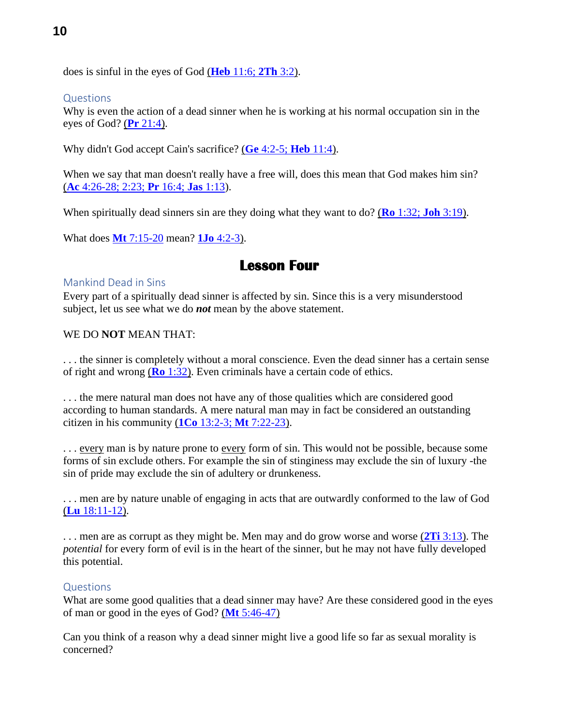does is sinful in the eyes of God (**Heb** 11:6; **2Th** 3:2).

### <span id="page-9-0"></span>**Questions**

Why is even the action of a dead sinner when he is working at his normal occupation sin in the eyes of God? (**Pr** 21:4).

Why didn't God accept Cain's sacrifice? (**Ge** 4:2-5; **Heb** 11:4).

When we say that man doesn't really have a free will, does this mean that God makes him sin? (**Ac** 4:26-28; 2:23; **Pr** 16:4; **Jas** 1:13).

When spiritually dead sinners sin are they doing what they want to do? (**Ro** 1:32; **Joh** 3:19).

What does **Mt** 7:15-20 mean? **1Jo** 4:2-3).

## **Lesson Four**

### <span id="page-9-2"></span><span id="page-9-1"></span>Mankind Dead in Sins

Every part of a spiritually dead sinner is affected by sin. Since this is a very misunderstood subject, let us see what we do *not* mean by the above statement.

### WE DO **NOT** MEAN THAT:

. . . the sinner is completely without a moral conscience. Even the dead sinner has a certain sense of right and wrong (**Ro** 1:32). Even criminals have a certain code of ethics.

. . . the mere natural man does not have any of those qualities which are considered good according to human standards. A mere natural man may in fact be considered an outstanding citizen in his community (**1Co** 13:2-3; **Mt** 7:22-23).

... every man is by nature prone to every form of sin. This would not be possible, because some forms of sin exclude others. For example the sin of stinginess may exclude the sin of luxury -the sin of pride may exclude the sin of adultery or drunkeness.

. . . men are by nature unable of engaging in acts that are outwardly conformed to the law of God (**Lu** 18:11-12).

. . . men are as corrupt as they might be. Men may and do grow worse and worse (**2Ti** 3:13). The *potential* for every form of evil is in the heart of the sinner, but he may not have fully developed this potential.

#### <span id="page-9-3"></span>**Questions**

What are some good qualities that a dead sinner may have? Are these considered good in the eyes of man or good in the eyes of God? (**Mt** 5:46-47)

Can you think of a reason why a dead sinner might live a good life so far as sexual morality is concerned?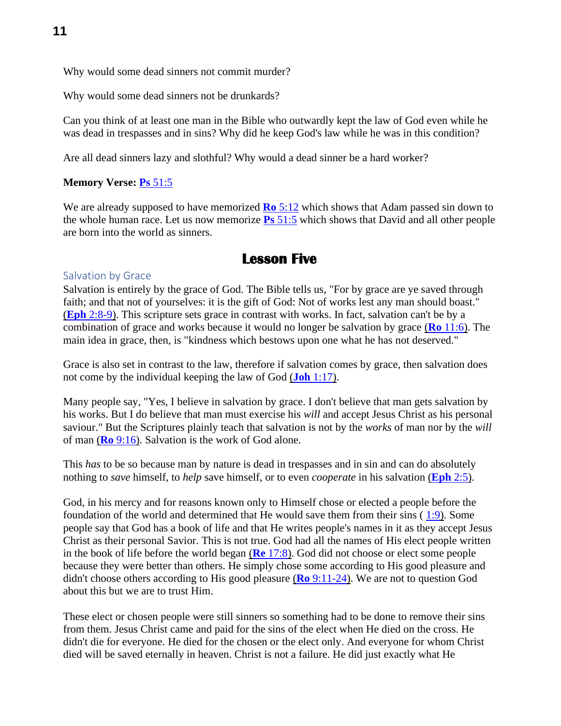Why would some dead sinners not commit murder?

Why would some dead sinners not be drunkards?

Can you think of at least one man in the Bible who outwardly kept the law of God even while he was dead in trespasses and in sins? Why did he keep God's law while he was in this condition?

Are all dead sinners lazy and slothful? Why would a dead sinner be a hard worker?

#### <span id="page-10-0"></span>**Memory Verse: Ps** 51:5

We are already supposed to have memorized **Ro** 5:12 which shows that Adam passed sin down to the whole human race. Let us now memorize **Ps** 51:5 which shows that David and all other people are born into the world as sinners.

## **Lesson Five**

#### <span id="page-10-2"></span><span id="page-10-1"></span>Salvation by Grace

Salvation is entirely by the grace of God. The Bible tells us, "For by grace are ye saved through faith; and that not of yourselves: it is the gift of God: Not of works lest any man should boast." (**Eph** 2:8-9). This scripture sets grace in contrast with works. In fact, salvation can't be by a combination of grace and works because it would no longer be salvation by grace (**Ro** 11:6). The main idea in grace, then, is "kindness which bestows upon one what he has not deserved."

Grace is also set in contrast to the law, therefore if salvation comes by grace, then salvation does not come by the individual keeping the law of God (**Joh** 1:17).

Many people say, "Yes, I believe in salvation by grace. I don't believe that man gets salvation by his works. But I do believe that man must exercise his *will* and accept Jesus Christ as his personal saviour." But the Scriptures plainly teach that salvation is not by the *works* of man nor by the *will* of man (**Ro** 9:16). Salvation is the work of God alone.

This *has* to be so because man by nature is dead in trespasses and in sin and can do absolutely nothing to *save* himself, to *help* save himself, or to even *cooperate* in his salvation (**Eph** 2:5).

God, in his mercy and for reasons known only to Himself chose or elected a people before the foundation of the world and determined that He would save them from their sins ( 1:9). Some people say that God has a book of life and that He writes people's names in it as they accept Jesus Christ as their personal Savior. This is not true. God had all the names of His elect people written in the book of life before the world began (**Re** 17:8). God did not choose or elect some people because they were better than others. He simply chose some according to His good pleasure and didn't choose others according to His good pleasure (**Ro** 9:11-24). We are not to question God about this but we are to trust Him.

These elect or chosen people were still sinners so something had to be done to remove their sins from them. Jesus Christ came and paid for the sins of the elect when He died on the cross. He didn't die for everyone. He died for the chosen or the elect only. And everyone for whom Christ died will be saved eternally in heaven. Christ is not a failure. He did just exactly what He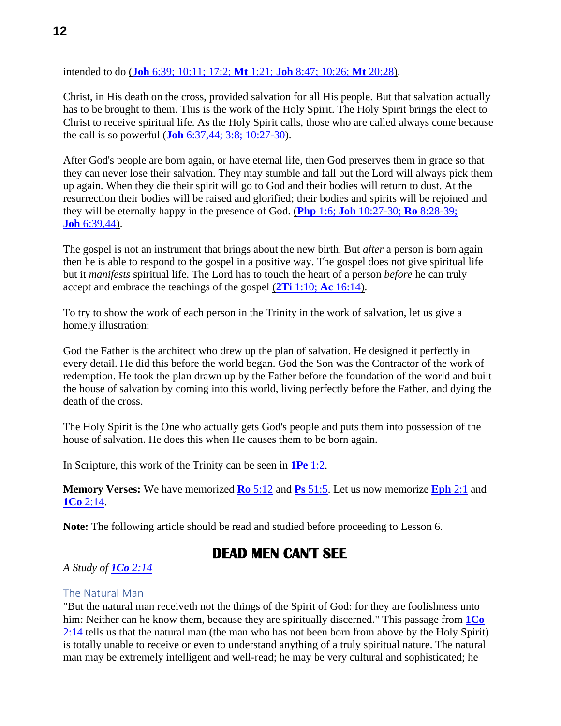intended to do (**Joh** 6:39; 10:11; 17:2; **Mt** 1:21; **Joh** 8:47; 10:26; **Mt** 20:28).

Christ, in His death on the cross, provided salvation for all His people. But that salvation actually has to be brought to them. This is the work of the Holy Spirit. The Holy Spirit brings the elect to Christ to receive spiritual life. As the Holy Spirit calls, those who are called always come because the call is so powerful (**Joh** 6:37,44; 3:8; 10:27-30).

After God's people are born again, or have eternal life, then God preserves them in grace so that they can never lose their salvation. They may stumble and fall but the Lord will always pick them up again. When they die their spirit will go to God and their bodies will return to dust. At the resurrection their bodies will be raised and glorified; their bodies and spirits will be rejoined and they will be eternally happy in the presence of God. (**Php** 1:6; **Joh** 10:27-30; **Ro** 8:28-39; **Joh** 6:39,44).

The gospel is not an instrument that brings about the new birth. But *after* a person is born again then he is able to respond to the gospel in a positive way. The gospel does not give spiritual life but it *manifests* spiritual life. The Lord has to touch the heart of a person *before* he can truly accept and embrace the teachings of the gospel (**2Ti** 1:10; **Ac** 16:14).

To try to show the work of each person in the Trinity in the work of salvation, let us give a homely illustration:

God the Father is the architect who drew up the plan of salvation. He designed it perfectly in every detail. He did this before the world began. God the Son was the Contractor of the work of redemption. He took the plan drawn up by the Father before the foundation of the world and built the house of salvation by coming into this world, living perfectly before the Father, and dying the death of the cross.

The Holy Spirit is the One who actually gets God's people and puts them into possession of the house of salvation. He does this when He causes them to be born again.

In Scripture, this work of the Trinity can be seen in **1Pe** 1:2.

**Memory Verses:** We have memorized **Ro** 5:12 and **Ps** 51:5. Let us now memorize **Eph** 2:1 and **1Co** 2:14.

**Note:** The following article should be read and studied before proceeding to Lesson 6.

## **DEAD MEN CAN'T SEE**

#### <span id="page-11-0"></span>*A Study of 1Co 2:14*

#### <span id="page-11-1"></span>The Natural Man

"But the natural man receiveth not the things of the Spirit of God: for they are foolishness unto him: Neither can he know them, because they are spiritually discerned." This passage from **1Co**   $2:14$  tells us that the natural man (the man who has not been born from above by the Holy Spirit) is totally unable to receive or even to understand anything of a truly spiritual nature. The natural man may be extremely intelligent and well-read; he may be very cultural and sophisticated; he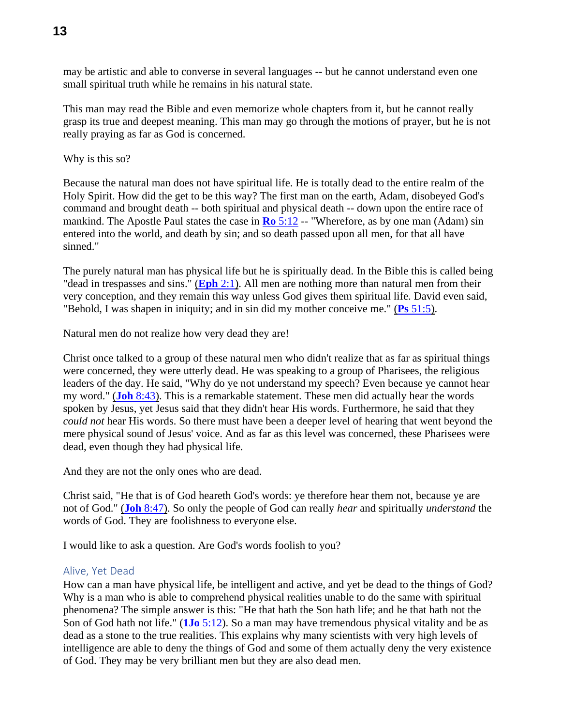may be artistic and able to converse in several languages -- but he cannot understand even one small spiritual truth while he remains in his natural state.

This man may read the Bible and even memorize whole chapters from it, but he cannot really grasp its true and deepest meaning. This man may go through the motions of prayer, but he is not really praying as far as God is concerned.

Why is this so?

Because the natural man does not have spiritual life. He is totally dead to the entire realm of the Holy Spirit. How did the get to be this way? The first man on the earth, Adam, disobeyed God's command and brought death -- both spiritual and physical death -- down upon the entire race of mankind. The Apostle Paul states the case in **Ro**  $\frac{5:12}{2}$  -- "Wherefore, as by one man (Adam) sin entered into the world, and death by sin; and so death passed upon all men, for that all have sinned."

The purely natural man has physical life but he is spiritually dead. In the Bible this is called being "dead in trespasses and sins." (**Eph** 2:1). All men are nothing more than natural men from their very conception, and they remain this way unless God gives them spiritual life. David even said, "Behold, I was shapen in iniquity; and in sin did my mother conceive me." (**Ps** 51:5).

Natural men do not realize how very dead they are!

Christ once talked to a group of these natural men who didn't realize that as far as spiritual things were concerned, they were utterly dead. He was speaking to a group of Pharisees, the religious leaders of the day. He said, "Why do ye not understand my speech? Even because ye cannot hear my word." (**Joh** 8:43). This is a remarkable statement. These men did actually hear the words spoken by Jesus, yet Jesus said that they didn't hear His words. Furthermore, he said that they *could not* hear His words. So there must have been a deeper level of hearing that went beyond the mere physical sound of Jesus' voice. And as far as this level was concerned, these Pharisees were dead, even though they had physical life.

And they are not the only ones who are dead.

Christ said, "He that is of God heareth God's words: ye therefore hear them not, because ye are not of God." (**Joh** 8:47). So only the people of God can really *hear* and spiritually *understand* the words of God. They are foolishness to everyone else.

I would like to ask a question. Are God's words foolish to you?

## <span id="page-12-0"></span>Alive, Yet Dead

How can a man have physical life, be intelligent and active, and yet be dead to the things of God? Why is a man who is able to comprehend physical realities unable to do the same with spiritual phenomena? The simple answer is this: "He that hath the Son hath life; and he that hath not the Son of God hath not life." (**1Jo** 5:12). So a man may have tremendous physical vitality and be as dead as a stone to the true realities. This explains why many scientists with very high levels of intelligence are able to deny the things of God and some of them actually deny the very existence of God. They may be very brilliant men but they are also dead men.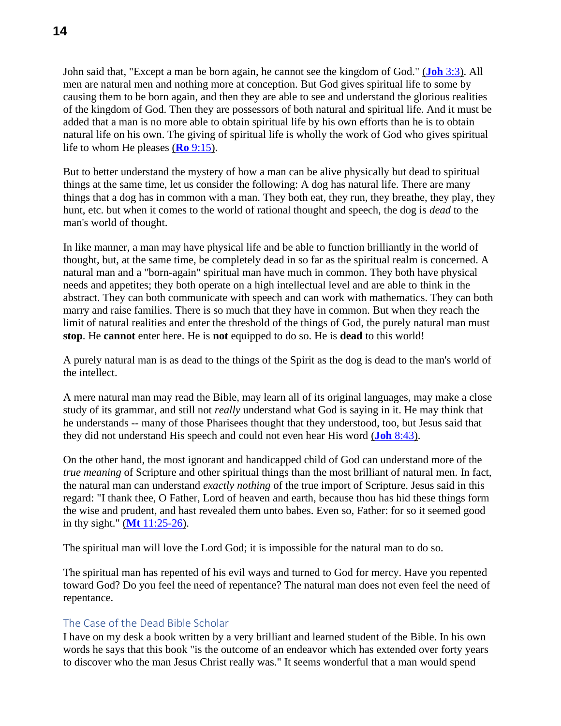John said that, "Except a man be born again, he cannot see the kingdom of God." (**Joh** 3:3). All men are natural men and nothing more at conception. But God gives spiritual life to some by causing them to be born again, and then they are able to see and understand the glorious realities of the kingdom of God. Then they are possessors of both natural and spiritual life. And it must be added that a man is no more able to obtain spiritual life by his own efforts than he is to obtain natural life on his own. The giving of spiritual life is wholly the work of God who gives spiritual life to whom He pleases (**Ro** 9:15).

But to better understand the mystery of how a man can be alive physically but dead to spiritual things at the same time, let us consider the following: A dog has natural life. There are many things that a dog has in common with a man. They both eat, they run, they breathe, they play, they hunt, etc. but when it comes to the world of rational thought and speech, the dog is *dead* to the man's world of thought.

In like manner, a man may have physical life and be able to function brilliantly in the world of thought, but, at the same time, be completely dead in so far as the spiritual realm is concerned. A natural man and a "born-again" spiritual man have much in common. They both have physical needs and appetites; they both operate on a high intellectual level and are able to think in the abstract. They can both communicate with speech and can work with mathematics. They can both marry and raise families. There is so much that they have in common. But when they reach the limit of natural realities and enter the threshold of the things of God, the purely natural man must **stop**. He **cannot** enter here. He is **not** equipped to do so. He is **dead** to this world!

A purely natural man is as dead to the things of the Spirit as the dog is dead to the man's world of the intellect.

A mere natural man may read the Bible, may learn all of its original languages, may make a close study of its grammar, and still not *really* understand what God is saying in it. He may think that he understands -- many of those Pharisees thought that they understood, too, but Jesus said that they did not understand His speech and could not even hear His word (**Joh** 8:43).

On the other hand, the most ignorant and handicapped child of God can understand more of the *true meaning* of Scripture and other spiritual things than the most brilliant of natural men. In fact, the natural man can understand *exactly nothing* of the true import of Scripture. Jesus said in this regard: "I thank thee, O Father, Lord of heaven and earth, because thou has hid these things form the wise and prudent, and hast revealed them unto babes. Even so, Father: for so it seemed good in thy sight." (**Mt** 11:25-26).

The spiritual man will love the Lord God; it is impossible for the natural man to do so.

The spiritual man has repented of his evil ways and turned to God for mercy. Have you repented toward God? Do you feel the need of repentance? The natural man does not even feel the need of repentance.

## <span id="page-13-0"></span>The Case of the Dead Bible Scholar

I have on my desk a book written by a very brilliant and learned student of the Bible. In his own words he says that this book "is the outcome of an endeavor which has extended over forty years to discover who the man Jesus Christ really was." It seems wonderful that a man would spend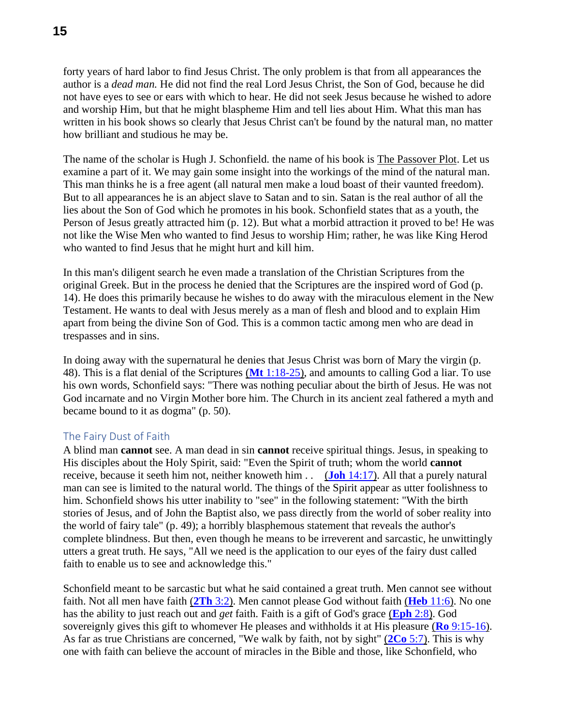forty years of hard labor to find Jesus Christ. The only problem is that from all appearances the author is a *dead man.* He did not find the real Lord Jesus Christ, the Son of God, because he did not have eyes to see or ears with which to hear. He did not seek Jesus because he wished to adore and worship Him, but that he might blaspheme Him and tell lies about Him. What this man has written in his book shows so clearly that Jesus Christ can't be found by the natural man, no matter how brilliant and studious he may be.

The name of the scholar is Hugh J. Schonfield. the name of his book is The Passover Plot. Let us examine a part of it. We may gain some insight into the workings of the mind of the natural man. This man thinks he is a free agent (all natural men make a loud boast of their vaunted freedom). But to all appearances he is an abject slave to Satan and to sin. Satan is the real author of all the lies about the Son of God which he promotes in his book. Schonfield states that as a youth, the Person of Jesus greatly attracted him (p. 12). But what a morbid attraction it proved to be! He was not like the Wise Men who wanted to find Jesus to worship Him; rather, he was like King Herod who wanted to find Jesus that he might hurt and kill him.

In this man's diligent search he even made a translation of the Christian Scriptures from the original Greek. But in the process he denied that the Scriptures are the inspired word of God (p. 14). He does this primarily because he wishes to do away with the miraculous element in the New Testament. He wants to deal with Jesus merely as a man of flesh and blood and to explain Him apart from being the divine Son of God. This is a common tactic among men who are dead in trespasses and in sins.

In doing away with the supernatural he denies that Jesus Christ was born of Mary the virgin (p. 48). This is a flat denial of the Scriptures (**Mt** 1:18-25), and amounts to calling God a liar. To use his own words, Schonfield says: "There was nothing peculiar about the birth of Jesus. He was not God incarnate and no Virgin Mother bore him. The Church in its ancient zeal fathered a myth and became bound to it as dogma" (p. 50).

#### <span id="page-14-0"></span>The Fairy Dust of Faith

A blind man **cannot** see. A man dead in sin **cannot** receive spiritual things. Jesus, in speaking to His disciples about the Holy Spirit, said: "Even the Spirit of truth; whom the world **cannot**  receive, because it seeth him not, neither knoweth him . . (**Joh** 14:17). All that a purely natural man can see is limited to the natural world. The things of the Spirit appear as utter foolishness to him. Schonfield shows his utter inability to "see" in the following statement: "With the birth stories of Jesus, and of John the Baptist also, we pass directly from the world of sober reality into the world of fairy tale" (p. 49); a horribly blasphemous statement that reveals the author's complete blindness. But then, even though he means to be irreverent and sarcastic, he unwittingly utters a great truth. He says, "All we need is the application to our eyes of the fairy dust called faith to enable us to see and acknowledge this."

Schonfield meant to be sarcastic but what he said contained a great truth. Men cannot see without faith. Not all men have faith (**2Th** 3:2). Men cannot please God without faith (**Heb** 11:6). No one has the ability to just reach out and *get* faith. Faith is a gift of God's grace (**Eph** 2:8). God sovereignly gives this gift to whomever He pleases and withholds it at His pleasure (**Ro** 9:15-16). As far as true Christians are concerned, "We walk by faith, not by sight" (**2Co** 5:7). This is why one with faith can believe the account of miracles in the Bible and those, like Schonfield, who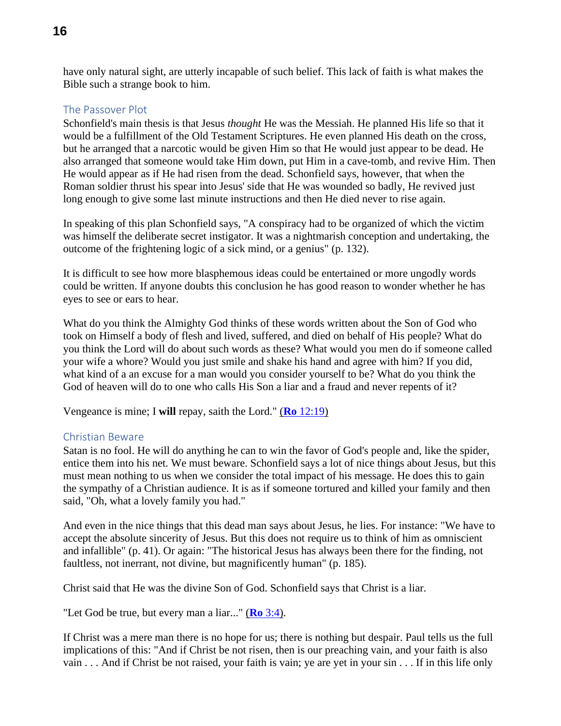have only natural sight, are utterly incapable of such belief. This lack of faith is what makes the Bible such a strange book to him.

#### <span id="page-15-0"></span>The Passover Plot

Schonfield's main thesis is that Jesus *thought* He was the Messiah. He planned His life so that it would be a fulfillment of the Old Testament Scriptures. He even planned His death on the cross, but he arranged that a narcotic would be given Him so that He would just appear to be dead. He also arranged that someone would take Him down, put Him in a cave-tomb, and revive Him. Then He would appear as if He had risen from the dead. Schonfield says, however, that when the Roman soldier thrust his spear into Jesus' side that He was wounded so badly, He revived just long enough to give some last minute instructions and then He died never to rise again.

In speaking of this plan Schonfield says, "A conspiracy had to be organized of which the victim was himself the deliberate secret instigator. It was a nightmarish conception and undertaking, the outcome of the frightening logic of a sick mind, or a genius" (p. 132).

It is difficult to see how more blasphemous ideas could be entertained or more ungodly words could be written. If anyone doubts this conclusion he has good reason to wonder whether he has eyes to see or ears to hear.

What do you think the Almighty God thinks of these words written about the Son of God who took on Himself a body of flesh and lived, suffered, and died on behalf of His people? What do you think the Lord will do about such words as these? What would you men do if someone called your wife a whore? Would you just smile and shake his hand and agree with him? If you did, what kind of a an excuse for a man would you consider yourself to be? What do you think the God of heaven will do to one who calls His Son a liar and a fraud and never repents of it?

Vengeance is mine; I **will** repay, saith the Lord." (**Ro** 12:19)

#### <span id="page-15-1"></span>Christian Beware

Satan is no fool. He will do anything he can to win the favor of God's people and, like the spider, entice them into his net. We must beware. Schonfield says a lot of nice things about Jesus, but this must mean nothing to us when we consider the total impact of his message. He does this to gain the sympathy of a Christian audience. It is as if someone tortured and killed your family and then said, "Oh, what a lovely family you had."

And even in the nice things that this dead man says about Jesus, he lies. For instance: "We have to accept the absolute sincerity of Jesus. But this does not require us to think of him as omniscient and infallible" (p. 41). Or again: "The historical Jesus has always been there for the finding, not faultless, not inerrant, not divine, but magnificently human" (p. 185).

Christ said that He was the divine Son of God. Schonfield says that Christ is a liar.

"Let God be true, but every man a liar..." (**Ro** 3:4).

If Christ was a mere man there is no hope for us; there is nothing but despair. Paul tells us the full implications of this: "And if Christ be not risen, then is our preaching vain, and your faith is also vain . . . And if Christ be not raised, your faith is vain; ye are yet in your sin . . . If in this life only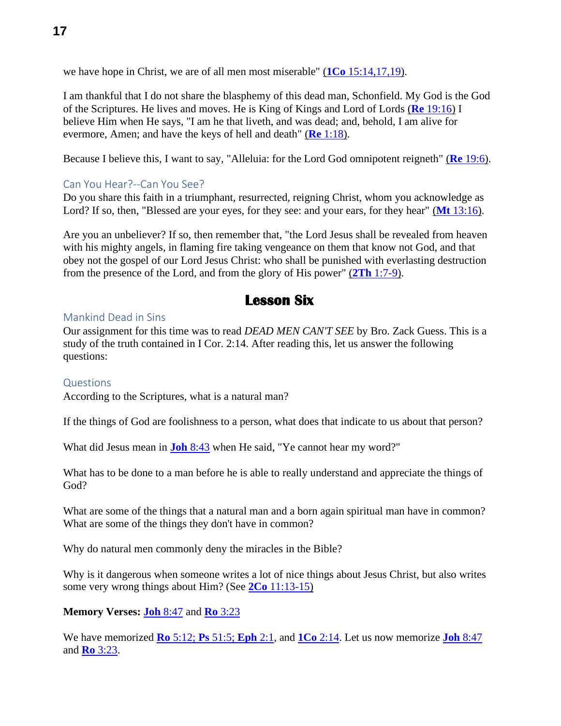we have hope in Christ, we are of all men most miserable" (**1Co** 15:14,17,19).

I am thankful that I do not share the blasphemy of this dead man, Schonfield. My God is the God of the Scriptures. He lives and moves. He is King of Kings and Lord of Lords (**Re** 19:16) I believe Him when He says, "I am he that liveth, and was dead; and, behold, I am alive for evermore, Amen; and have the keys of hell and death" (**Re** 1:18).

Because I believe this, I want to say, "Alleluia: for the Lord God omnipotent reigneth" (**Re** 19:6).

#### <span id="page-16-0"></span>Can You Hear?--Can You See?

Do you share this faith in a triumphant, resurrected, reigning Christ, whom you acknowledge as Lord? If so, then, "Blessed are your eyes, for they see: and your ears, for they hear" (**Mt** 13:16).

Are you an unbeliever? If so, then remember that, "the Lord Jesus shall be revealed from heaven with his mighty angels, in flaming fire taking vengeance on them that know not God, and that obey not the gospel of our Lord Jesus Christ: who shall be punished with everlasting destruction from the presence of the Lord, and from the glory of His power" (**2Th** 1:7-9).

## **Lesson Six**

#### <span id="page-16-2"></span><span id="page-16-1"></span>Mankind Dead in Sins

Our assignment for this time was to read *DEAD MEN CAN'T SEE* by Bro. Zack Guess. This is a study of the truth contained in I Cor. 2:14. After reading this, let us answer the following questions:

#### <span id="page-16-3"></span>Questions

According to the Scriptures, what is a natural man?

If the things of God are foolishness to a person, what does that indicate to us about that person?

What did Jesus mean in **Joh** 8:43 when He said, "Ye cannot hear my word?"

What has to be done to a man before he is able to really understand and appreciate the things of God?

What are some of the things that a natural man and a born again spiritual man have in common? What are some of the things they don't have in common?

Why do natural men commonly deny the miracles in the Bible?

Why is it dangerous when someone writes a lot of nice things about Jesus Christ, but also writes some very wrong things about Him? (See **2Co** 11:13-15)

## **Memory Verses: Joh** 8:47 and **Ro** 3:23

We have memorized **Ro** 5:12; **Ps** 51:5; **Eph** 2:1, and **1Co** 2:14. Let us now memorize **Joh** 8:47 and **Ro** 3:23.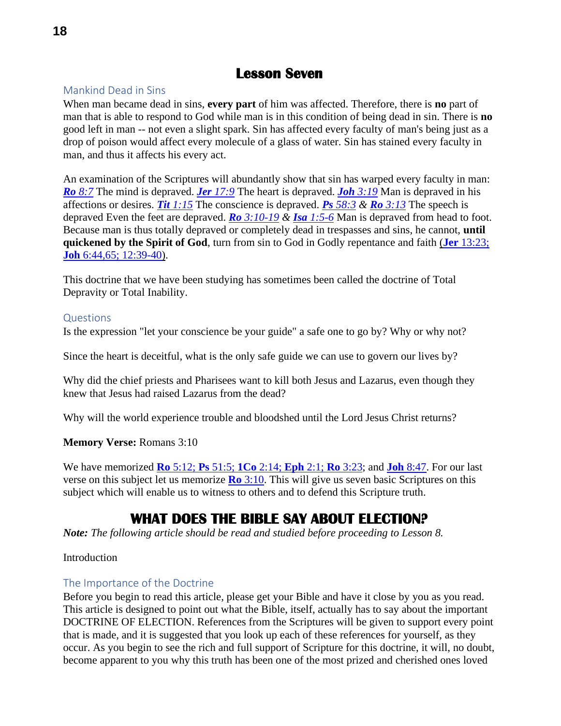## **Lesson Seven**

## <span id="page-17-1"></span><span id="page-17-0"></span>Mankind Dead in Sins

When man became dead in sins, **every part** of him was affected. Therefore, there is **no** part of man that is able to respond to God while man is in this condition of being dead in sin. There is **no**  good left in man -- not even a slight spark. Sin has affected every faculty of man's being just as a drop of poison would affect every molecule of a glass of water. Sin has stained every faculty in man, and thus it affects his every act.

An examination of the Scriptures will abundantly show that sin has warped every faculty in man: *Ro 8:7* The mind is depraved. *Jer 17:9* The heart is depraved. *Joh 3:19* Man is depraved in his affections or desires. *Tit 1:15* The conscience is depraved. *Ps 58:3 & Ro 3:13* The speech is depraved Even the feet are depraved. *Ro 3:10-19 & Isa 1:5-6* Man is depraved from head to foot. Because man is thus totally depraved or completely dead in trespasses and sins, he cannot, **until quickened by the Spirit of God**, turn from sin to God in Godly repentance and faith (**Jer** 13:23; **Joh** 6:44,65; 12:39-40).

This doctrine that we have been studying has sometimes been called the doctrine of Total Depravity or Total Inability.

#### <span id="page-17-2"></span>Questions

Is the expression "let your conscience be your guide" a safe one to go by? Why or why not?

Since the heart is deceitful, what is the only safe guide we can use to govern our lives by?

Why did the chief priests and Pharisees want to kill both Jesus and Lazarus, even though they knew that Jesus had raised Lazarus from the dead?

Why will the world experience trouble and bloodshed until the Lord Jesus Christ returns?

**Memory Verse:** Romans 3:10

We have memorized **Ro** 5:12; **Ps** 51:5; **1Co** 2:14; **Eph** 2:1; **Ro** 3:23; and **Joh** 8:47. For our last verse on this subject let us memorize **Ro** 3:10. This will give us seven basic Scriptures on this subject which will enable us to witness to others and to defend this Scripture truth.

## **WHAT DOES THE BIBLE SAY ABOUT ELECTION?**

<span id="page-17-3"></span>*Note: The following article should be read and studied before proceeding to Lesson 8.*

**Introduction** 

#### <span id="page-17-4"></span>The Importance of the Doctrine

Before you begin to read this article, please get your Bible and have it close by you as you read. This article is designed to point out what the Bible, itself, actually has to say about the important DOCTRINE OF ELECTION. References from the Scriptures will be given to support every point that is made, and it is suggested that you look up each of these references for yourself, as they occur. As you begin to see the rich and full support of Scripture for this doctrine, it will, no doubt, become apparent to you why this truth has been one of the most prized and cherished ones loved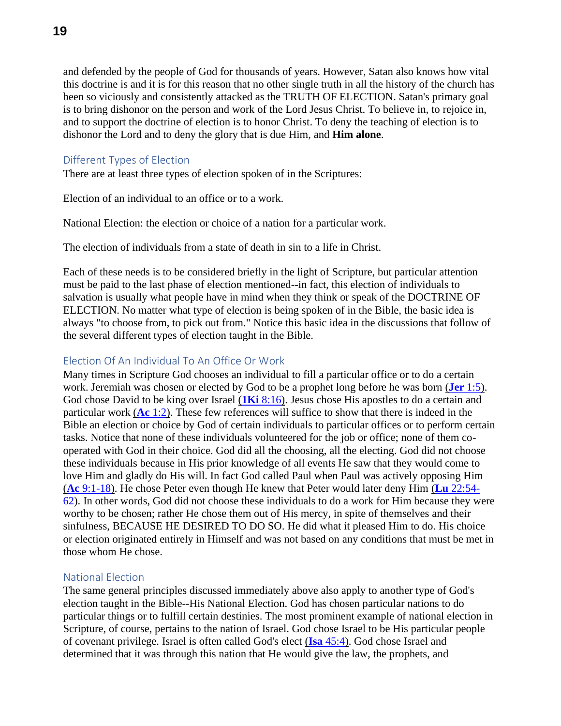and defended by the people of God for thousands of years. However, Satan also knows how vital this doctrine is and it is for this reason that no other single truth in all the history of the church has been so viciously and consistently attacked as the TRUTH OF ELECTION. Satan's primary goal is to bring dishonor on the person and work of the Lord Jesus Christ. To believe in, to rejoice in, and to support the doctrine of election is to honor Christ. To deny the teaching of election is to dishonor the Lord and to deny the glory that is due Him, and **Him alone**.

#### <span id="page-18-0"></span>Different Types of Election

There are at least three types of election spoken of in the Scriptures:

Election of an individual to an office or to a work.

National Election: the election or choice of a nation for a particular work.

The election of individuals from a state of death in sin to a life in Christ.

Each of these needs is to be considered briefly in the light of Scripture, but particular attention must be paid to the last phase of election mentioned--in fact, this election of individuals to salvation is usually what people have in mind when they think or speak of the DOCTRINE OF ELECTION. No matter what type of election is being spoken of in the Bible, the basic idea is always "to choose from, to pick out from." Notice this basic idea in the discussions that follow of the several different types of election taught in the Bible.

#### <span id="page-18-1"></span>Election Of An Individual To An Office Or Work

Many times in Scripture God chooses an individual to fill a particular office or to do a certain work. Jeremiah was chosen or elected by God to be a prophet long before he was born (**Jer** 1:5). God chose David to be king over Israel (**1Ki** 8:16). Jesus chose His apostles to do a certain and particular work (**Ac** 1:2). These few references will suffice to show that there is indeed in the Bible an election or choice by God of certain individuals to particular offices or to perform certain tasks. Notice that none of these individuals volunteered for the job or office; none of them cooperated with God in their choice. God did all the choosing, all the electing. God did not choose these individuals because in His prior knowledge of all events He saw that they would come to love Him and gladly do His will. In fact God called Paul when Paul was actively opposing Him (**Ac** 9:1-18). He chose Peter even though He knew that Peter would later deny Him (**Lu** 22:54-  $\overline{62}$ ). In other words, God did not choose these individuals to do a work for Him because they were worthy to be chosen; rather He chose them out of His mercy, in spite of themselves and their sinfulness, BECAUSE HE DESIRED TO DO SO. He did what it pleased Him to do. His choice or election originated entirely in Himself and was not based on any conditions that must be met in those whom He chose.

#### <span id="page-18-2"></span>National Election

The same general principles discussed immediately above also apply to another type of God's election taught in the Bible--His National Election. God has chosen particular nations to do particular things or to fulfill certain destinies. The most prominent example of national election in Scripture, of course, pertains to the nation of Israel. God chose Israel to be His particular people of covenant privilege. Israel is often called God's elect (**Isa** 45:4). God chose Israel and determined that it was through this nation that He would give the law, the prophets, and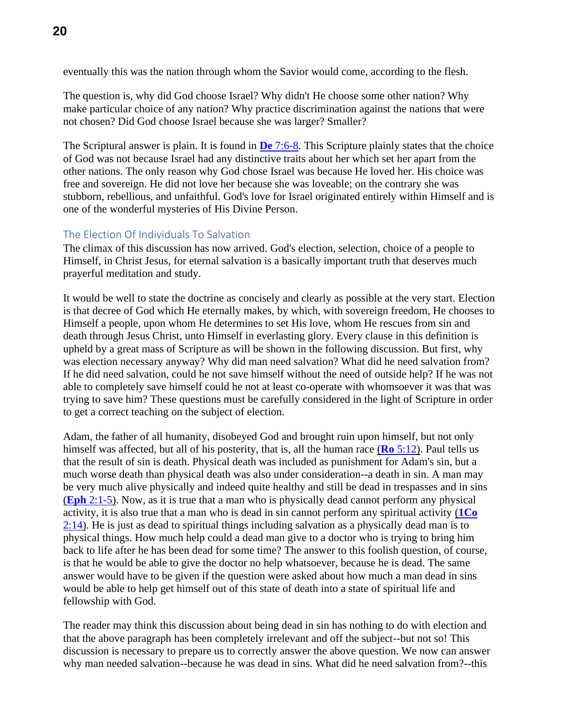eventually this was the nation through whom the Savior would come, according to the flesh.

The question is, why did God choose Israel? Why didn't He choose some other nation? Why make particular choice of any nation? Why practice discrimination against the nations that were not chosen? Did God choose Israel because she was larger? Smaller?

The Scriptural answer is plain. It is found in **De** 7:6-8. This Scripture plainly states that the choice of God was not because Israel had any distinctive traits about her which set her apart from the other nations. The only reason why God chose Israel was because He loved her. His choice was free and sovereign. He did not love her because she was loveable; on the contrary she was stubborn, rebellious, and unfaithful. God's love for Israel originated entirely within Himself and is one of the wonderful mysteries of His Divine Person.

#### <span id="page-19-0"></span>The Election Of Individuals To Salvation

The climax of this discussion has now arrived. God's election, selection, choice of a people to Himself, in Christ Jesus, for eternal salvation is a basically important truth that deserves much prayerful meditation and study.

It would be well to state the doctrine as concisely and clearly as possible at the very start. Election is that decree of God which He eternally makes, by which, with sovereign freedom, He chooses to Himself a people, upon whom He determines to set His love, whom He rescues from sin and death through Jesus Christ, unto Himself in everlasting glory. Every clause in this definition is upheld by a great mass of Scripture as will be shown in the following discussion. But first, why was election necessary anyway? Why did man need salvation? What did he need salvation from? If he did need salvation, could he not save himself without the need of outside help? If he was not able to completely save himself could he not at least co-operate with whomsoever it was that was trying to save him? These questions must be carefully considered in the light of Scripture in order to get a correct teaching on the subject of election.

Adam, the father of all humanity, disobeyed God and brought ruin upon himself, but not only himself was affected, but all of his posterity, that is, all the human race (**Ro** 5:12). Paul tells us that the result of sin is death. Physical death was included as punishment for Adam's sin, but a much worse death than physical death was also under consideration--a death in sin. A man may be very much alive physically and indeed quite healthy and still be dead in trespasses and in sins (**Eph** 2:1-5). Now, as it is true that a man who is physically dead cannot perform any physical activity, it is also true that a man who is dead in sin cannot perform any spiritual activity (**1Co**   $2:14$ ). He is just as dead to spiritual things including salvation as a physically dead man is to physical things. How much help could a dead man give to a doctor who is trying to bring him back to life after he has been dead for some time? The answer to this foolish question, of course, is that he would be able to give the doctor no help whatsoever, because he is dead. The same answer would have to be given if the question were asked about how much a man dead in sins would be able to help get himself out of this state of death into a state of spiritual life and fellowship with God.

The reader may think this discussion about being dead in sin has nothing to do with election and that the above paragraph has been completely irrelevant and off the subject--but not so! This discussion is necessary to prepare us to correctly answer the above question. We now can answer why man needed salvation--because he was dead in sins. What did he need salvation from?--this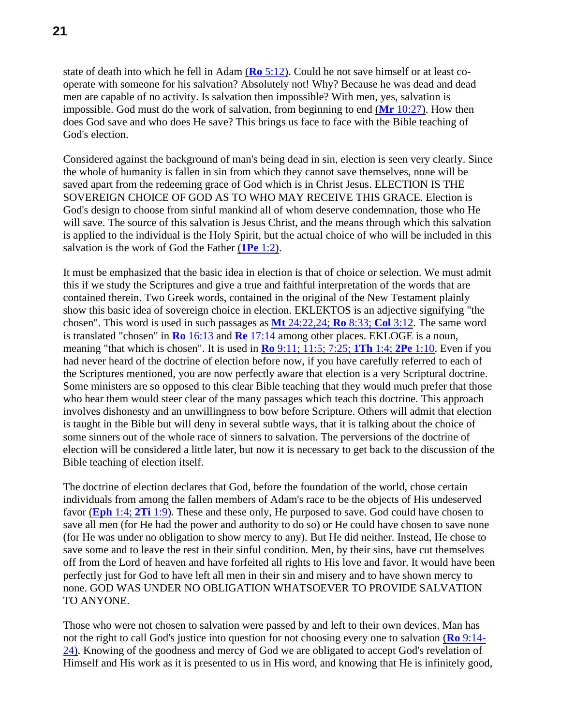state of death into which he fell in Adam (**Ro** 5:12). Could he not save himself or at least cooperate with someone for his salvation? Absolutely not! Why? Because he was dead and dead men are capable of no activity. Is salvation then impossible? With men, yes, salvation is impossible. God must do the work of salvation, from beginning to end (**Mr** 10:27). How then does God save and who does He save? This brings us face to face with the Bible teaching of God's election.

Considered against the background of man's being dead in sin, election is seen very clearly. Since the whole of humanity is fallen in sin from which they cannot save themselves, none will be saved apart from the redeeming grace of God which is in Christ Jesus. ELECTION IS THE SOVEREIGN CHOICE OF GOD AS TO WHO MAY RECEIVE THIS GRACE. Election is God's design to choose from sinful mankind all of whom deserve condemnation, those who He will save. The source of this salvation is Jesus Christ, and the means through which this salvation is applied to the individual is the Holy Spirit, but the actual choice of who will be included in this salvation is the work of God the Father (**1Pe** 1:2).

It must be emphasized that the basic idea in election is that of choice or selection. We must admit this if we study the Scriptures and give a true and faithful interpretation of the words that are contained therein. Two Greek words, contained in the original of the New Testament plainly show this basic idea of sovereign choice in election. EKLEKTOS is an adjective signifying "the chosen". This word is used in such passages as **Mt** 24:22,24; **Ro** 8:33; **Col** 3:12. The same word is translated "chosen" in **Ro** 16:13 and **Re** 17:14 among other places. EKLOGE is a noun, meaning "that which is chosen". It is used in **Ro** 9:11; 11:5; 7:25; **1Th** 1:4; **2Pe** 1:10. Even if you had never heard of the doctrine of election before now, if you have carefully referred to each of the Scriptures mentioned, you are now perfectly aware that election is a very Scriptural doctrine. Some ministers are so opposed to this clear Bible teaching that they would much prefer that those who hear them would steer clear of the many passages which teach this doctrine. This approach involves dishonesty and an unwillingness to bow before Scripture. Others will admit that election is taught in the Bible but will deny in several subtle ways, that it is talking about the choice of some sinners out of the whole race of sinners to salvation. The perversions of the doctrine of election will be considered a little later, but now it is necessary to get back to the discussion of the Bible teaching of election itself.

The doctrine of election declares that God, before the foundation of the world, chose certain individuals from among the fallen members of Adam's race to be the objects of His undeserved favor (**Eph** 1:4; **2Ti** 1:9). These and these only, He purposed to save. God could have chosen to save all men (for He had the power and authority to do so) or He could have chosen to save none (for He was under no obligation to show mercy to any). But He did neither. Instead, He chose to save some and to leave the rest in their sinful condition. Men, by their sins, have cut themselves off from the Lord of heaven and have forfeited all rights to His love and favor. It would have been perfectly just for God to have left all men in their sin and misery and to have shown mercy to none. GOD WAS UNDER NO OBLIGATION WHATSOEVER TO PROVIDE SALVATION TO ANYONE.

Those who were not chosen to salvation were passed by and left to their own devices. Man has not the right to call God's justice into question for not choosing every one to salvation (**Ro** 9:14- 24). Knowing of the goodness and mercy of God we are obligated to accept God's revelation of Himself and His work as it is presented to us in His word, and knowing that He is infinitely good,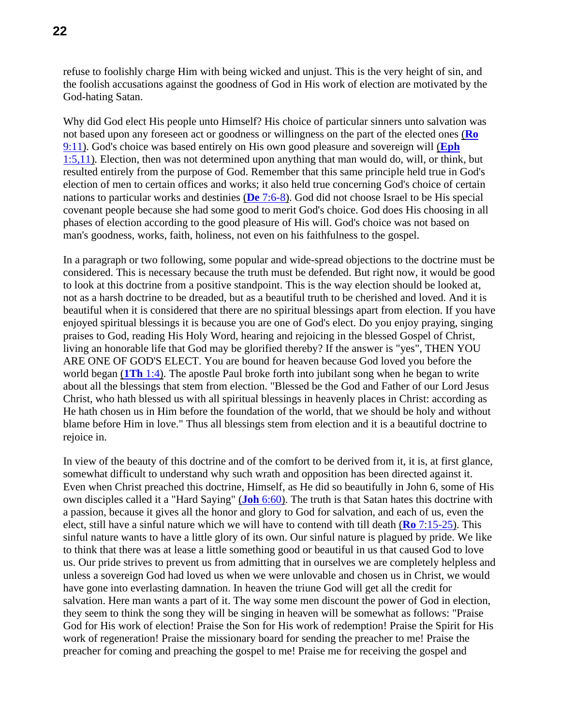refuse to foolishly charge Him with being wicked and unjust. This is the very height of sin, and the foolish accusations against the goodness of God in His work of election are motivated by the God-hating Satan.

Why did God elect His people unto Himself? His choice of particular sinners unto salvation was not based upon any foreseen act or goodness or willingness on the part of the elected ones (**Ro**  9:11). God's choice was based entirely on His own good pleasure and sovereign will (**Eph**  1:5,11). Election, then was not determined upon anything that man would do, will, or think, but resulted entirely from the purpose of God. Remember that this same principle held true in God's election of men to certain offices and works; it also held true concerning God's choice of certain nations to particular works and destinies (**De** 7:6-8). God did not choose Israel to be His special covenant people because she had some good to merit God's choice. God does His choosing in all phases of election according to the good pleasure of His will. God's choice was not based on man's goodness, works, faith, holiness, not even on his faithfulness to the gospel.

In a paragraph or two following, some popular and wide-spread objections to the doctrine must be considered. This is necessary because the truth must be defended. But right now, it would be good to look at this doctrine from a positive standpoint. This is the way election should be looked at, not as a harsh doctrine to be dreaded, but as a beautiful truth to be cherished and loved. And it is beautiful when it is considered that there are no spiritual blessings apart from election. If you have enjoyed spiritual blessings it is because you are one of God's elect. Do you enjoy praying, singing praises to God, reading His Holy Word, hearing and rejoicing in the blessed Gospel of Christ, living an honorable life that God may be glorified thereby? If the answer is "yes", THEN YOU ARE ONE OF GOD'S ELECT. You are bound for heaven because God loved you before the world began (**1Th** 1:4). The apostle Paul broke forth into jubilant song when he began to write about all the blessings that stem from election. "Blessed be the God and Father of our Lord Jesus Christ, who hath blessed us with all spiritual blessings in heavenly places in Christ: according as He hath chosen us in Him before the foundation of the world, that we should be holy and without blame before Him in love." Thus all blessings stem from election and it is a beautiful doctrine to rejoice in.

In view of the beauty of this doctrine and of the comfort to be derived from it, it is, at first glance, somewhat difficult to understand why such wrath and opposition has been directed against it. Even when Christ preached this doctrine, Himself, as He did so beautifully in John 6, some of His own disciples called it a "Hard Saying" (**Joh** 6:60). The truth is that Satan hates this doctrine with a passion, because it gives all the honor and glory to God for salvation, and each of us, even the elect, still have a sinful nature which we will have to contend with till death (**Ro** 7:15-25). This sinful nature wants to have a little glory of its own. Our sinful nature is plagued by pride. We like to think that there was at lease a little something good or beautiful in us that caused God to love us. Our pride strives to prevent us from admitting that in ourselves we are completely helpless and unless a sovereign God had loved us when we were unlovable and chosen us in Christ, we would have gone into everlasting damnation. In heaven the triune God will get all the credit for salvation. Here man wants a part of it. The way some men discount the power of God in election, they seem to think the song they will be singing in heaven will be somewhat as follows: "Praise God for His work of election! Praise the Son for His work of redemption! Praise the Spirit for His work of regeneration! Praise the missionary board for sending the preacher to me! Praise the preacher for coming and preaching the gospel to me! Praise me for receiving the gospel and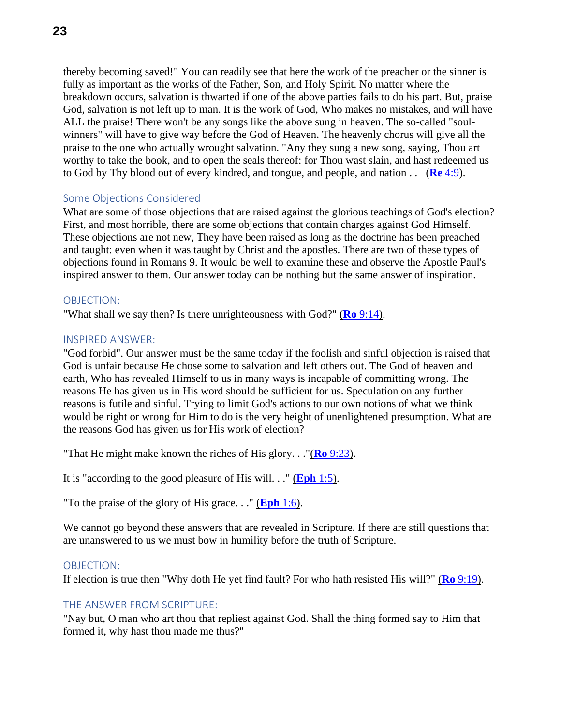thereby becoming saved!" You can readily see that here the work of the preacher or the sinner is fully as important as the works of the Father, Son, and Holy Spirit. No matter where the breakdown occurs, salvation is thwarted if one of the above parties fails to do his part. But, praise God, salvation is not left up to man. It is the work of God, Who makes no mistakes, and will have ALL the praise! There won't be any songs like the above sung in heaven. The so-called "soulwinners" will have to give way before the God of Heaven. The heavenly chorus will give all the praise to the one who actually wrought salvation. "Any they sung a new song, saying, Thou art worthy to take the book, and to open the seals thereof: for Thou wast slain, and hast redeemed us to God by Thy blood out of every kindred, and tongue, and people, and nation . . (**Re** 4:9).

#### <span id="page-22-0"></span>Some Objections Considered

What are some of those objections that are raised against the glorious teachings of God's election? First, and most horrible, there are some objections that contain charges against God Himself. These objections are not new, They have been raised as long as the doctrine has been preached and taught: even when it was taught by Christ and the apostles. There are two of these types of objections found in Romans 9. It would be well to examine these and observe the Apostle Paul's inspired answer to them. Our answer today can be nothing but the same answer of inspiration.

#### <span id="page-22-1"></span>OBJECTION:

"What shall we say then? Is there unrighteousness with God?" (**Ro** 9:14).

#### <span id="page-22-2"></span>INSPIRED ANSWER:

"God forbid". Our answer must be the same today if the foolish and sinful objection is raised that God is unfair because He chose some to salvation and left others out. The God of heaven and earth, Who has revealed Himself to us in many ways is incapable of committing wrong. The reasons He has given us in His word should be sufficient for us. Speculation on any further reasons is futile and sinful. Trying to limit God's actions to our own notions of what we think would be right or wrong for Him to do is the very height of unenlightened presumption. What are the reasons God has given us for His work of election?

"That He might make known the riches of His glory. . ."(**Ro** 9:23).

It is "according to the good pleasure of His will. . ." (**Eph** 1:5).

"To the praise of the glory of His grace. . ." (**Eph** 1:6).

We cannot go beyond these answers that are revealed in Scripture. If there are still questions that are unanswered to us we must bow in humility before the truth of Scripture.

#### <span id="page-22-3"></span>OBJECTION:

If election is true then "Why doth He yet find fault? For who hath resisted His will?" (**Ro** 9:19).

#### <span id="page-22-4"></span>THE ANSWER FROM SCRIPTURE:

"Nay but, O man who art thou that repliest against God. Shall the thing formed say to Him that formed it, why hast thou made me thus?"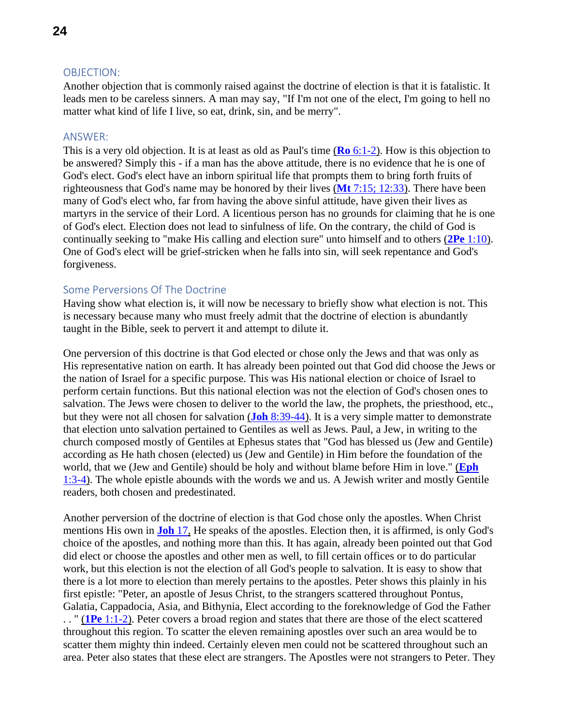#### <span id="page-23-0"></span>OBJECTION:

Another objection that is commonly raised against the doctrine of election is that it is fatalistic. It leads men to be careless sinners. A man may say, "If I'm not one of the elect, I'm going to hell no matter what kind of life I live, so eat, drink, sin, and be merry".

#### <span id="page-23-1"></span>ANSWER:

This is a very old objection. It is at least as old as Paul's time (**Ro** 6:1-2). How is this objection to be answered? Simply this - if a man has the above attitude, there is no evidence that he is one of God's elect. God's elect have an inborn spiritual life that prompts them to bring forth fruits of righteousness that God's name may be honored by their lives (**Mt** 7:15; 12:33). There have been many of God's elect who, far from having the above sinful attitude, have given their lives as martyrs in the service of their Lord. A licentious person has no grounds for claiming that he is one of God's elect. Election does not lead to sinfulness of life. On the contrary, the child of God is continually seeking to "make His calling and election sure" unto himself and to others (**2Pe** 1:10). One of God's elect will be grief-stricken when he falls into sin, will seek repentance and God's forgiveness.

#### <span id="page-23-2"></span>Some Perversions Of The Doctrine

Having show what election is, it will now be necessary to briefly show what election is not. This is necessary because many who must freely admit that the doctrine of election is abundantly taught in the Bible, seek to pervert it and attempt to dilute it.

One perversion of this doctrine is that God elected or chose only the Jews and that was only as His representative nation on earth. It has already been pointed out that God did choose the Jews or the nation of Israel for a specific purpose. This was His national election or choice of Israel to perform certain functions. But this national election was not the election of God's chosen ones to salvation. The Jews were chosen to deliver to the world the law, the prophets, the priesthood, etc., but they were not all chosen for salvation (**Joh** 8:39-44). It is a very simple matter to demonstrate that election unto salvation pertained to Gentiles as well as Jews. Paul, a Jew, in writing to the church composed mostly of Gentiles at Ephesus states that "God has blessed us (Jew and Gentile) according as He hath chosen (elected) us (Jew and Gentile) in Him before the foundation of the world, that we (Jew and Gentile) should be holy and without blame before Him in love." (**Eph**  1:3-4). The whole epistle abounds with the words we and us. A Jewish writer and mostly Gentile readers, both chosen and predestinated.

Another perversion of the doctrine of election is that God chose only the apostles. When Christ mentions His own in **Joh** 17, He speaks of the apostles. Election then, it is affirmed, is only God's choice of the apostles, and nothing more than this. It has again, already been pointed out that God did elect or choose the apostles and other men as well, to fill certain offices or to do particular work, but this election is not the election of all God's people to salvation. It is easy to show that there is a lot more to election than merely pertains to the apostles. Peter shows this plainly in his first epistle: "Peter, an apostle of Jesus Christ, to the strangers scattered throughout Pontus, Galatia, Cappadocia, Asia, and Bithynia, Elect according to the foreknowledge of God the Father . . " (**1Pe** 1:1-2). Peter covers a broad region and states that there are those of the elect scattered throughout this region. To scatter the eleven remaining apostles over such an area would be to scatter them mighty thin indeed. Certainly eleven men could not be scattered throughout such an area. Peter also states that these elect are strangers. The Apostles were not strangers to Peter. They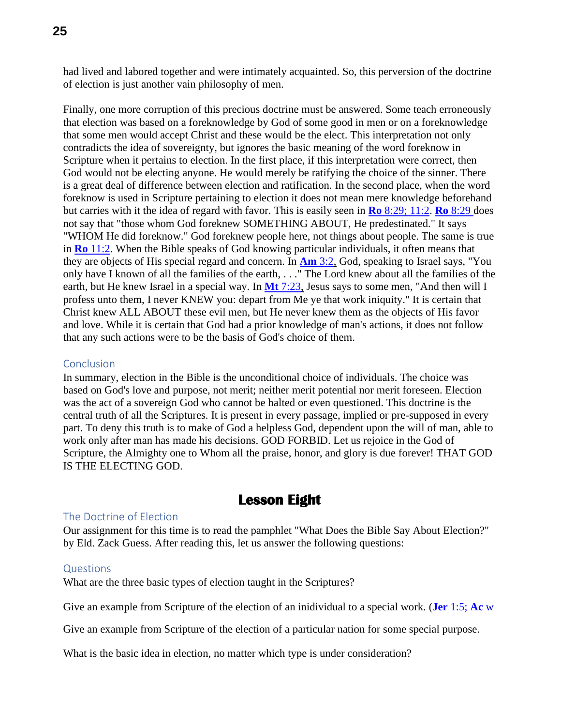had lived and labored together and were intimately acquainted. So, this perversion of the doctrine of election is just another vain philosophy of men.

Finally, one more corruption of this precious doctrine must be answered. Some teach erroneously that election was based on a foreknowledge by God of some good in men or on a foreknowledge that some men would accept Christ and these would be the elect. This interpretation not only contradicts the idea of sovereignty, but ignores the basic meaning of the word foreknow in Scripture when it pertains to election. In the first place, if this interpretation were correct, then God would not be electing anyone. He would merely be ratifying the choice of the sinner. There is a great deal of difference between election and ratification. In the second place, when the word foreknow is used in Scripture pertaining to election it does not mean mere knowledge beforehand but carries with it the idea of regard with favor. This is easily seen in **Ro** 8:29; 11:2. **Ro** 8:29 does not say that "those whom God foreknew SOMETHING ABOUT, He predestinated." It says "WHOM He did foreknow." God foreknew people here, not things about people. The same is true in **Ro** 11:2. When the Bible speaks of God knowing particular individuals, it often means that they are objects of His special regard and concern. In **Am** 3:2, God, speaking to Israel says, "You only have I known of all the families of the earth, . . ." The Lord knew about all the families of the earth, but He knew Israel in a special way. In **Mt** 7:23, Jesus says to some men, "And then will I profess unto them, I never KNEW you: depart from Me ye that work iniquity." It is certain that Christ knew ALL ABOUT these evil men, but He never knew them as the objects of His favor and love. While it is certain that God had a prior knowledge of man's actions, it does not follow that any such actions were to be the basis of God's choice of them.

#### <span id="page-24-0"></span>**Conclusion**

In summary, election in the Bible is the unconditional choice of individuals. The choice was based on God's love and purpose, not merit; neither merit potential nor merit foreseen. Election was the act of a sovereign God who cannot be halted or even questioned. This doctrine is the central truth of all the Scriptures. It is present in every passage, implied or pre-supposed in every part. To deny this truth is to make of God a helpless God, dependent upon the will of man, able to work only after man has made his decisions. GOD FORBID. Let us rejoice in the God of Scripture, the Almighty one to Whom all the praise, honor, and glory is due forever! THAT GOD IS THE ELECTING GOD.

## **Lesson Eight**

#### <span id="page-24-2"></span><span id="page-24-1"></span>The Doctrine of Election

Our assignment for this time is to read the pamphlet "What Does the Bible Say About Election?" by Eld. Zack Guess. After reading this, let us answer the following questions:

#### <span id="page-24-3"></span>Questions

What are the three basic types of election taught in the Scriptures?

Give an example from Scripture of the election of an inidividual to a special work. (**Jer** 1:5; **Ac** w

Give an example from Scripture of the election of a particular nation for some special purpose.

What is the basic idea in election, no matter which type is under consideration?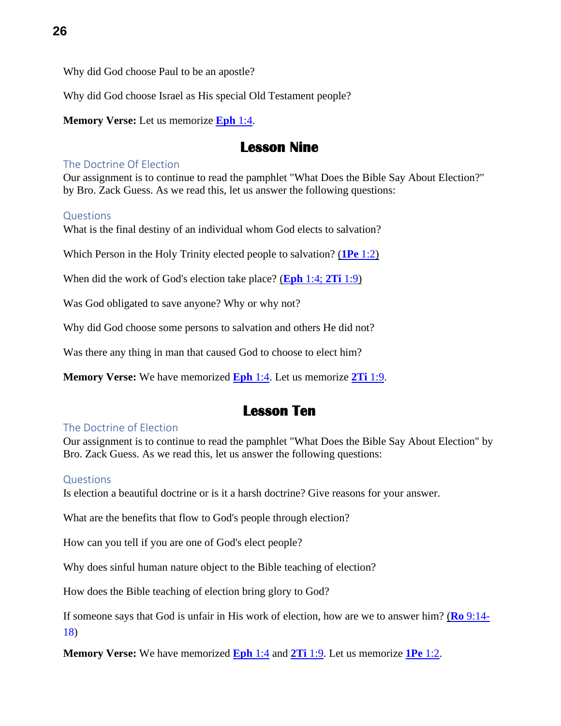Why did God choose Paul to be an apostle?

Why did God choose Israel as His special Old Testament people?

**Memory Verse:** Let us memorize **Eph** 1:4.

## **Lesson Nine**

#### <span id="page-25-1"></span><span id="page-25-0"></span>The Doctrine Of Election

Our assignment is to continue to read the pamphlet "What Does the Bible Say About Election?" by Bro. Zack Guess. As we read this, let us answer the following questions:

#### <span id="page-25-2"></span>**Questions**

What is the final destiny of an individual whom God elects to salvation?

Which Person in the Holy Trinity elected people to salvation? (**1Pe** 1:2)

When did the work of God's election take place? (**Eph** 1:4; **2Ti** 1:9)

Was God obligated to save anyone? Why or why not?

Why did God choose some persons to salvation and others He did not?

Was there any thing in man that caused God to choose to elect him?

**Memory Verse:** We have memorized **Eph** 1:4. Let us memorize **2Ti** 1:9.

## **Lesson Ten**

#### <span id="page-25-4"></span><span id="page-25-3"></span>The Doctrine of Election

Our assignment is to continue to read the pamphlet "What Does the Bible Say About Election" by Bro. Zack Guess. As we read this, let us answer the following questions:

#### <span id="page-25-5"></span>**Questions**

Is election a beautiful doctrine or is it a harsh doctrine? Give reasons for your answer.

What are the benefits that flow to God's people through election?

How can you tell if you are one of God's elect people?

Why does sinful human nature object to the Bible teaching of election?

How does the Bible teaching of election bring glory to God?

If someone says that God is unfair in His work of election, how are we to answer him? (**Ro** 9:14- 18)

**Memory Verse:** We have memorized **Eph** 1:4 and **2Ti** 1:9. Let us memorize **1Pe** 1:2.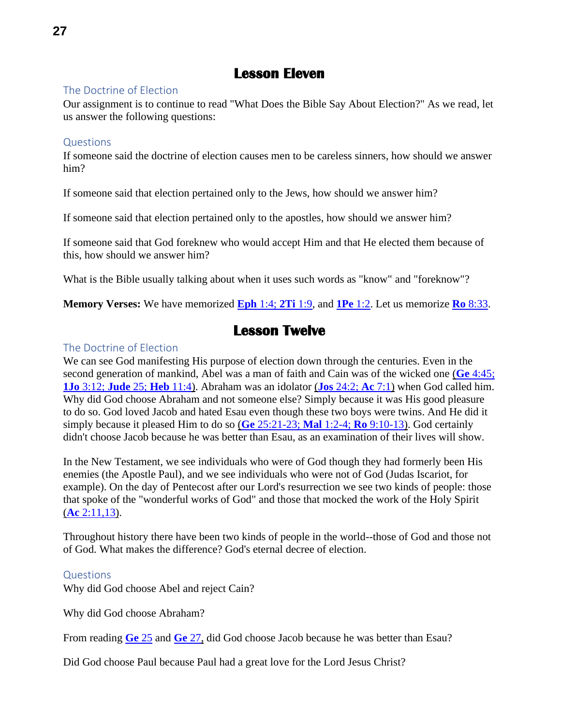## **Lesson Eleven**

### <span id="page-26-1"></span><span id="page-26-0"></span>The Doctrine of Election

Our assignment is to continue to read "What Does the Bible Say About Election?" As we read, let us answer the following questions:

### <span id="page-26-2"></span>Questions

If someone said the doctrine of election causes men to be careless sinners, how should we answer him?

If someone said that election pertained only to the Jews, how should we answer him?

If someone said that election pertained only to the apostles, how should we answer him?

If someone said that God foreknew who would accept Him and that He elected them because of this, how should we answer him?

What is the Bible usually talking about when it uses such words as "know" and "foreknow"?

**Memory Verses:** We have memorized **Eph** 1:4; **2Ti** 1:9, and **1Pe** 1:2. Let us memorize **Ro** 8:33.

## **Lesson Twelve**

## <span id="page-26-4"></span><span id="page-26-3"></span>The Doctrine of Election

We can see God manifesting His purpose of election down through the centuries. Even in the second generation of mankind, Abel was a man of faith and Cain was of the wicked one (**Ge** 4:45; **1Jo** 3:12; **Jude** 25; **Heb** 11:4). Abraham was an idolator (**Jos** 24:2; **Ac** 7:1) when God called him. Why did God choose Abraham and not someone else? Simply because it was His good pleasure to do so. God loved Jacob and hated Esau even though these two boys were twins. And He did it simply because it pleased Him to do so (**Ge** 25:21-23; **Mal** 1:2-4; **Ro** 9:10-13). God certainly didn't choose Jacob because he was better than Esau, as an examination of their lives will show.

In the New Testament, we see individuals who were of God though they had formerly been His enemies (the Apostle Paul), and we see individuals who were not of God (Judas Iscariot, for example). On the day of Pentecost after our Lord's resurrection we see two kinds of people: those that spoke of the "wonderful works of God" and those that mocked the work of the Holy Spirit (**Ac** 2:11,13).

Throughout history there have been two kinds of people in the world--those of God and those not of God. What makes the difference? God's eternal decree of election.

## <span id="page-26-5"></span>Questions

Why did God choose Abel and reject Cain?

Why did God choose Abraham?

From reading **Ge** 25 and **Ge** 27, did God choose Jacob because he was better than Esau?

Did God choose Paul because Paul had a great love for the Lord Jesus Christ?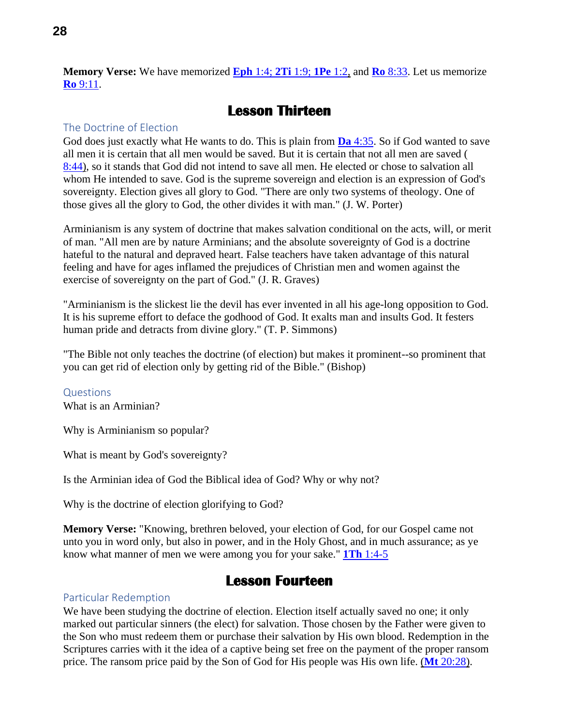**Memory Verse:** We have memorized **Eph** 1:4; **2Ti** 1:9; **1Pe** 1:2, and **Ro** 8:33. Let us memorize **Ro** 9:11.

## **Lesson Thirteen**

### <span id="page-27-1"></span><span id="page-27-0"></span>The Doctrine of Election

God does just exactly what He wants to do. This is plain from **Da** 4:35. So if God wanted to save all men it is certain that all men would be saved. But it is certain that not all men are saved ( 8:44), so it stands that God did not intend to save all men. He elected or chose to salvation all whom He intended to save. God is the supreme sovereign and election is an expression of God's sovereignty. Election gives all glory to God. "There are only two systems of theology. One of those gives all the glory to God, the other divides it with man." (J. W. Porter)

Arminianism is any system of doctrine that makes salvation conditional on the acts, will, or merit of man. "All men are by nature Arminians; and the absolute sovereignty of God is a doctrine hateful to the natural and depraved heart. False teachers have taken advantage of this natural feeling and have for ages inflamed the prejudices of Christian men and women against the exercise of sovereignty on the part of God." (J. R. Graves)

"Arminianism is the slickest lie the devil has ever invented in all his age-long opposition to God. It is his supreme effort to deface the godhood of God. It exalts man and insults God. It festers human pride and detracts from divine glory." (T. P. Simmons)

"The Bible not only teaches the doctrine (of election) but makes it prominent--so prominent that you can get rid of election only by getting rid of the Bible." (Bishop)

<span id="page-27-2"></span>Questions What is an Arminian?

Why is Arminianism so popular?

What is meant by God's sovereignty?

Is the Arminian idea of God the Biblical idea of God? Why or why not?

Why is the doctrine of election glorifying to God?

**Memory Verse:** "Knowing, brethren beloved, your election of God, for our Gospel came not unto you in word only, but also in power, and in the Holy Ghost, and in much assurance; as ye know what manner of men we were among you for your sake." **1Th** 1:4-5

## **Lesson Fourteen**

## <span id="page-27-4"></span><span id="page-27-3"></span>Particular Redemption

We have been studying the doctrine of election. Election itself actually saved no one; it only marked out particular sinners (the elect) for salvation. Those chosen by the Father were given to the Son who must redeem them or purchase their salvation by His own blood. Redemption in the Scriptures carries with it the idea of a captive being set free on the payment of the proper ransom price. The ransom price paid by the Son of God for His people was His own life. (**Mt** 20:28).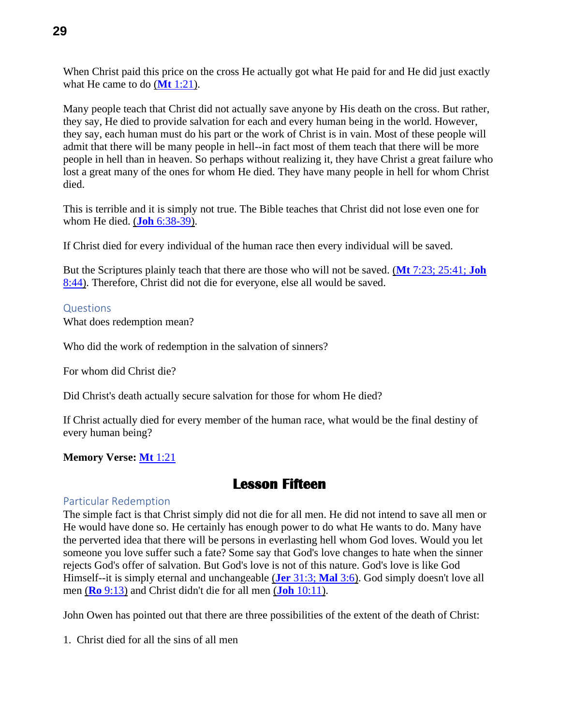When Christ paid this price on the cross He actually got what He paid for and He did just exactly what He came to do (**Mt** 1:21).

Many people teach that Christ did not actually save anyone by His death on the cross. But rather, they say, He died to provide salvation for each and every human being in the world. However, they say, each human must do his part or the work of Christ is in vain. Most of these people will admit that there will be many people in hell--in fact most of them teach that there will be more people in hell than in heaven. So perhaps without realizing it, they have Christ a great failure who lost a great many of the ones for whom He died. They have many people in hell for whom Christ died.

This is terrible and it is simply not true. The Bible teaches that Christ did not lose even one for whom He died. (**Joh** 6:38-39).

If Christ died for every individual of the human race then every individual will be saved.

But the Scriptures plainly teach that there are those who will not be saved. (**Mt** 7:23; 25:41; **Joh**  8:44). Therefore, Christ did not die for everyone, else all would be saved.

#### <span id="page-28-0"></span>Questions

What does redemption mean?

Who did the work of redemption in the salvation of sinners?

For whom did Christ die?

Did Christ's death actually secure salvation for those for whom He died?

If Christ actually died for every member of the human race, what would be the final destiny of every human being?

## **Memory Verse: Mt** 1:21

## **Lesson Fifteen**

## <span id="page-28-2"></span><span id="page-28-1"></span>Particular Redemption

The simple fact is that Christ simply did not die for all men. He did not intend to save all men or He would have done so. He certainly has enough power to do what He wants to do. Many have the perverted idea that there will be persons in everlasting hell whom God loves. Would you let someone you love suffer such a fate? Some say that God's love changes to hate when the sinner rejects God's offer of salvation. But God's love is not of this nature. God's love is like God Himself--it is simply eternal and unchangeable (**Jer** 31:3; **Mal** 3:6). God simply doesn't love all men (**Ro** 9:13) and Christ didn't die for all men (**Joh** 10:11).

John Owen has pointed out that there are three possibilities of the extent of the death of Christ:

1. Christ died for all the sins of all men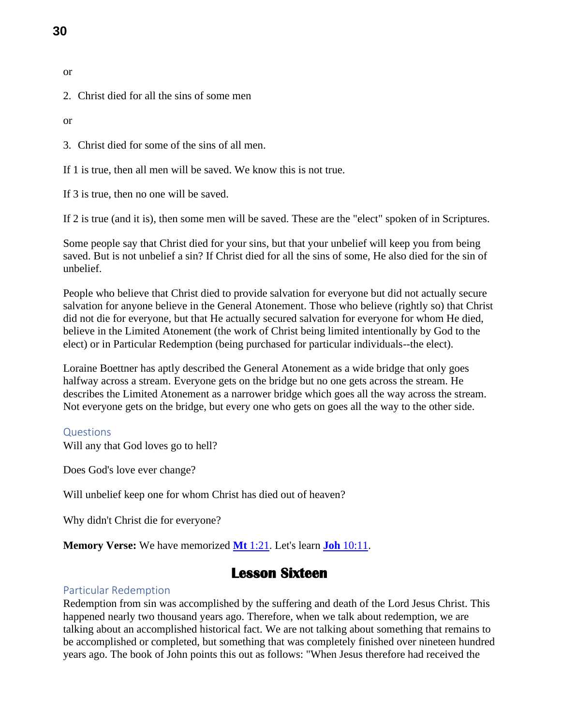or

**30**

- 2. Christ died for all the sins of some men
- or

3. Christ died for some of the sins of all men.

If 1 is true, then all men will be saved. We know this is not true.

If 3 is true, then no one will be saved.

If 2 is true (and it is), then some men will be saved. These are the "elect" spoken of in Scriptures.

Some people say that Christ died for your sins, but that your unbelief will keep you from being saved. But is not unbelief a sin? If Christ died for all the sins of some, He also died for the sin of unbelief.

People who believe that Christ died to provide salvation for everyone but did not actually secure salvation for anyone believe in the General Atonement. Those who believe (rightly so) that Christ did not die for everyone, but that He actually secured salvation for everyone for whom He died, believe in the Limited Atonement (the work of Christ being limited intentionally by God to the elect) or in Particular Redemption (being purchased for particular individuals--the elect).

Loraine Boettner has aptly described the General Atonement as a wide bridge that only goes halfway across a stream. Everyone gets on the bridge but no one gets across the stream. He describes the Limited Atonement as a narrower bridge which goes all the way across the stream. Not everyone gets on the bridge, but every one who gets on goes all the way to the other side.

#### <span id="page-29-0"></span>Questions

Will any that God loves go to hell?

Does God's love ever change?

Will unbelief keep one for whom Christ has died out of heaven?

Why didn't Christ die for everyone?

**Memory Verse:** We have memorized **Mt** 1:21. Let's learn **Joh** 10:11.

## **Lesson Sixteen**

#### <span id="page-29-2"></span><span id="page-29-1"></span>Particular Redemption

Redemption from sin was accomplished by the suffering and death of the Lord Jesus Christ. This happened nearly two thousand years ago. Therefore, when we talk about redemption, we are talking about an accomplished historical fact. We are not talking about something that remains to be accomplished or completed, but something that was completely finished over nineteen hundred years ago. The book of John points this out as follows: "When Jesus therefore had received the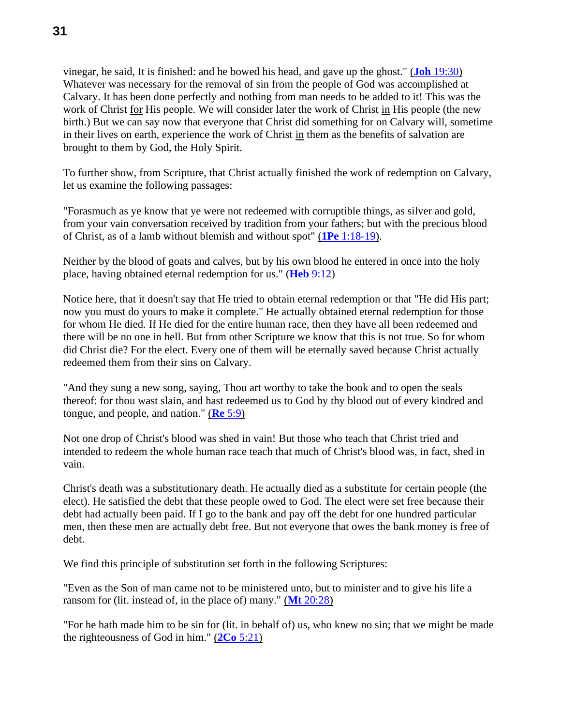vinegar, he said, It is finished: and he bowed his head, and gave up the ghost." (**Joh** 19:30) Whatever was necessary for the removal of sin from the people of God was accomplished at Calvary. It has been done perfectly and nothing from man needs to be added to it! This was the work of Christ for His people. We will consider later the work of Christ in His people (the new birth.) But we can say now that everyone that Christ did something for on Calvary will, sometime in their lives on earth, experience the work of Christ in them as the benefits of salvation are brought to them by God, the Holy Spirit.

To further show, from Scripture, that Christ actually finished the work of redemption on Calvary, let us examine the following passages:

"Forasmuch as ye know that ye were not redeemed with corruptible things, as silver and gold, from your vain conversation received by tradition from your fathers; but with the precious blood of Christ, as of a lamb without blemish and without spot" (**1Pe** 1:18-19).

Neither by the blood of goats and calves, but by his own blood he entered in once into the holy place, having obtained eternal redemption for us." (**Heb** 9:12)

Notice here, that it doesn't say that He tried to obtain eternal redemption or that "He did His part; now you must do yours to make it complete." He actually obtained eternal redemption for those for whom He died. If He died for the entire human race, then they have all been redeemed and there will be no one in hell. But from other Scripture we know that this is not true. So for whom did Christ die? For the elect. Every one of them will be eternally saved because Christ actually redeemed them from their sins on Calvary.

"And they sung a new song, saying, Thou art worthy to take the book and to open the seals thereof: for thou wast slain, and hast redeemed us to God by thy blood out of every kindred and tongue, and people, and nation." (**Re** 5:9)

Not one drop of Christ's blood was shed in vain! But those who teach that Christ tried and intended to redeem the whole human race teach that much of Christ's blood was, in fact, shed in vain.

Christ's death was a substitutionary death. He actually died as a substitute for certain people (the elect). He satisfied the debt that these people owed to God. The elect were set free because their debt had actually been paid. If I go to the bank and pay off the debt for one hundred particular men, then these men are actually debt free. But not everyone that owes the bank money is free of debt.

We find this principle of substitution set forth in the following Scriptures:

"Even as the Son of man came not to be ministered unto, but to minister and to give his life a ransom for (lit. instead of, in the place of) many." (**Mt** 20:28)

"For he hath made him to be sin for (lit. in behalf of) us, who knew no sin; that we might be made the righteousness of God in him." (**2Co** 5:21)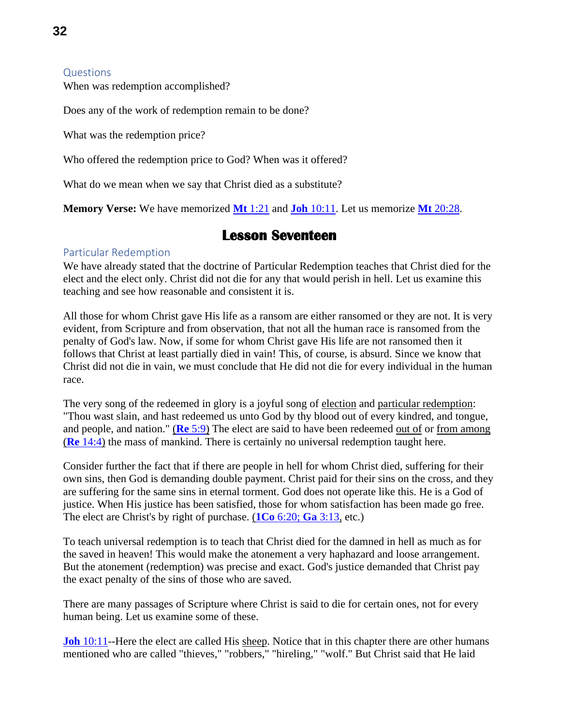#### <span id="page-31-0"></span>Questions

When was redemption accomplished?

Does any of the work of redemption remain to be done?

What was the redemption price?

Who offered the redemption price to God? When was it offered?

What do we mean when we say that Christ died as a substitute?

**Memory Verse:** We have memorized **Mt** 1:21 and **Joh** 10:11. Let us memorize **Mt** 20:28.

## **Lesson Seventeen**

#### <span id="page-31-2"></span><span id="page-31-1"></span>Particular Redemption

We have already stated that the doctrine of Particular Redemption teaches that Christ died for the elect and the elect only. Christ did not die for any that would perish in hell. Let us examine this teaching and see how reasonable and consistent it is.

All those for whom Christ gave His life as a ransom are either ransomed or they are not. It is very evident, from Scripture and from observation, that not all the human race is ransomed from the penalty of God's law. Now, if some for whom Christ gave His life are not ransomed then it follows that Christ at least partially died in vain! This, of course, is absurd. Since we know that Christ did not die in vain, we must conclude that He did not die for every individual in the human race.

The very song of the redeemed in glory is a joyful song of election and particular redemption: "Thou wast slain, and hast redeemed us unto God by thy blood out of every kindred, and tongue, and people, and nation." (**Re** 5:9) The elect are said to have been redeemed out of or from among (**Re** 14:4) the mass of mankind. There is certainly no universal redemption taught here.

Consider further the fact that if there are people in hell for whom Christ died, suffering for their own sins, then God is demanding double payment. Christ paid for their sins on the cross, and they are suffering for the same sins in eternal torment. God does not operate like this. He is a God of justice. When His justice has been satisfied, those for whom satisfaction has been made go free. The elect are Christ's by right of purchase. (**1Co** 6:20; **Ga** 3:13, etc.)

To teach universal redemption is to teach that Christ died for the damned in hell as much as for the saved in heaven! This would make the atonement a very haphazard and loose arrangement. But the atonement (redemption) was precise and exact. God's justice demanded that Christ pay the exact penalty of the sins of those who are saved.

There are many passages of Scripture where Christ is said to die for certain ones, not for every human being. Let us examine some of these.

**Joh** 10:11--Here the elect are called His sheep. Notice that in this chapter there are other humans mentioned who are called "thieves," "robbers," "hireling," "wolf." But Christ said that He laid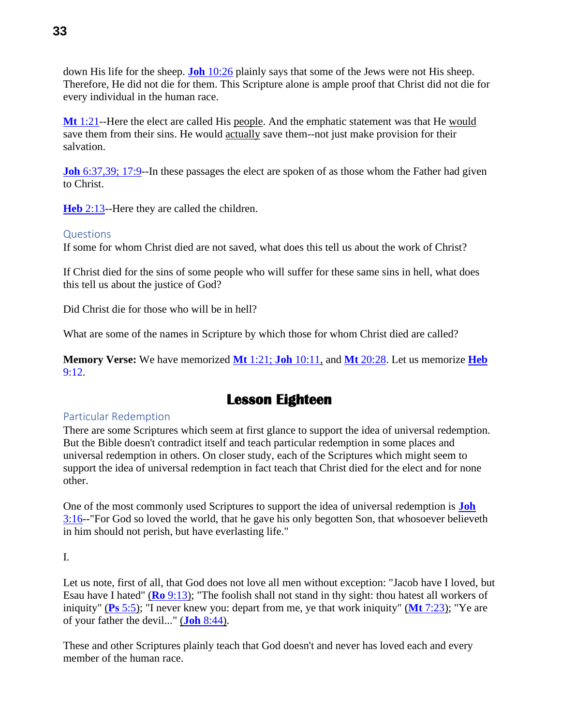down His life for the sheep. **Joh** 10:26 plainly says that some of the Jews were not His sheep. Therefore, He did not die for them. This Scripture alone is ample proof that Christ did not die for every individual in the human race.

**Mt** 1:21--Here the elect are called His people. And the emphatic statement was that He would save them from their sins. He would actually save them--not just make provision for their salvation.

**Joh** 6:37,39; 17:9--In these passages the elect are spoken of as those whom the Father had given to Christ.

**Heb** 2:13--Here they are called the children.

### <span id="page-32-0"></span>Questions

If some for whom Christ died are not saved, what does this tell us about the work of Christ?

If Christ died for the sins of some people who will suffer for these same sins in hell, what does this tell us about the justice of God?

Did Christ die for those who will be in hell?

What are some of the names in Scripture by which those for whom Christ died are called?

**Memory Verse:** We have memorized **Mt** 1:21; **Joh** 10:11, and **Mt** 20:28. Let us memorize **Heb**   $9:12.$ 

## **Lesson Eighteen**

## <span id="page-32-2"></span><span id="page-32-1"></span>Particular Redemption

There are some Scriptures which seem at first glance to support the idea of universal redemption. But the Bible doesn't contradict itself and teach particular redemption in some places and universal redemption in others. On closer study, each of the Scriptures which might seem to support the idea of universal redemption in fact teach that Christ died for the elect and for none other.

One of the most commonly used Scriptures to support the idea of universal redemption is **Joh**  3:16--"For God so loved the world, that he gave his only begotten Son, that whosoever believeth in him should not perish, but have everlasting life."

I.

Let us note, first of all, that God does not love all men without exception: "Jacob have I loved, but Esau have I hated" (**Ro** 9:13); "The foolish shall not stand in thy sight: thou hatest all workers of iniquity" (**Ps** 5:5); "I never knew you: depart from me, ye that work iniquity" (**Mt** 7:23); "Ye are of your father the devil..." (**Joh** 8:44).

These and other Scriptures plainly teach that God doesn't and never has loved each and every member of the human race.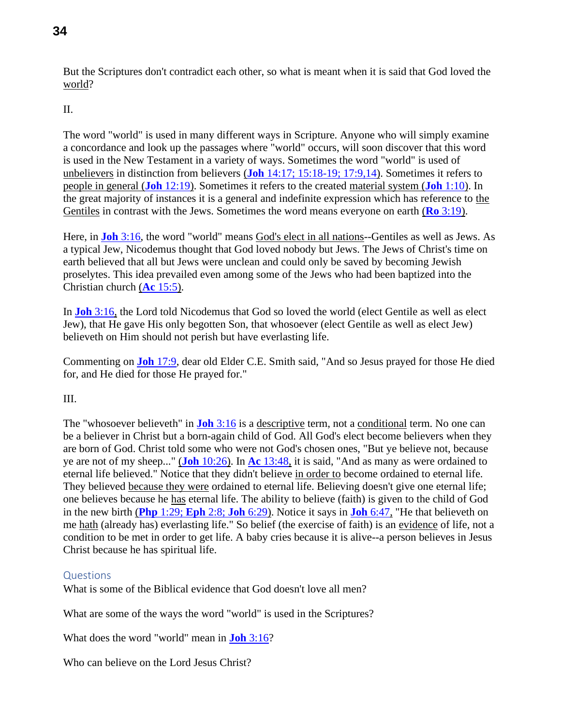But the Scriptures don't contradict each other, so what is meant when it is said that God loved the world?

## II.

The word "world" is used in many different ways in Scripture. Anyone who will simply examine a concordance and look up the passages where "world" occurs, will soon discover that this word is used in the New Testament in a variety of ways. Sometimes the word "world" is used of unbelievers in distinction from believers (**Joh** 14:17; 15:18-19; 17:9,14). Sometimes it refers to people in general (**Joh** 12:19). Sometimes it refers to the created material system (**Joh** 1:10). In the great majority of instances it is a general and indefinite expression which has reference to the Gentiles in contrast with the Jews. Sometimes the word means everyone on earth (**Ro** 3:19).

Here, in **Joh** 3:16, the word "world" means God's elect in all nations--Gentiles as well as Jews. As a typical Jew, Nicodemus thought that God loved nobody but Jews. The Jews of Christ's time on earth believed that all but Jews were unclean and could only be saved by becoming Jewish proselytes. This idea prevailed even among some of the Jews who had been baptized into the Christian church (**Ac** 15:5).

In **Joh** 3:16, the Lord told Nicodemus that God so loved the world (elect Gentile as well as elect Jew), that He gave His only begotten Son, that whosoever (elect Gentile as well as elect Jew) believeth on Him should not perish but have everlasting life.

Commenting on **Joh** 17:9, dear old Elder C.E. Smith said, "And so Jesus prayed for those He died for, and He died for those He prayed for."

III.

The "whosoever believeth" in **Joh** 3:16 is a descriptive term, not a conditional term. No one can be a believer in Christ but a born-again child of God. All God's elect become believers when they are born of God. Christ told some who were not God's chosen ones, "But ye believe not, because ye are not of my sheep..." (**Joh** 10:26). In **Ac** 13:48, it is said, "And as many as were ordained to eternal life believed." Notice that they didn't believe in order to become ordained to eternal life. They believed because they were ordained to eternal life. Believing doesn't give one eternal life; one believes because he has eternal life. The ability to believe (faith) is given to the child of God in the new birth (**Php** 1:29; **Eph** 2:8; **Joh** 6:29). Notice it says in **Joh** 6:47, "He that believeth on me hath (already has) everlasting life." So belief (the exercise of faith) is an evidence of life, not a condition to be met in order to get life. A baby cries because it is alive--a person believes in Jesus Christ because he has spiritual life.

## <span id="page-33-0"></span>**Questions**

What is some of the Biblical evidence that God doesn't love all men?

What are some of the ways the word "world" is used in the Scriptures?

What does the word "world" mean in **Joh** 3:16?

Who can believe on the Lord Jesus Christ?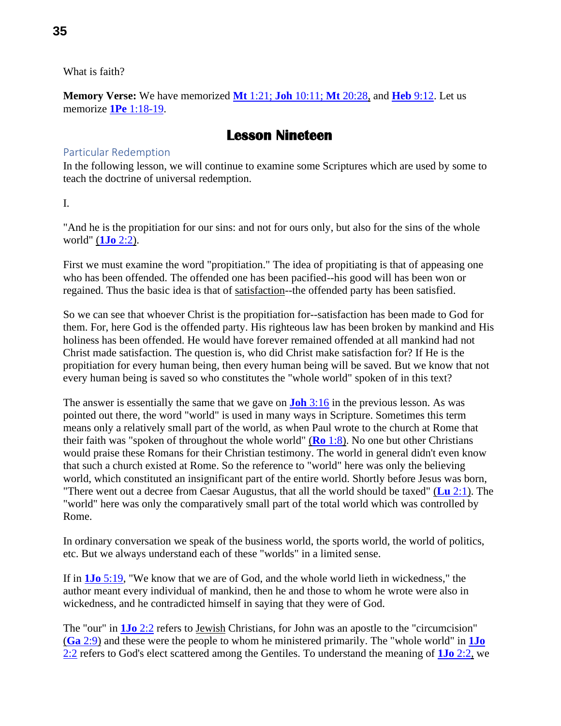What is faith?

**Memory Verse:** We have memorized **Mt** 1:21; **Joh** 10:11; **Mt** 20:28, and **Heb** 9:12. Let us memorize **1Pe** 1:18-19.

## **Lesson Nineteen**

### <span id="page-34-1"></span><span id="page-34-0"></span>Particular Redemption

In the following lesson, we will continue to examine some Scriptures which are used by some to teach the doctrine of universal redemption.

I.

"And he is the propitiation for our sins: and not for ours only, but also for the sins of the whole world" (**1Jo** 2:2).

First we must examine the word "propitiation." The idea of propitiating is that of appeasing one who has been offended. The offended one has been pacified--his good will has been won or regained. Thus the basic idea is that of satisfaction--the offended party has been satisfied.

So we can see that whoever Christ is the propitiation for--satisfaction has been made to God for them. For, here God is the offended party. His righteous law has been broken by mankind and His holiness has been offended. He would have forever remained offended at all mankind had not Christ made satisfaction. The question is, who did Christ make satisfaction for? If He is the propitiation for every human being, then every human being will be saved. But we know that not every human being is saved so who constitutes the "whole world" spoken of in this text?

The answer is essentially the same that we gave on **Joh** 3:16 in the previous lesson. As was pointed out there, the word "world" is used in many ways in Scripture. Sometimes this term means only a relatively small part of the world, as when Paul wrote to the church at Rome that their faith was "spoken of throughout the whole world" (**Ro** 1:8). No one but other Christians would praise these Romans for their Christian testimony. The world in general didn't even know that such a church existed at Rome. So the reference to "world" here was only the believing world, which constituted an insignificant part of the entire world. Shortly before Jesus was born, "There went out a decree from Caesar Augustus, that all the world should be taxed" (**Lu** 2:1). The "world" here was only the comparatively small part of the total world which was controlled by Rome.

In ordinary conversation we speak of the business world, the sports world, the world of politics, etc. But we always understand each of these "worlds" in a limited sense.

If in **1Jo** 5:19, "We know that we are of God, and the whole world lieth in wickedness," the author meant every individual of mankind, then he and those to whom he wrote were also in wickedness, and he contradicted himself in saying that they were of God.

The "our" in **1Jo** 2:2 refers to Jewish Christians, for John was an apostle to the "circumcision" (**Ga** 2:9) and these were the people to whom he ministered primarily. The "whole world" in **1Jo**  2:2 refers to God's elect scattered among the Gentiles. To understand the meaning of **1Jo** 2:2, we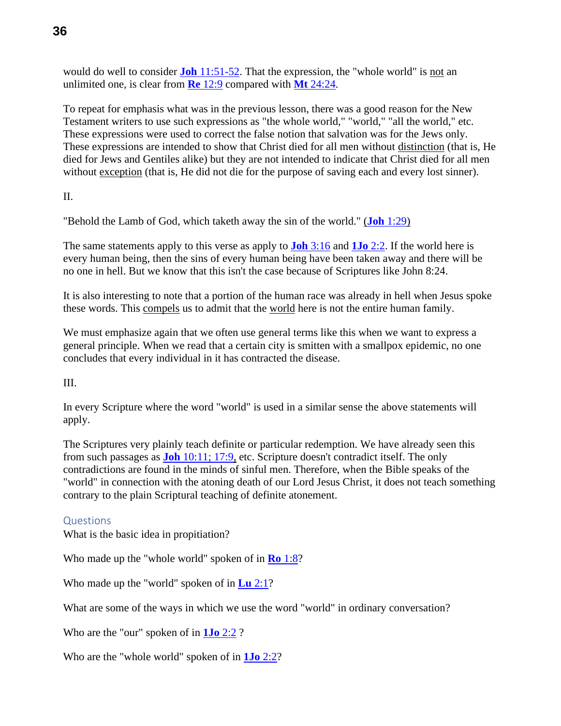would do well to consider **Joh** 11:51-52. That the expression, the "whole world" is not an unlimited one, is clear from **Re** 12:9 compared with **Mt** 24:24.

To repeat for emphasis what was in the previous lesson, there was a good reason for the New Testament writers to use such expressions as "the whole world," "world," "all the world," etc. These expressions were used to correct the false notion that salvation was for the Jews only. These expressions are intended to show that Christ died for all men without distinction (that is, He died for Jews and Gentiles alike) but they are not intended to indicate that Christ died for all men without exception (that is, He did not die for the purpose of saving each and every lost sinner).

II.

"Behold the Lamb of God, which taketh away the sin of the world." (**Joh** 1:29)

The same statements apply to this verse as apply to **Joh** 3:16 and **1Jo** 2:2. If the world here is every human being, then the sins of every human being have been taken away and there will be no one in hell. But we know that this isn't the case because of Scriptures like John 8:24.

It is also interesting to note that a portion of the human race was already in hell when Jesus spoke these words. This compels us to admit that the world here is not the entire human family.

We must emphasize again that we often use general terms like this when we want to express a general principle. When we read that a certain city is smitten with a smallpox epidemic, no one concludes that every individual in it has contracted the disease.

III.

In every Scripture where the word "world" is used in a similar sense the above statements will apply.

The Scriptures very plainly teach definite or particular redemption. We have already seen this from such passages as **Joh** 10:11; 17:9, etc. Scripture doesn't contradict itself. The only contradictions are found in the minds of sinful men. Therefore, when the Bible speaks of the "world" in connection with the atoning death of our Lord Jesus Christ, it does not teach something contrary to the plain Scriptural teaching of definite atonement.

## <span id="page-35-0"></span>Questions

What is the basic idea in propitiation?

Who made up the "whole world" spoken of in **Ro** 1:8?

Who made up the "world" spoken of in **Lu** 2:1?

What are some of the ways in which we use the word "world" in ordinary conversation?

Who are the "our" spoken of in **1Jo** 2:2 ?

Who are the "whole world" spoken of in **1Jo** 2:2?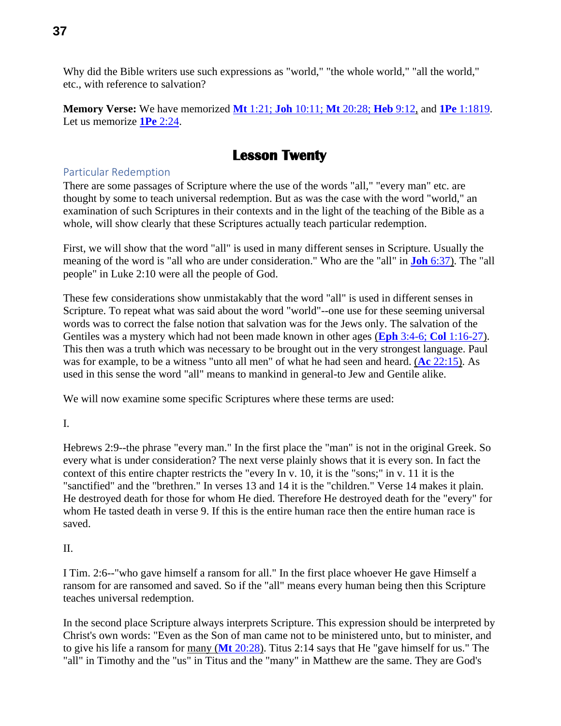Why did the Bible writers use such expressions as "world," "the whole world," "all the world," etc., with reference to salvation?

**Memory Verse:** We have memorized **Mt** 1:21; **Joh** 10:11; **Mt** 20:28; **Heb** 9:12, and **1Pe** 1:1819. Let us memorize **1Pe** 2:24.

# **Lesson Twenty**

# Particular Redemption

There are some passages of Scripture where the use of the words "all," "every man" etc. are thought by some to teach universal redemption. But as was the case with the word "world," an examination of such Scriptures in their contexts and in the light of the teaching of the Bible as a whole, will show clearly that these Scriptures actually teach particular redemption.

First, we will show that the word "all" is used in many different senses in Scripture. Usually the meaning of the word is "all who are under consideration." Who are the "all" in **Joh** 6:37). The "all people" in Luke 2:10 were all the people of God.

These few considerations show unmistakably that the word "all" is used in different senses in Scripture. To repeat what was said about the word "world"--one use for these seeming universal words was to correct the false notion that salvation was for the Jews only. The salvation of the Gentiles was a mystery which had not been made known in other ages (**Eph** 3:4-6; **Col** 1:16-27). This then was a truth which was necessary to be brought out in the very strongest language. Paul was for example, to be a witness "unto all men" of what he had seen and heard. (**Ac** 22:15). As used in this sense the word "all" means to mankind in general-to Jew and Gentile alike.

We will now examine some specific Scriptures where these terms are used:

# I.

Hebrews 2:9--the phrase "every man." In the first place the "man" is not in the original Greek. So every what is under consideration? The next verse plainly shows that it is every son. In fact the context of this entire chapter restricts the "every In v. 10, it is the "sons;" in v. 11 it is the "sanctified" and the "brethren." In verses 13 and 14 it is the "children." Verse 14 makes it plain. He destroyed death for those for whom He died. Therefore He destroyed death for the "every" for whom He tasted death in verse 9. If this is the entire human race then the entire human race is saved.

# II.

I Tim. 2:6--"who gave himself a ransom for all." In the first place whoever He gave Himself a ransom for are ransomed and saved. So if the "all" means every human being then this Scripture teaches universal redemption.

In the second place Scripture always interprets Scripture. This expression should be interpreted by Christ's own words: "Even as the Son of man came not to be ministered unto, but to minister, and to give his life a ransom for many (**Mt** 20:28). Titus 2:14 says that He "gave himself for us." The "all" in Timothy and the "us" in Titus and the "many" in Matthew are the same. They are God's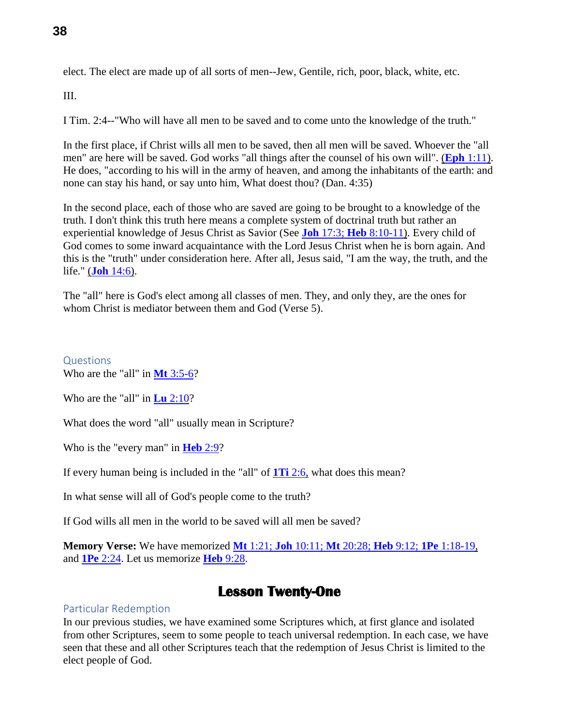elect. The elect are made up of all sorts of men--Jew, Gentile, rich, poor, black, white, etc.

III.

I Tim. 2:4--"Who will have all men to be saved and to come unto the knowledge of the truth."

In the first place, if Christ wills all men to be saved, then all men will be saved. Whoever the "all men" are here will be saved. God works "all things after the counsel of his own will". (**Eph** 1:11). He does, "according to his will in the army of heaven, and among the inhabitants of the earth: and none can stay his hand, or say unto him, What doest thou? (Dan. 4:35)

In the second place, each of those who are saved are going to be brought to a knowledge of the truth. I don't think this truth here means a complete system of doctrinal truth but rather an experiential knowledge of Jesus Christ as Savior (See **Joh** 17:3; **Heb** 8:10-11). Every child of God comes to some inward acquaintance with the Lord Jesus Christ when he is born again. And this is the "truth" under consideration here. After all, Jesus said, "I am the way, the truth, and the life." (**Joh** 14:6).

The "all" here is God's elect among all classes of men. They, and only they, are the ones for whom Christ is mediator between them and God (Verse 5).

Questions Who are the "all" in **Mt** 3:5-6?

Who are the "all" in **Lu** 2:10?

What does the word "all" usually mean in Scripture?

Who is the "every man" in **Heb** 2:9?

If every human being is included in the "all" of **1Ti** 2:6, what does this mean?

In what sense will all of God's people come to the truth?

If God wills all men in the world to be saved will all men be saved?

**Memory Verse:** We have memorized **Mt** 1:21; **Joh** 10:11; **Mt** 20:28; **Heb** 9:12; **1Pe** 1:18-19, and **1Pe** 2:24. Let us memorize **Heb** 9:28.

# **Lesson Twenty-One**

# Particular Redemption

In our previous studies, we have examined some Scriptures which, at first glance and isolated from other Scriptures, seem to some people to teach universal redemption. In each case, we have seen that these and all other Scriptures teach that the redemption of Jesus Christ is limited to the elect people of God.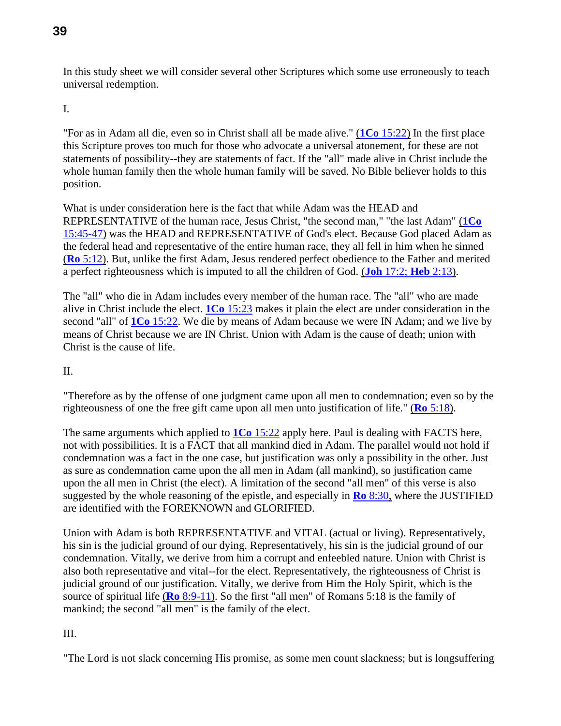In this study sheet we will consider several other Scriptures which some use erroneously to teach universal redemption.

# I.

"For as in Adam all die, even so in Christ shall all be made alive." (**1Co** 15:22) In the first place this Scripture proves too much for those who advocate a universal atonement, for these are not statements of possibility--they are statements of fact. If the "all" made alive in Christ include the whole human family then the whole human family will be saved. No Bible believer holds to this position.

What is under consideration here is the fact that while Adam was the HEAD and REPRESENTATIVE of the human race, Jesus Christ, "the second man," "the last Adam" (**1Co**  15:45-47) was the HEAD and REPRESENTATIVE of God's elect. Because God placed Adam as the federal head and representative of the entire human race, they all fell in him when he sinned (**Ro** 5:12). But, unlike the first Adam, Jesus rendered perfect obedience to the Father and merited a perfect righteousness which is imputed to all the children of God. (**Joh** 17:2; **Heb** 2:13).

The "all" who die in Adam includes every member of the human race. The "all" who are made alive in Christ include the elect. **1Co** 15:23 makes it plain the elect are under consideration in the second "all" of **1Co** 15:22. We die by means of Adam because we were IN Adam; and we live by means of Christ because we are IN Christ. Union with Adam is the cause of death; union with Christ is the cause of life.

# II.

"Therefore as by the offense of one judgment came upon all men to condemnation; even so by the righteousness of one the free gift came upon all men unto justification of life." (**Ro** 5:18).

The same arguments which applied to **1Co** 15:22 apply here. Paul is dealing with FACTS here, not with possibilities. It is a FACT that all mankind died in Adam. The parallel would not hold if condemnation was a fact in the one case, but justification was only a possibility in the other. Just as sure as condemnation came upon the all men in Adam (all mankind), so justification came upon the all men in Christ (the elect). A limitation of the second "all men" of this verse is also suggested by the whole reasoning of the epistle, and especially in **Ro** 8:30, where the JUSTIFIED are identified with the FOREKNOWN and GLORIFIED.

Union with Adam is both REPRESENTATIVE and VITAL (actual or living). Representatively, his sin is the judicial ground of our dying. Representatively, his sin is the judicial ground of our condemnation. Vitally, we derive from him a corrupt and enfeebled nature. Union with Christ is also both representative and vital--for the elect. Representatively, the righteousness of Christ is judicial ground of our justification. Vitally, we derive from Him the Holy Spirit, which is the source of spiritual life (**Ro** 8:9-11). So the first "all men" of Romans 5:18 is the family of mankind; the second "all men" is the family of the elect.

# III.

"The Lord is not slack concerning His promise, as some men count slackness; but is longsuffering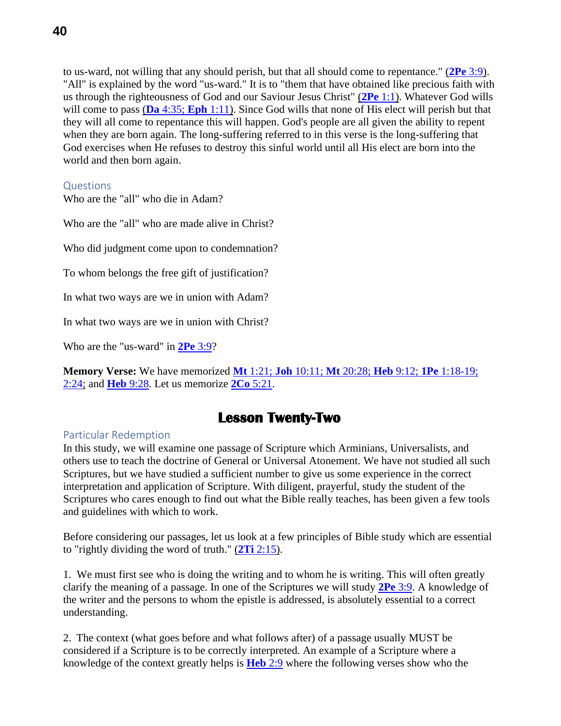to us-ward, not willing that any should perish, but that all should come to repentance." (**2Pe** 3:9). "All" is explained by the word "us-ward." It is to "them that have obtained like precious faith with us through the righteousness of God and our Saviour Jesus Christ" (**2Pe** 1:1). Whatever God wills will come to pass (**Da** 4:35; **Eph** 1:11). Since God wills that none of His elect will perish but that they will all come to repentance this will happen. God's people are all given the ability to repent when they are born again. The long-suffering referred to in this verse is the long-suffering that God exercises when He refuses to destroy this sinful world until all His elect are born into the world and then born again.

# **Questions**

Who are the "all" who die in Adam?

Who are the "all" who are made alive in Christ?

Who did judgment come upon to condemnation?

To whom belongs the free gift of justification?

In what two ways are we in union with Adam?

In what two ways are we in union with Christ?

Who are the "us-ward" in **2Pe** 3:9?

**Memory Verse:** We have memorized **Mt** 1:21; **Joh** 10:11; **Mt** 20:28; **Heb** 9:12; **1Pe** 1:18-19; 2:24; and **Heb** 9:28. Let us memorize **2Co** 5:21.

# **Lesson Twenty-Two**

### Particular Redemption

In this study, we will examine one passage of Scripture which Arminians, Universalists, and others use to teach the doctrine of General or Universal Atonement. We have not studied all such Scriptures, but we have studied a sufficient number to give us some experience in the correct interpretation and application of Scripture. With diligent, prayerful, study the student of the Scriptures who cares enough to find out what the Bible really teaches, has been given a few tools and guidelines with which to work.

Before considering our passages, let us look at a few principles of Bible study which are essential to "rightly dividing the word of truth." (**2Ti** 2:15).

1. We must first see who is doing the writing and to whom he is writing. This will often greatly clarify the meaning of a passage. In one of the Scriptures we will study **2Pe** 3:9. A knowledge of the writer and the persons to whom the epistle is addressed, is absolutely essential to a correct understanding.

2. The context (what goes before and what follows after) of a passage usually MUST be considered if a Scripture is to be correctly interpreted. An example of a Scripture where a knowledge of the context greatly helps is **Heb** 2:9 where the following verses show who the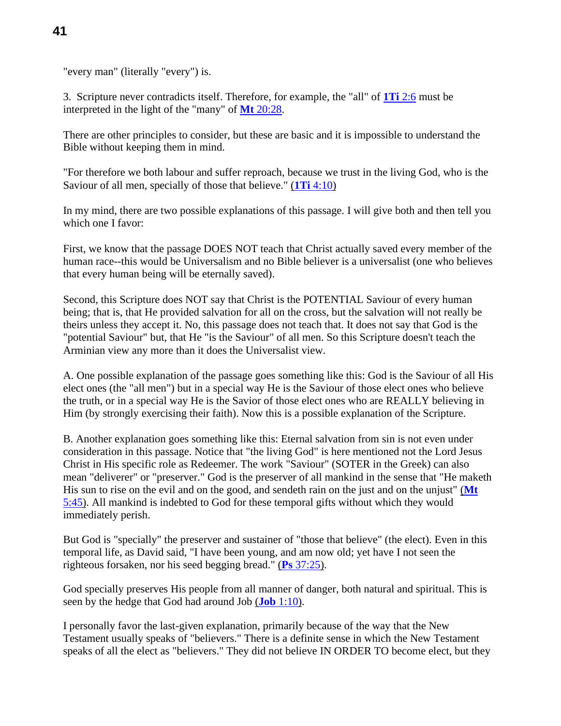"every man" (literally "every") is.

3. Scripture never contradicts itself. Therefore, for example, the "all" of **1Ti** 2:6 must be interpreted in the light of the "many" of **Mt** 20:28.

There are other principles to consider, but these are basic and it is impossible to understand the Bible without keeping them in mind.

"For therefore we both labour and suffer reproach, because we trust in the living God, who is the Saviour of all men, specially of those that believe." (**1Ti** 4:10)

In my mind, there are two possible explanations of this passage. I will give both and then tell you which one I favor:

First, we know that the passage DOES NOT teach that Christ actually saved every member of the human race--this would be Universalism and no Bible believer is a universalist (one who believes that every human being will be eternally saved).

Second, this Scripture does NOT say that Christ is the POTENTIAL Saviour of every human being; that is, that He provided salvation for all on the cross, but the salvation will not really be theirs unless they accept it. No, this passage does not teach that. It does not say that God is the "potential Saviour" but, that He "is the Saviour" of all men. So this Scripture doesn't teach the Arminian view any more than it does the Universalist view.

A. One possible explanation of the passage goes something like this: God is the Saviour of all His elect ones (the "all men") but in a special way He is the Saviour of those elect ones who believe the truth, or in a special way He is the Savior of those elect ones who are REALLY believing in Him (by strongly exercising their faith). Now this is a possible explanation of the Scripture.

B. Another explanation goes something like this: Eternal salvation from sin is not even under consideration in this passage. Notice that "the living God" is here mentioned not the Lord Jesus Christ in His specific role as Redeemer. The work "Saviour" (SOTER in the Greek) can also mean "deliverer" or "preserver." God is the preserver of all mankind in the sense that "He maketh His sun to rise on the evil and on the good, and sendeth rain on the just and on the unjust" (**Mt**  5:45). All mankind is indebted to God for these temporal gifts without which they would immediately perish.

But God is "specially" the preserver and sustainer of "those that believe" (the elect). Even in this temporal life, as David said, "I have been young, and am now old; yet have I not seen the righteous forsaken, nor his seed begging bread." (**Ps** 37:25).

God specially preserves His people from all manner of danger, both natural and spiritual. This is seen by the hedge that God had around Job (**Job** 1:10).

I personally favor the last-given explanation, primarily because of the way that the New Testament usually speaks of "believers." There is a definite sense in which the New Testament speaks of all the elect as "believers." They did not believe IN ORDER TO become elect, but they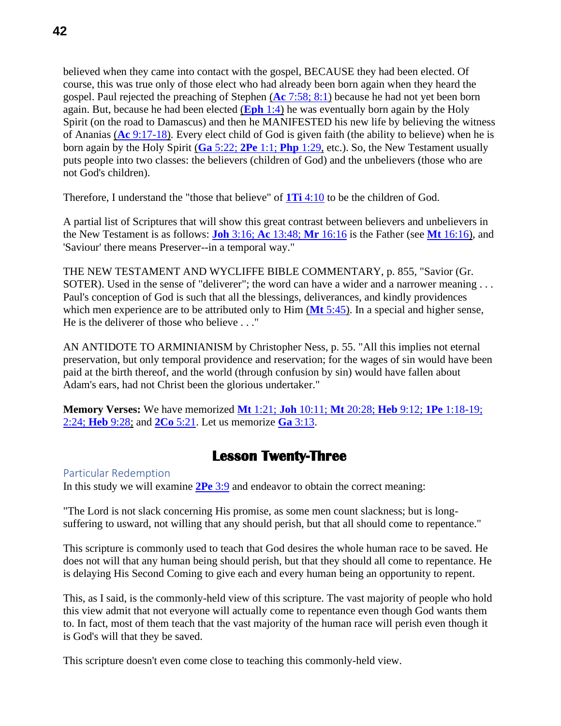believed when they came into contact with the gospel, BECAUSE they had been elected. Of course, this was true only of those elect who had already been born again when they heard the gospel. Paul rejected the preaching of Stephen (**Ac** 7:58; 8:1) because he had not yet been born again. But, because he had been elected (**Eph** 1:4) he was eventually born again by the Holy Spirit (on the road to Damascus) and then he MANIFESTED his new life by believing the witness of Ananias (**Ac** 9:17-18). Every elect child of God is given faith (the ability to believe) when he is born again by the Holy Spirit (**Ga** 5:22; **2Pe** 1:1; **Php** 1:29, etc.). So, the New Testament usually puts people into two classes: the believers (children of God) and the unbelievers (those who are not God's children).

Therefore, I understand the "those that believe" of **1Ti** 4:10 to be the children of God.

A partial list of Scriptures that will show this great contrast between believers and unbelievers in the New Testament is as follows: **Joh** 3:16; **Ac** 13:48; **Mr** 16:16 is the Father (see **Mt** 16:16), and 'Saviour' there means Preserver--in a temporal way."

THE NEW TESTAMENT AND WYCLIFFE BIBLE COMMENTARY, p. 855, "Savior (Gr. SOTER). Used in the sense of "deliverer"; the word can have a wider and a narrower meaning . . . Paul's conception of God is such that all the blessings, deliverances, and kindly providences which men experience are to be attributed only to Him (**Mt** 5:45). In a special and higher sense, He is the deliverer of those who believe . . ."

AN ANTIDOTE TO ARMINIANISM by Christopher Ness, p. 55. "All this implies not eternal preservation, but only temporal providence and reservation; for the wages of sin would have been paid at the birth thereof, and the world (through confusion by sin) would have fallen about Adam's ears, had not Christ been the glorious undertaker."

**Memory Verses:** We have memorized **Mt** 1:21; **Joh** 10:11; **Mt** 20:28; **Heb** 9:12; **1Pe** 1:18-19; 2:24; **Heb** 9:28; and **2Co** 5:21. Let us memorize **Ga** 3:13.

# **Lesson Twenty-Three**

Particular Redemption

In this study we will examine **2Pe** 3:9 and endeavor to obtain the correct meaning:

"The Lord is not slack concerning His promise, as some men count slackness; but is longsuffering to usward, not willing that any should perish, but that all should come to repentance."

This scripture is commonly used to teach that God desires the whole human race to be saved. He does not will that any human being should perish, but that they should all come to repentance. He is delaying His Second Coming to give each and every human being an opportunity to repent.

This, as I said, is the commonly-held view of this scripture. The vast majority of people who hold this view admit that not everyone will actually come to repentance even though God wants them to. In fact, most of them teach that the vast majority of the human race will perish even though it is God's will that they be saved.

This scripture doesn't even come close to teaching this commonly-held view.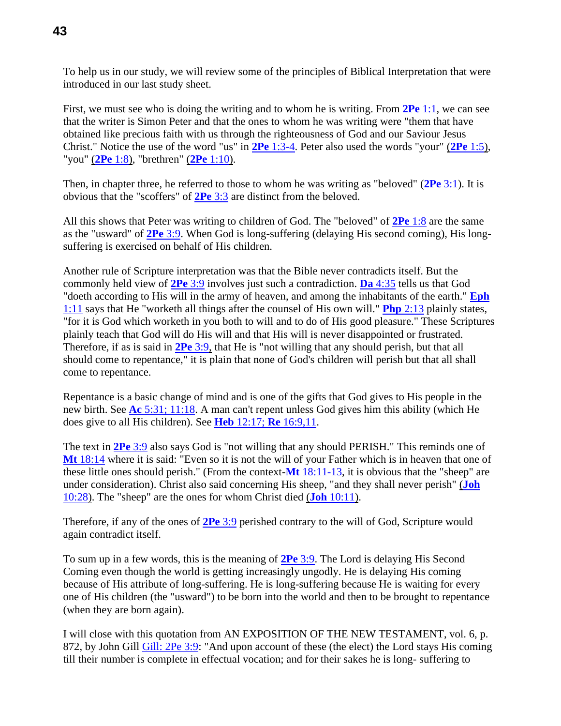To help us in our study, we will review some of the principles of Biblical Interpretation that were introduced in our last study sheet.

First, we must see who is doing the writing and to whom he is writing. From **2Pe** 1:1, we can see that the writer is Simon Peter and that the ones to whom he was writing were "them that have obtained like precious faith with us through the righteousness of God and our Saviour Jesus Christ." Notice the use of the word "us" in **2Pe** 1:3-4. Peter also used the words "your" (**2Pe** 1:5), "you" (**2Pe** 1:8), "brethren" (**2Pe** 1:10).

Then, in chapter three, he referred to those to whom he was writing as "beloved" (**2Pe** 3:1). It is obvious that the "scoffers" of **2Pe** 3:3 are distinct from the beloved.

All this shows that Peter was writing to children of God. The "beloved" of **2Pe** 1:8 are the same as the "usward" of **2Pe** 3:9. When God is long-suffering (delaying His second coming), His longsuffering is exercised on behalf of His children.

Another rule of Scripture interpretation was that the Bible never contradicts itself. But the commonly held view of **2Pe** 3:9 involves just such a contradiction. **Da** 4:35 tells us that God "doeth according to His will in the army of heaven, and among the inhabitants of the earth." **Eph**  1:11 says that He "worketh all things after the counsel of His own will." **Php** 2:13 plainly states, "for it is God which worketh in you both to will and to do of His good pleasure." These Scriptures plainly teach that God will do His will and that His will is never disappointed or frustrated. Therefore, if as is said in **2Pe** 3:9, that He is "not willing that any should perish, but that all should come to repentance," it is plain that none of God's children will perish but that all shall come to repentance.

Repentance is a basic change of mind and is one of the gifts that God gives to His people in the new birth. See **Ac** 5:31; 11:18. A man can't repent unless God gives him this ability (which He does give to all His children). See **Heb** 12:17; **Re** 16:9,11.

The text in **2Pe** 3:9 also says God is "not willing that any should PERISH." This reminds one of **Mt** 18:14 where it is said: "Even so it is not the will of your Father which is in heaven that one of these little ones should perish." (From the context-**Mt** 18:11-13, it is obvious that the "sheep" are under consideration). Christ also said concerning His sheep, "and they shall never perish" (**Joh**  10:28). The "sheep" are the ones for whom Christ died (**Joh** 10:11).

Therefore, if any of the ones of **2Pe** 3:9 perished contrary to the will of God, Scripture would again contradict itself.

To sum up in a few words, this is the meaning of **2Pe** 3:9. The Lord is delaying His Second Coming even though the world is getting increasingly ungodly. He is delaying His coming because of His attribute of long-suffering. He is long-suffering because He is waiting for every one of His children (the "usward") to be born into the world and then to be brought to repentance (when they are born again).

I will close with this quotation from AN EXPOSITION OF THE NEW TESTAMENT, vol. 6, p. 872, by John Gill Gill: 2Pe 3:9: "And upon account of these (the elect) the Lord stays His coming till their number is complete in effectual vocation; and for their sakes he is long- suffering to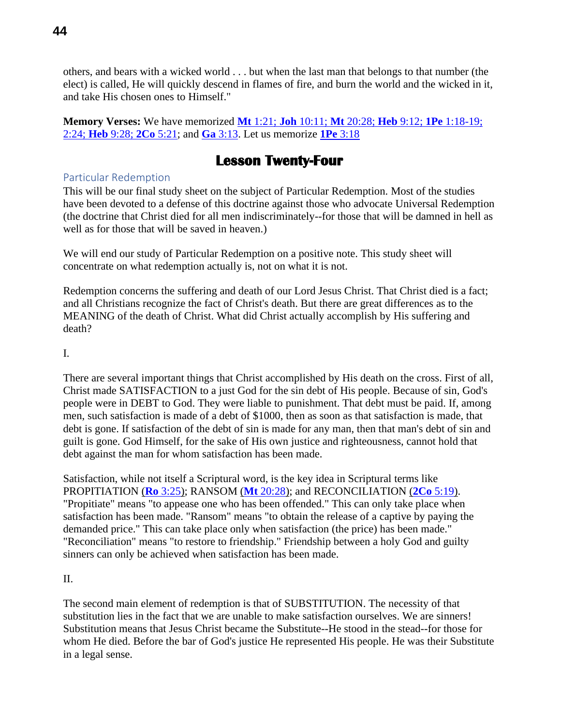others, and bears with a wicked world . . . but when the last man that belongs to that number (the elect) is called, He will quickly descend in flames of fire, and burn the world and the wicked in it, and take His chosen ones to Himself."

**Memory Verses:** We have memorized **Mt** 1:21; **Joh** 10:11; **Mt** 20:28; **Heb** 9:12; **1Pe** 1:18-19; 2:24; **Heb** 9:28; **2Co** 5:21; and **Ga** 3:13. Let us memorize **1Pe** 3:18

# **Lesson Twenty-Four**

# Particular Redemption

This will be our final study sheet on the subject of Particular Redemption. Most of the studies have been devoted to a defense of this doctrine against those who advocate Universal Redemption (the doctrine that Christ died for all men indiscriminately--for those that will be damned in hell as well as for those that will be saved in heaven.)

We will end our study of Particular Redemption on a positive note. This study sheet will concentrate on what redemption actually is, not on what it is not.

Redemption concerns the suffering and death of our Lord Jesus Christ. That Christ died is a fact; and all Christians recognize the fact of Christ's death. But there are great differences as to the MEANING of the death of Christ. What did Christ actually accomplish by His suffering and death?

### I.

There are several important things that Christ accomplished by His death on the cross. First of all, Christ made SATISFACTION to a just God for the sin debt of His people. Because of sin, God's people were in DEBT to God. They were liable to punishment. That debt must be paid. If, among men, such satisfaction is made of a debt of \$1000, then as soon as that satisfaction is made, that debt is gone. If satisfaction of the debt of sin is made for any man, then that man's debt of sin and guilt is gone. God Himself, for the sake of His own justice and righteousness, cannot hold that debt against the man for whom satisfaction has been made.

Satisfaction, while not itself a Scriptural word, is the key idea in Scriptural terms like PROPITIATION (**Ro** 3:25); RANSOM (**Mt** 20:28); and RECONCILIATION (**2Co** 5:19). "Propitiate" means "to appease one who has been offended." This can only take place when satisfaction has been made. "Ransom" means "to obtain the release of a captive by paying the demanded price." This can take place only when satisfaction (the price) has been made." "Reconciliation" means "to restore to friendship." Friendship between a holy God and guilty sinners can only be achieved when satisfaction has been made.

### II.

The second main element of redemption is that of SUBSTITUTION. The necessity of that substitution lies in the fact that we are unable to make satisfaction ourselves. We are sinners! Substitution means that Jesus Christ became the Substitute--He stood in the stead--for those for whom He died. Before the bar of God's justice He represented His people. He was their Substitute in a legal sense.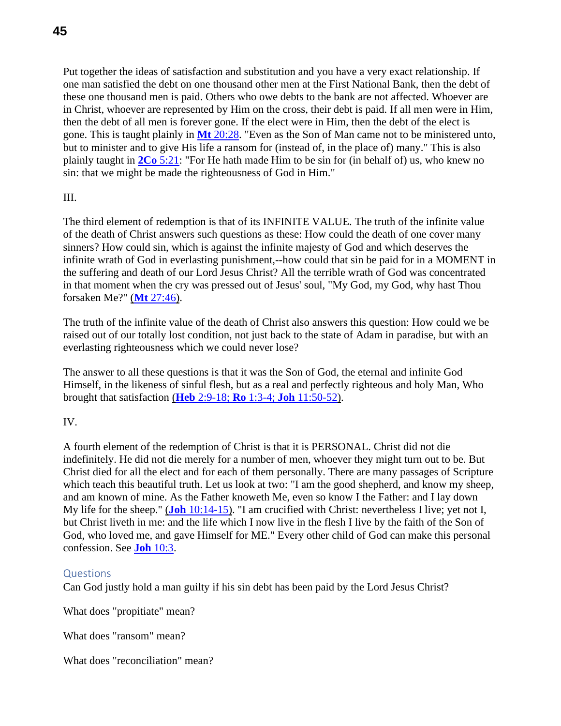Put together the ideas of satisfaction and substitution and you have a very exact relationship. If one man satisfied the debt on one thousand other men at the First National Bank, then the debt of these one thousand men is paid. Others who owe debts to the bank are not affected. Whoever are in Christ, whoever are represented by Him on the cross, their debt is paid. If all men were in Him, then the debt of all men is forever gone. If the elect were in Him, then the debt of the elect is gone. This is taught plainly in **Mt** 20:28. "Even as the Son of Man came not to be ministered unto, but to minister and to give His life a ransom for (instead of, in the place of) many." This is also plainly taught in **2Co** 5:21: "For He hath made Him to be sin for (in behalf of) us, who knew no

sin: that we might be made the righteousness of God in Him."

### III.

The third element of redemption is that of its INFINITE VALUE. The truth of the infinite value of the death of Christ answers such questions as these: How could the death of one cover many sinners? How could sin, which is against the infinite majesty of God and which deserves the infinite wrath of God in everlasting punishment,--how could that sin be paid for in a MOMENT in the suffering and death of our Lord Jesus Christ? All the terrible wrath of God was concentrated in that moment when the cry was pressed out of Jesus' soul, "My God, my God, why hast Thou forsaken Me?" (**Mt** 27:46).

The truth of the infinite value of the death of Christ also answers this question: How could we be raised out of our totally lost condition, not just back to the state of Adam in paradise, but with an everlasting righteousness which we could never lose?

The answer to all these questions is that it was the Son of God, the eternal and infinite God Himself, in the likeness of sinful flesh, but as a real and perfectly righteous and holy Man, Who brought that satisfaction (**Heb** 2:9-18; **Ro** 1:3-4; **Joh** 11:50-52).

### IV.

A fourth element of the redemption of Christ is that it is PERSONAL. Christ did not die indefinitely. He did not die merely for a number of men, whoever they might turn out to be. But Christ died for all the elect and for each of them personally. There are many passages of Scripture which teach this beautiful truth. Let us look at two: "I am the good shepherd, and know my sheep, and am known of mine. As the Father knoweth Me, even so know I the Father: and I lay down My life for the sheep." (**Joh** 10:14-15). "I am crucified with Christ: nevertheless I live; yet not I, but Christ liveth in me: and the life which I now live in the flesh I live by the faith of the Son of God, who loved me, and gave Himself for ME." Every other child of God can make this personal confession. See **Joh** 10:3.

### Questions

Can God justly hold a man guilty if his sin debt has been paid by the Lord Jesus Christ?

What does "propitiate" mean?

What does "ransom" mean?

What does "reconciliation" mean?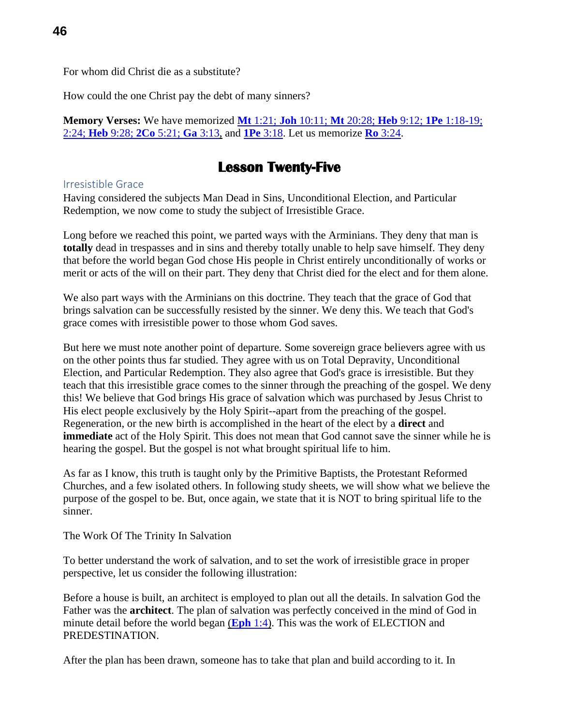How could the one Christ pay the debt of many sinners?

**Memory Verses:** We have memorized **Mt** 1:21; **Joh** 10:11; **Mt** 20:28; **Heb** 9:12; **1Pe** 1:18-19; 2:24; **Heb** 9:28; **2Co** 5:21; **Ga** 3:13, and **1Pe** 3:18. Let us memorize **Ro** 3:24.

# **Lesson Twenty-Five**

# Irresistible Grace

Having considered the subjects Man Dead in Sins, Unconditional Election, and Particular Redemption, we now come to study the subject of Irresistible Grace.

Long before we reached this point, we parted ways with the Arminians. They deny that man is **totally** dead in trespasses and in sins and thereby totally unable to help save himself. They deny that before the world began God chose His people in Christ entirely unconditionally of works or merit or acts of the will on their part. They deny that Christ died for the elect and for them alone.

We also part ways with the Arminians on this doctrine. They teach that the grace of God that brings salvation can be successfully resisted by the sinner. We deny this. We teach that God's grace comes with irresistible power to those whom God saves.

But here we must note another point of departure. Some sovereign grace believers agree with us on the other points thus far studied. They agree with us on Total Depravity, Unconditional Election, and Particular Redemption. They also agree that God's grace is irresistible. But they teach that this irresistible grace comes to the sinner through the preaching of the gospel. We deny this! We believe that God brings His grace of salvation which was purchased by Jesus Christ to His elect people exclusively by the Holy Spirit--apart from the preaching of the gospel. Regeneration, or the new birth is accomplished in the heart of the elect by a **direct** and **immediate** act of the Holy Spirit. This does not mean that God cannot save the sinner while he is hearing the gospel. But the gospel is not what brought spiritual life to him.

As far as I know, this truth is taught only by the Primitive Baptists, the Protestant Reformed Churches, and a few isolated others. In following study sheets, we will show what we believe the purpose of the gospel to be. But, once again, we state that it is NOT to bring spiritual life to the sinner.

The Work Of The Trinity In Salvation

To better understand the work of salvation, and to set the work of irresistible grace in proper perspective, let us consider the following illustration:

Before a house is built, an architect is employed to plan out all the details. In salvation God the Father was the **architect**. The plan of salvation was perfectly conceived in the mind of God in minute detail before the world began (**Eph** 1:4). This was the work of ELECTION and PREDESTINATION.

After the plan has been drawn, someone has to take that plan and build according to it. In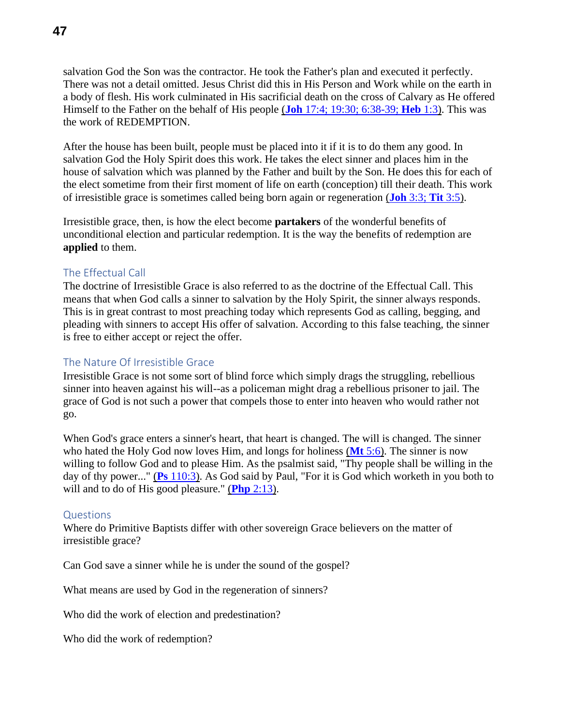salvation God the Son was the contractor. He took the Father's plan and executed it perfectly. There was not a detail omitted. Jesus Christ did this in His Person and Work while on the earth in a body of flesh. His work culminated in His sacrificial death on the cross of Calvary as He offered Himself to the Father on the behalf of His people (**Joh** 17:4; 19:30; 6:38-39; **Heb** 1:3). This was the work of REDEMPTION.

After the house has been built, people must be placed into it if it is to do them any good. In salvation God the Holy Spirit does this work. He takes the elect sinner and places him in the house of salvation which was planned by the Father and built by the Son. He does this for each of the elect sometime from their first moment of life on earth (conception) till their death. This work of irresistible grace is sometimes called being born again or regeneration (**Joh** 3:3; **Tit** 3:5).

Irresistible grace, then, is how the elect become **partakers** of the wonderful benefits of unconditional election and particular redemption. It is the way the benefits of redemption are **applied** to them.

# The Effectual Call

The doctrine of Irresistible Grace is also referred to as the doctrine of the Effectual Call. This means that when God calls a sinner to salvation by the Holy Spirit, the sinner always responds. This is in great contrast to most preaching today which represents God as calling, begging, and pleading with sinners to accept His offer of salvation. According to this false teaching, the sinner is free to either accept or reject the offer.

# The Nature Of Irresistible Grace

Irresistible Grace is not some sort of blind force which simply drags the struggling, rebellious sinner into heaven against his will--as a policeman might drag a rebellious prisoner to jail. The grace of God is not such a power that compels those to enter into heaven who would rather not go.

When God's grace enters a sinner's heart, that heart is changed. The will is changed. The sinner who hated the Holy God now loves Him, and longs for holiness (**Mt** 5:6). The sinner is now willing to follow God and to please Him. As the psalmist said, "Thy people shall be willing in the day of thy power..." (**Ps** 110:3). As God said by Paul, "For it is God which worketh in you both to will and to do of His good pleasure." (**Php** 2:13).

# Questions

Where do Primitive Baptists differ with other sovereign Grace believers on the matter of irresistible grace?

Can God save a sinner while he is under the sound of the gospel?

What means are used by God in the regeneration of sinners?

Who did the work of election and predestination?

Who did the work of redemption?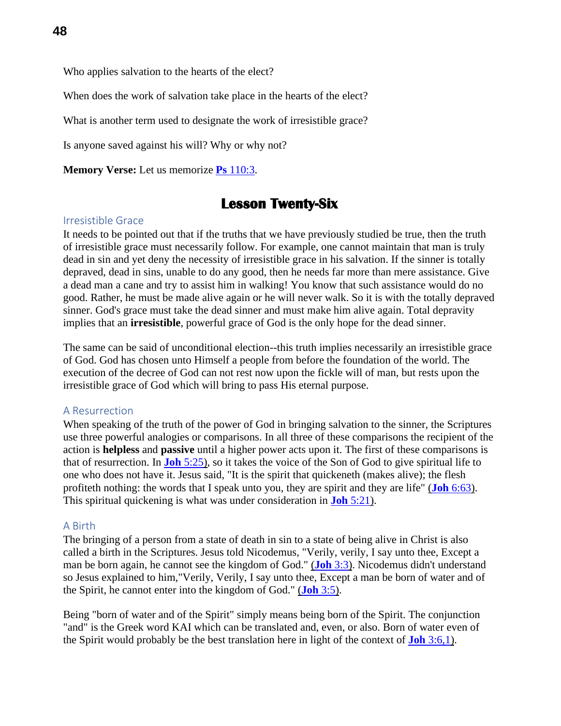Who applies salvation to the hearts of the elect?

When does the work of salvation take place in the hearts of the elect?

What is another term used to designate the work of irresistible grace?

Is anyone saved against his will? Why or why not?

**Memory Verse:** Let us memorize **Ps** 110:3.

# **Lesson Twenty-Six**

#### Irresistible Grace

It needs to be pointed out that if the truths that we have previously studied be true, then the truth of irresistible grace must necessarily follow. For example, one cannot maintain that man is truly dead in sin and yet deny the necessity of irresistible grace in his salvation. If the sinner is totally depraved, dead in sins, unable to do any good, then he needs far more than mere assistance. Give a dead man a cane and try to assist him in walking! You know that such assistance would do no good. Rather, he must be made alive again or he will never walk. So it is with the totally depraved sinner. God's grace must take the dead sinner and must make him alive again. Total depravity implies that an **irresistible**, powerful grace of God is the only hope for the dead sinner.

The same can be said of unconditional election--this truth implies necessarily an irresistible grace of God. God has chosen unto Himself a people from before the foundation of the world. The execution of the decree of God can not rest now upon the fickle will of man, but rests upon the irresistible grace of God which will bring to pass His eternal purpose.

#### A Resurrection

When speaking of the truth of the power of God in bringing salvation to the sinner, the Scriptures use three powerful analogies or comparisons. In all three of these comparisons the recipient of the action is **helpless** and **passive** until a higher power acts upon it. The first of these comparisons is that of resurrection. In **Joh** 5:25), so it takes the voice of the Son of God to give spiritual life to one who does not have it. Jesus said, "It is the spirit that quickeneth (makes alive); the flesh profiteth nothing: the words that I speak unto you, they are spirit and they are life" (**Joh** 6:63). This spiritual quickening is what was under consideration in **Joh** 5:21).

#### A Birth

The bringing of a person from a state of death in sin to a state of being alive in Christ is also called a birth in the Scriptures. Jesus told Nicodemus, "Verily, verily, I say unto thee, Except a man be born again, he cannot see the kingdom of God." (**Joh** 3:3). Nicodemus didn't understand so Jesus explained to him,"Verily, Verily, I say unto thee, Except a man be born of water and of the Spirit, he cannot enter into the kingdom of God." (**Joh** 3:5).

Being "born of water and of the Spirit" simply means being born of the Spirit. The conjunction "and" is the Greek word KAI which can be translated and, even, or also. Born of water even of the Spirit would probably be the best translation here in light of the context of **Joh** 3:6,1).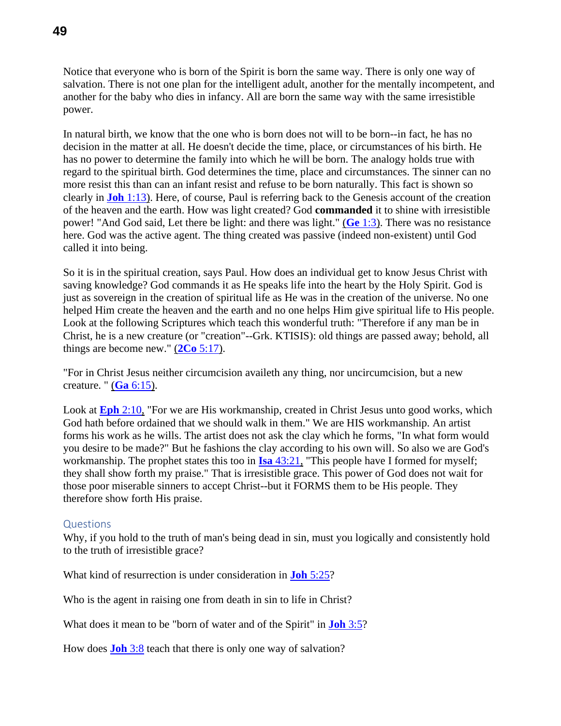Notice that everyone who is born of the Spirit is born the same way. There is only one way of salvation. There is not one plan for the intelligent adult, another for the mentally incompetent, and another for the baby who dies in infancy. All are born the same way with the same irresistible power.

In natural birth, we know that the one who is born does not will to be born--in fact, he has no decision in the matter at all. He doesn't decide the time, place, or circumstances of his birth. He has no power to determine the family into which he will be born. The analogy holds true with regard to the spiritual birth. God determines the time, place and circumstances. The sinner can no more resist this than can an infant resist and refuse to be born naturally. This fact is shown so clearly in **Joh** 1:13). Here, of course, Paul is referring back to the Genesis account of the creation of the heaven and the earth. How was light created? God **commanded** it to shine with irresistible power! "And God said, Let there be light: and there was light." (**Ge** 1:3). There was no resistance here. God was the active agent. The thing created was passive (indeed non-existent) until God called it into being.

So it is in the spiritual creation, says Paul. How does an individual get to know Jesus Christ with saving knowledge? God commands it as He speaks life into the heart by the Holy Spirit. God is just as sovereign in the creation of spiritual life as He was in the creation of the universe. No one helped Him create the heaven and the earth and no one helps Him give spiritual life to His people. Look at the following Scriptures which teach this wonderful truth: "Therefore if any man be in Christ, he is a new creature (or "creation"--Grk. KTISIS): old things are passed away; behold, all things are become new." (**2Co** 5:17).

"For in Christ Jesus neither circumcision availeth any thing, nor uncircumcision, but a new creature. " (**Ga** 6:15).

Look at **Eph** 2:10, "For we are His workmanship, created in Christ Jesus unto good works, which God hath before ordained that we should walk in them." We are HIS workmanship. An artist forms his work as he wills. The artist does not ask the clay which he forms, "In what form would you desire to be made?" But he fashions the clay according to his own will. So also we are God's workmanship. The prophet states this too in **Isa** 43:21, "This people have I formed for myself; they shall show forth my praise." That is irresistible grace. This power of God does not wait for those poor miserable sinners to accept Christ--but it FORMS them to be His people. They therefore show forth His praise.

### Questions

Why, if you hold to the truth of man's being dead in sin, must you logically and consistently hold to the truth of irresistible grace?

What kind of resurrection is under consideration in **Joh** 5:25?

Who is the agent in raising one from death in sin to life in Christ?

What does it mean to be "born of water and of the Spirit" in **Joh** 3:5?

How does **Joh** 3:8 teach that there is only one way of salvation?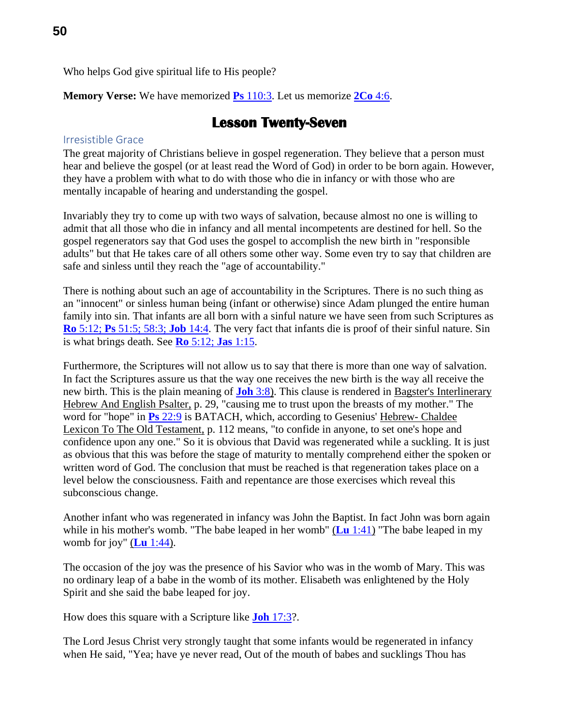Who helps God give spiritual life to His people?

**Memory Verse:** We have memorized **Ps** 110:3. Let us memorize **2Co** 4:6.

# **Lesson Twenty-Seven**

### Irresistible Grace

The great majority of Christians believe in gospel regeneration. They believe that a person must hear and believe the gospel (or at least read the Word of God) in order to be born again. However, they have a problem with what to do with those who die in infancy or with those who are mentally incapable of hearing and understanding the gospel.

Invariably they try to come up with two ways of salvation, because almost no one is willing to admit that all those who die in infancy and all mental incompetents are destined for hell. So the gospel regenerators say that God uses the gospel to accomplish the new birth in "responsible adults" but that He takes care of all others some other way. Some even try to say that children are safe and sinless until they reach the "age of accountability."

There is nothing about such an age of accountability in the Scriptures. There is no such thing as an "innocent" or sinless human being (infant or otherwise) since Adam plunged the entire human family into sin. That infants are all born with a sinful nature we have seen from such Scriptures as **Ro** 5:12; **Ps** 51:5; 58:3; **Job** 14:4. The very fact that infants die is proof of their sinful nature. Sin is what brings death. See **Ro** 5:12; **Jas** 1:15.

Furthermore, the Scriptures will not allow us to say that there is more than one way of salvation. In fact the Scriptures assure us that the way one receives the new birth is the way all receive the new birth. This is the plain meaning of **Joh** 3:8). This clause is rendered in Bagster's Interlinerary Hebrew And English Psalter, p. 29, "causing me to trust upon the breasts of my mother." The word for "hope" in **Ps** 22:9 is BATACH, which, according to Gesenius' Hebrew- Chaldee Lexicon To The Old Testament, p. 112 means, "to confide in anyone, to set one's hope and confidence upon any one." So it is obvious that David was regenerated while a suckling. It is just as obvious that this was before the stage of maturity to mentally comprehend either the spoken or written word of God. The conclusion that must be reached is that regeneration takes place on a level below the consciousness. Faith and repentance are those exercises which reveal this subconscious change.

Another infant who was regenerated in infancy was John the Baptist. In fact John was born again while in his mother's womb. "The babe leaped in her womb" (**Lu** 1:41) "The babe leaped in my womb for joy" (**Lu** 1:44).

The occasion of the joy was the presence of his Savior who was in the womb of Mary. This was no ordinary leap of a babe in the womb of its mother. Elisabeth was enlightened by the Holy Spirit and she said the babe leaped for joy.

How does this square with a Scripture like **Joh** 17:3?.

The Lord Jesus Christ very strongly taught that some infants would be regenerated in infancy when He said, "Yea; have ye never read, Out of the mouth of babes and sucklings Thou has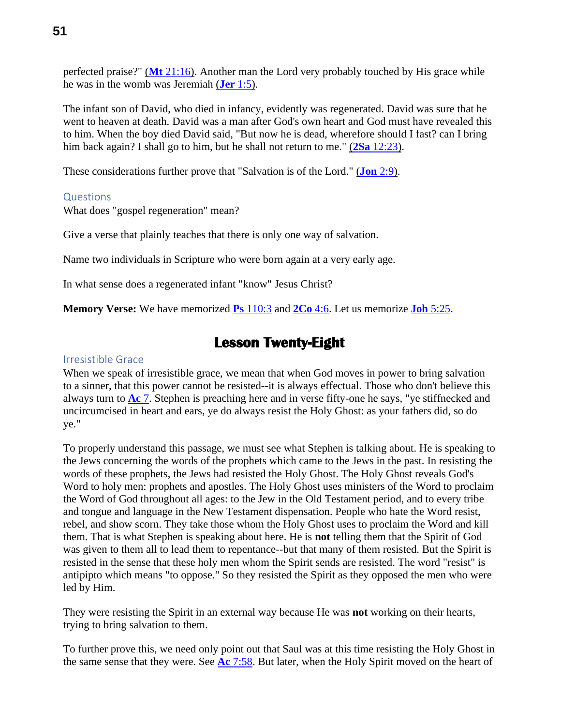perfected praise?" (**Mt** 21:16). Another man the Lord very probably touched by His grace while he was in the womb was Jeremiah (**Jer** 1:5).

The infant son of David, who died in infancy, evidently was regenerated. David was sure that he went to heaven at death. David was a man after God's own heart and God must have revealed this to him. When the boy died David said, "But now he is dead, wherefore should I fast? can I bring him back again? I shall go to him, but he shall not return to me." (**2Sa** 12:23).

These considerations further prove that "Salvation is of the Lord." (**Jon** 2:9).

### Questions

What does "gospel regeneration" mean?

Give a verse that plainly teaches that there is only one way of salvation.

Name two individuals in Scripture who were born again at a very early age.

In what sense does a regenerated infant "know" Jesus Christ?

**Memory Verse:** We have memorized **Ps** 110:3 and **2Co** 4:6. Let us memorize **Joh** 5:25.

# **Lesson Twenty-Eight**

#### Irresistible Grace

When we speak of irresistible grace, we mean that when God moves in power to bring salvation to a sinner, that this power cannot be resisted--it is always effectual. Those who don't believe this always turn to **Ac** 7. Stephen is preaching here and in verse fifty-one he says, "ye stiffnecked and uncircumcised in heart and ears, ye do always resist the Holy Ghost: as your fathers did, so do ye."

To properly understand this passage, we must see what Stephen is talking about. He is speaking to the Jews concerning the words of the prophets which came to the Jews in the past. In resisting the words of these prophets, the Jews had resisted the Holy Ghost. The Holy Ghost reveals God's Word to holy men: prophets and apostles. The Holy Ghost uses ministers of the Word to proclaim the Word of God throughout all ages: to the Jew in the Old Testament period, and to every tribe and tongue and language in the New Testament dispensation. People who hate the Word resist, rebel, and show scorn. They take those whom the Holy Ghost uses to proclaim the Word and kill them. That is what Stephen is speaking about here. He is **not** telling them that the Spirit of God was given to them all to lead them to repentance--but that many of them resisted. But the Spirit is resisted in the sense that these holy men whom the Spirit sends are resisted. The word "resist" is antipipto which means "to oppose." So they resisted the Spirit as they opposed the men who were led by Him.

They were resisting the Spirit in an external way because He was **not** working on their hearts, trying to bring salvation to them.

To further prove this, we need only point out that Saul was at this time resisting the Holy Ghost in the same sense that they were. See **Ac** 7:58. But later, when the Holy Spirit moved on the heart of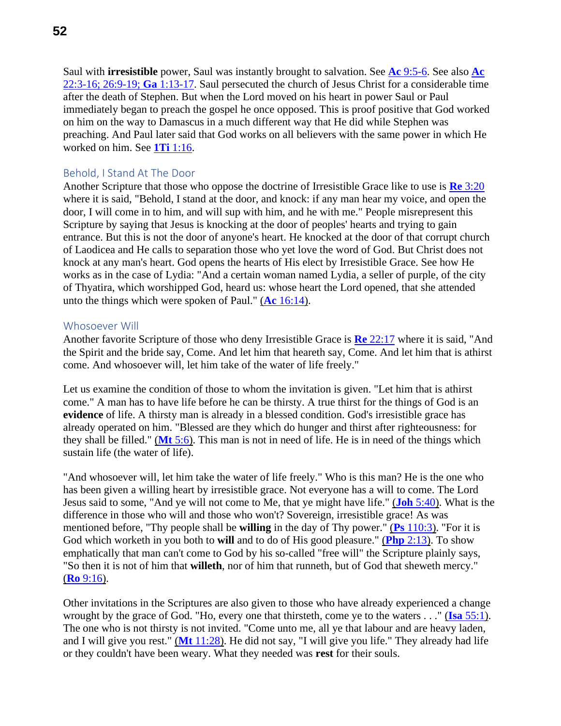**52**

Saul with **irresistible** power, Saul was instantly brought to salvation. See **Ac** 9:5-6. See also **Ac**  22:3-16; 26:9-19; **Ga** 1:13-17. Saul persecuted the church of Jesus Christ for a considerable time after the death of Stephen. But when the Lord moved on his heart in power Saul or Paul immediately began to preach the gospel he once opposed. This is proof positive that God worked on him on the way to Damascus in a much different way that He did while Stephen was preaching. And Paul later said that God works on all believers with the same power in which He worked on him. See **1Ti** 1:16.

# Behold, I Stand At The Door

Another Scripture that those who oppose the doctrine of Irresistible Grace like to use is **Re** 3:20 where it is said, "Behold, I stand at the door, and knock: if any man hear my voice, and open the door, I will come in to him, and will sup with him, and he with me." People misrepresent this Scripture by saying that Jesus is knocking at the door of peoples' hearts and trying to gain entrance. But this is not the door of anyone's heart. He knocked at the door of that corrupt church of Laodicea and He calls to separation those who yet love the word of God. But Christ does not knock at any man's heart. God opens the hearts of His elect by Irresistible Grace. See how He works as in the case of Lydia: "And a certain woman named Lydia, a seller of purple, of the city of Thyatira, which worshipped God, heard us: whose heart the Lord opened, that she attended unto the things which were spoken of Paul." (**Ac** 16:14).

### Whosoever Will

Another favorite Scripture of those who deny Irresistible Grace is **Re** 22:17 where it is said, "And the Spirit and the bride say, Come. And let him that heareth say, Come. And let him that is athirst come. And whosoever will, let him take of the water of life freely."

Let us examine the condition of those to whom the invitation is given. "Let him that is athirst come." A man has to have life before he can be thirsty. A true thirst for the things of God is an **evidence** of life. A thirsty man is already in a blessed condition. God's irresistible grace has already operated on him. "Blessed are they which do hunger and thirst after righteousness: for they shall be filled." (**Mt** 5:6). This man is not in need of life. He is in need of the things which sustain life (the water of life).

"And whosoever will, let him take the water of life freely." Who is this man? He is the one who has been given a willing heart by irresistible grace. Not everyone has a will to come. The Lord Jesus said to some, "And ye will not come to Me, that ye might have life." (**Joh** 5:40). What is the difference in those who will and those who won't? Sovereign, irresistible grace! As was mentioned before, "Thy people shall be **willing** in the day of Thy power." (**Ps** 110:3). "For it is God which worketh in you both to **will** and to do of His good pleasure." (**Php** 2:13). To show emphatically that man can't come to God by his so-called "free will" the Scripture plainly says, "So then it is not of him that **willeth**, nor of him that runneth, but of God that sheweth mercy." (**Ro** 9:16).

Other invitations in the Scriptures are also given to those who have already experienced a change wrought by the grace of God. "Ho, every one that thirsteth, come ye to the waters . . ." (**Isa** 55:1). The one who is not thirsty is not invited. "Come unto me, all ye that labour and are heavy laden, and I will give you rest." (**Mt** 11:28). He did not say, "I will give you life." They already had life or they couldn't have been weary. What they needed was **rest** for their souls.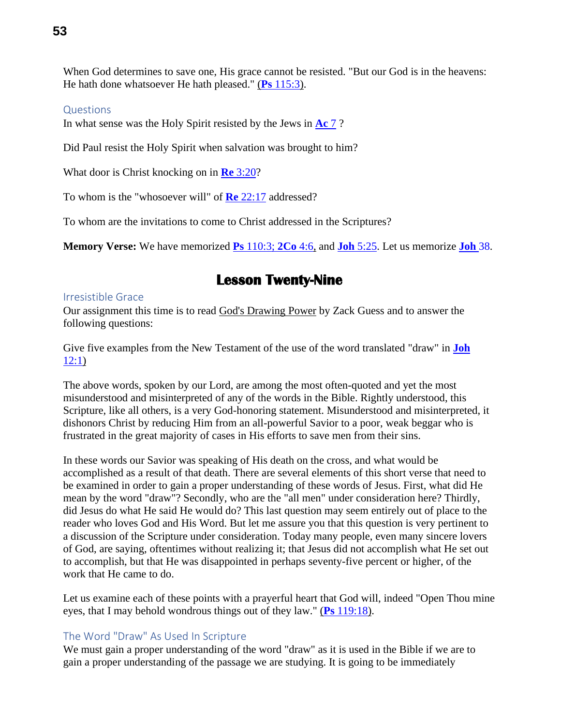When God determines to save one, His grace cannot be resisted. "But our God is in the heavens: He hath done whatsoever He hath pleased." (**Ps** 115:3).

#### Questions

In what sense was the Holy Spirit resisted by the Jews in **Ac** 7 ?

Did Paul resist the Holy Spirit when salvation was brought to him?

What door is Christ knocking on in **Re** 3:20?

To whom is the "whosoever will" of **Re** 22:17 addressed?

To whom are the invitations to come to Christ addressed in the Scriptures?

**Memory Verse:** We have memorized **Ps** 110:3; **2Co** 4:6, and **Joh** 5:25. Let us memorize **Joh** 38.

# **Lesson Twenty-Nine**

### Irresistible Grace

Our assignment this time is to read God's Drawing Power by Zack Guess and to answer the following questions:

Give five examples from the New Testament of the use of the word translated "draw" in **Joh**  12:1)

The above words, spoken by our Lord, are among the most often-quoted and yet the most misunderstood and misinterpreted of any of the words in the Bible. Rightly understood, this Scripture, like all others, is a very God-honoring statement. Misunderstood and misinterpreted, it dishonors Christ by reducing Him from an all-powerful Savior to a poor, weak beggar who is frustrated in the great majority of cases in His efforts to save men from their sins.

In these words our Savior was speaking of His death on the cross, and what would be accomplished as a result of that death. There are several elements of this short verse that need to be examined in order to gain a proper understanding of these words of Jesus. First, what did He mean by the word "draw"? Secondly, who are the "all men" under consideration here? Thirdly, did Jesus do what He said He would do? This last question may seem entirely out of place to the reader who loves God and His Word. But let me assure you that this question is very pertinent to a discussion of the Scripture under consideration. Today many people, even many sincere lovers of God, are saying, oftentimes without realizing it; that Jesus did not accomplish what He set out to accomplish, but that He was disappointed in perhaps seventy-five percent or higher, of the work that He came to do.

Let us examine each of these points with a prayerful heart that God will, indeed "Open Thou mine eyes, that I may behold wondrous things out of they law." (**Ps** 119:18).

### The Word "Draw" As Used In Scripture

We must gain a proper understanding of the word "draw" as it is used in the Bible if we are to gain a proper understanding of the passage we are studying. It is going to be immediately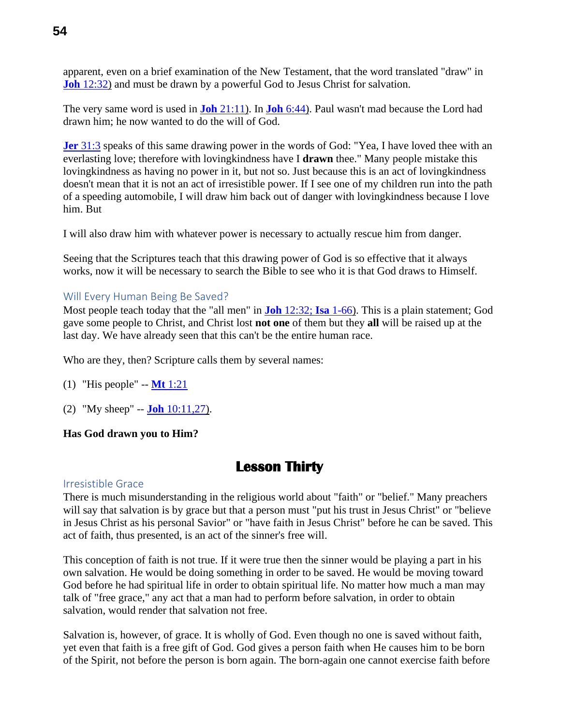apparent, even on a brief examination of the New Testament, that the word translated "draw" in **Joh** 12:32) and must be drawn by a powerful God to Jesus Christ for salvation.

The very same word is used in **Joh** 21:11). In **Joh** 6:44). Paul wasn't mad because the Lord had drawn him; he now wanted to do the will of God.

**Jer** 31:3 speaks of this same drawing power in the words of God: "Yea, I have loved thee with an everlasting love; therefore with lovingkindness have I **drawn** thee." Many people mistake this lovingkindness as having no power in it, but not so. Just because this is an act of lovingkindness doesn't mean that it is not an act of irresistible power. If I see one of my children run into the path of a speeding automobile, I will draw him back out of danger with lovingkindness because I love him. But

I will also draw him with whatever power is necessary to actually rescue him from danger.

Seeing that the Scriptures teach that this drawing power of God is so effective that it always works, now it will be necessary to search the Bible to see who it is that God draws to Himself.

# Will Every Human Being Be Saved?

Most people teach today that the "all men" in **Joh** 12:32; **Isa** 1-66). This is a plain statement; God gave some people to Christ, and Christ lost **not one** of them but they **all** will be raised up at the last day. We have already seen that this can't be the entire human race.

Who are they, then? Scripture calls them by several names:

- (1) "His people" -- **Mt** 1:21
- (2) "My sheep" -- **Joh** 10:11,27).

### **Has God drawn you to Him?**

# **Lesson Thirty**

#### Irresistible Grace

There is much misunderstanding in the religious world about "faith" or "belief." Many preachers will say that salvation is by grace but that a person must "put his trust in Jesus Christ" or "believe" in Jesus Christ as his personal Savior" or "have faith in Jesus Christ" before he can be saved. This act of faith, thus presented, is an act of the sinner's free will.

This conception of faith is not true. If it were true then the sinner would be playing a part in his own salvation. He would be doing something in order to be saved. He would be moving toward God before he had spiritual life in order to obtain spiritual life. No matter how much a man may talk of "free grace," any act that a man had to perform before salvation, in order to obtain salvation, would render that salvation not free.

Salvation is, however, of grace. It is wholly of God. Even though no one is saved without faith, yet even that faith is a free gift of God. God gives a person faith when He causes him to be born of the Spirit, not before the person is born again. The born-again one cannot exercise faith before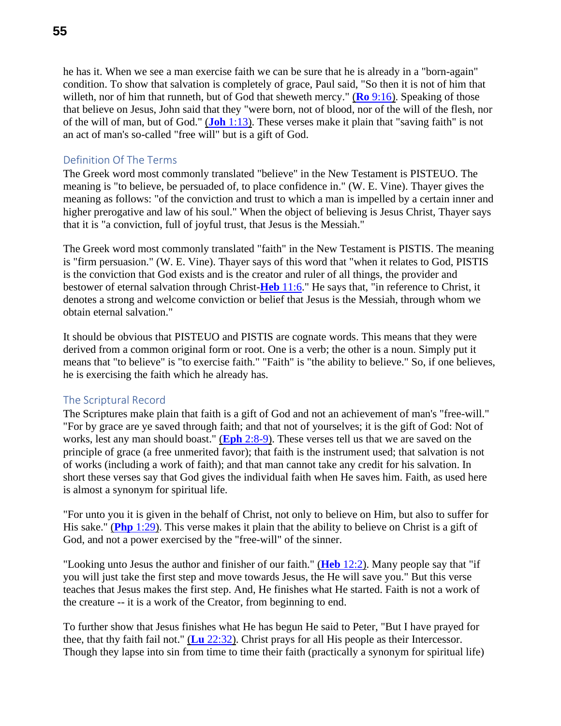he has it. When we see a man exercise faith we can be sure that he is already in a "born-again" condition. To show that salvation is completely of grace, Paul said, "So then it is not of him that willeth, nor of him that runneth, but of God that sheweth mercy." (**Ro** 9:16). Speaking of those that believe on Jesus, John said that they "were born, not of blood, nor of the will of the flesh, nor of the will of man, but of God." (**Joh** 1:13). These verses make it plain that "saving faith" is not an act of man's so-called "free will" but is a gift of God.

# Definition Of The Terms

The Greek word most commonly translated "believe" in the New Testament is PISTEUO. The meaning is "to believe, be persuaded of, to place confidence in." (W. E. Vine). Thayer gives the meaning as follows: "of the conviction and trust to which a man is impelled by a certain inner and higher prerogative and law of his soul." When the object of believing is Jesus Christ, Thayer says that it is "a conviction, full of joyful trust, that Jesus is the Messiah."

The Greek word most commonly translated "faith" in the New Testament is PISTIS. The meaning is "firm persuasion." (W. E. Vine). Thayer says of this word that "when it relates to God, PISTIS is the conviction that God exists and is the creator and ruler of all things, the provider and bestower of eternal salvation through Christ-**Heb** 11:6." He says that, "in reference to Christ, it denotes a strong and welcome conviction or belief that Jesus is the Messiah, through whom we obtain eternal salvation."

It should be obvious that PISTEUO and PISTIS are cognate words. This means that they were derived from a common original form or root. One is a verb; the other is a noun. Simply put it means that "to believe" is "to exercise faith." "Faith" is "the ability to believe." So, if one believes, he is exercising the faith which he already has.

### The Scriptural Record

The Scriptures make plain that faith is a gift of God and not an achievement of man's "free-will." "For by grace are ye saved through faith; and that not of yourselves; it is the gift of God: Not of works, lest any man should boast." (**Eph** 2:8-9). These verses tell us that we are saved on the principle of grace (a free unmerited favor); that faith is the instrument used; that salvation is not of works (including a work of faith); and that man cannot take any credit for his salvation. In short these verses say that God gives the individual faith when He saves him. Faith, as used here is almost a synonym for spiritual life.

"For unto you it is given in the behalf of Christ, not only to believe on Him, but also to suffer for His sake." (**Php** 1:29). This verse makes it plain that the ability to believe on Christ is a gift of God, and not a power exercised by the "free-will" of the sinner.

"Looking unto Jesus the author and finisher of our faith." (**Heb** 12:2). Many people say that "if you will just take the first step and move towards Jesus, the He will save you." But this verse teaches that Jesus makes the first step. And, He finishes what He started. Faith is not a work of the creature -- it is a work of the Creator, from beginning to end.

To further show that Jesus finishes what He has begun He said to Peter, "But I have prayed for thee, that thy faith fail not." (**Lu** 22:32). Christ prays for all His people as their Intercessor. Though they lapse into sin from time to time their faith (practically a synonym for spiritual life)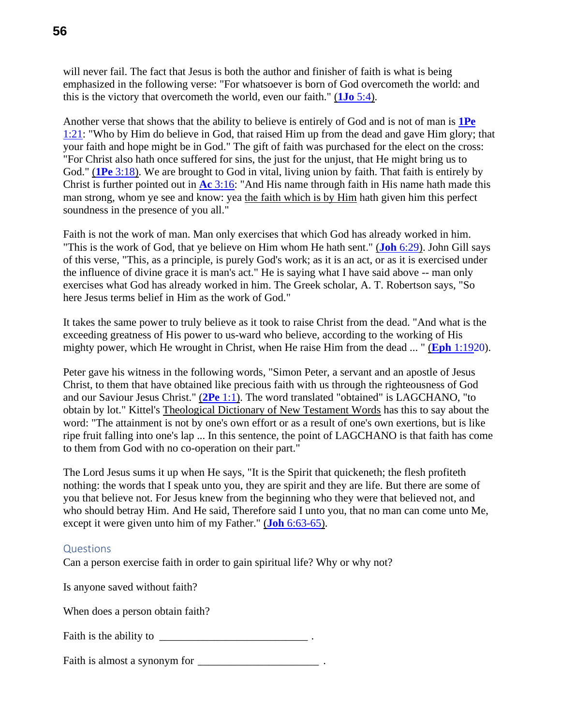will never fail. The fact that Jesus is both the author and finisher of faith is what is being emphasized in the following verse: "For whatsoever is born of God overcometh the world: and this is the victory that overcometh the world, even our faith." (**1Jo** 5:4).

Another verse that shows that the ability to believe is entirely of God and is not of man is **1Pe**  1:21: "Who by Him do believe in God, that raised Him up from the dead and gave Him glory; that your faith and hope might be in God." The gift of faith was purchased for the elect on the cross: "For Christ also hath once suffered for sins, the just for the unjust, that He might bring us to God." (**1Pe** 3:18). We are brought to God in vital, living union by faith. That faith is entirely by Christ is further pointed out in **Ac** 3:16: "And His name through faith in His name hath made this man strong, whom ye see and know: yea the faith which is by Him hath given him this perfect soundness in the presence of you all."

Faith is not the work of man. Man only exercises that which God has already worked in him. "This is the work of God, that ye believe on Him whom He hath sent." (**Joh** 6:29). John Gill says of this verse, "This, as a principle, is purely God's work; as it is an act, or as it is exercised under the influence of divine grace it is man's act." He is saying what I have said above -- man only exercises what God has already worked in him. The Greek scholar, A. T. Robertson says, "So here Jesus terms belief in Him as the work of God."

It takes the same power to truly believe as it took to raise Christ from the dead. "And what is the exceeding greatness of His power to us-ward who believe, according to the working of His mighty power, which He wrought in Christ, when He raise Him from the dead ... " (**Eph** 1:1920).

Peter gave his witness in the following words, "Simon Peter, a servant and an apostle of Jesus Christ, to them that have obtained like precious faith with us through the righteousness of God and our Saviour Jesus Christ." (**2Pe** 1:1). The word translated "obtained" is LAGCHANO, "to obtain by lot." Kittel's Theological Dictionary of New Testament Words has this to say about the word: "The attainment is not by one's own effort or as a result of one's own exertions, but is like ripe fruit falling into one's lap ... In this sentence, the point of LAGCHANO is that faith has come to them from God with no co-operation on their part."

The Lord Jesus sums it up when He says, "It is the Spirit that quickeneth; the flesh profiteth nothing: the words that I speak unto you, they are spirit and they are life. But there are some of you that believe not. For Jesus knew from the beginning who they were that believed not, and who should betray Him. And He said, Therefore said I unto you, that no man can come unto Me, except it were given unto him of my Father." (**Joh** 6:63-65).

### Questions

Can a person exercise faith in order to gain spiritual life? Why or why not?

Is anyone saved without faith?

When does a person obtain faith?

Faith is the ability to \_\_\_\_\_\_\_\_\_\_\_\_\_\_\_\_\_\_\_\_\_\_\_\_\_\_\_ .

Faith is almost a synonym for  $\cdot$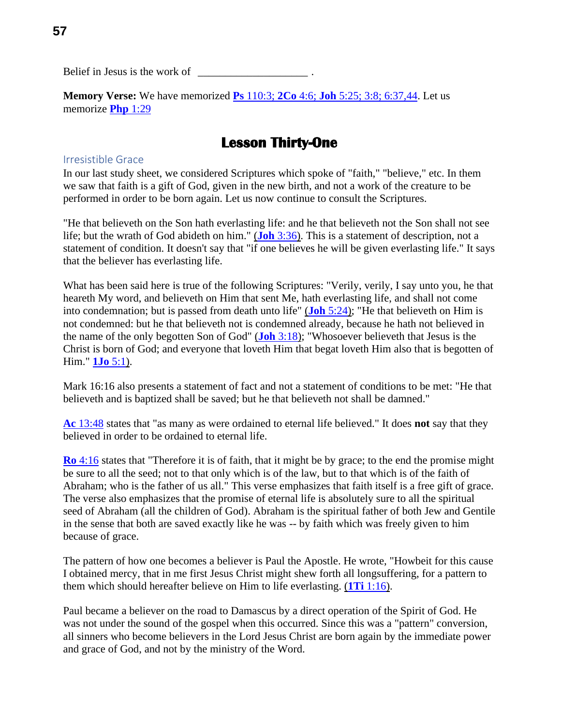Belief in Jesus is the work of

**Memory Verse:** We have memorized **Ps** 110:3; **2Co** 4:6; **Joh** 5:25; 3:8; 6:37,44. Let us memorize **Php** 1:29

# **Lesson Thirty-One**

#### Irresistible Grace

In our last study sheet, we considered Scriptures which spoke of "faith," "believe," etc. In them we saw that faith is a gift of God, given in the new birth, and not a work of the creature to be performed in order to be born again. Let us now continue to consult the Scriptures.

"He that believeth on the Son hath everlasting life: and he that believeth not the Son shall not see life; but the wrath of God abideth on him." (**Joh** 3:36). This is a statement of description, not a statement of condition. It doesn't say that "if one believes he will be given everlasting life." It says that the believer has everlasting life.

What has been said here is true of the following Scriptures: "Verily, verily, I say unto you, he that heareth My word, and believeth on Him that sent Me, hath everlasting life, and shall not come into condemnation; but is passed from death unto life" (**Joh** 5:24); "He that believeth on Him is not condemned: but he that believeth not is condemned already, because he hath not believed in the name of the only begotten Son of God" (**Joh** 3:18); "Whosoever believeth that Jesus is the Christ is born of God; and everyone that loveth Him that begat loveth Him also that is begotten of Him." **1Jo** 5:1).

Mark 16:16 also presents a statement of fact and not a statement of conditions to be met: "He that believeth and is baptized shall be saved; but he that believeth not shall be damned."

**Ac** 13:48 states that "as many as were ordained to eternal life believed." It does **not** say that they believed in order to be ordained to eternal life.

**Ro** 4:16 states that "Therefore it is of faith, that it might be by grace; to the end the promise might be sure to all the seed; not to that only which is of the law, but to that which is of the faith of Abraham; who is the father of us all." This verse emphasizes that faith itself is a free gift of grace. The verse also emphasizes that the promise of eternal life is absolutely sure to all the spiritual seed of Abraham (all the children of God). Abraham is the spiritual father of both Jew and Gentile in the sense that both are saved exactly like he was -- by faith which was freely given to him because of grace.

The pattern of how one becomes a believer is Paul the Apostle. He wrote, "Howbeit for this cause I obtained mercy, that in me first Jesus Christ might shew forth all longsuffering, for a pattern to them which should hereafter believe on Him to life everlasting. (**1Ti** 1:16).

Paul became a believer on the road to Damascus by a direct operation of the Spirit of God. He was not under the sound of the gospel when this occurred. Since this was a "pattern" conversion, all sinners who become believers in the Lord Jesus Christ are born again by the immediate power and grace of God, and not by the ministry of the Word.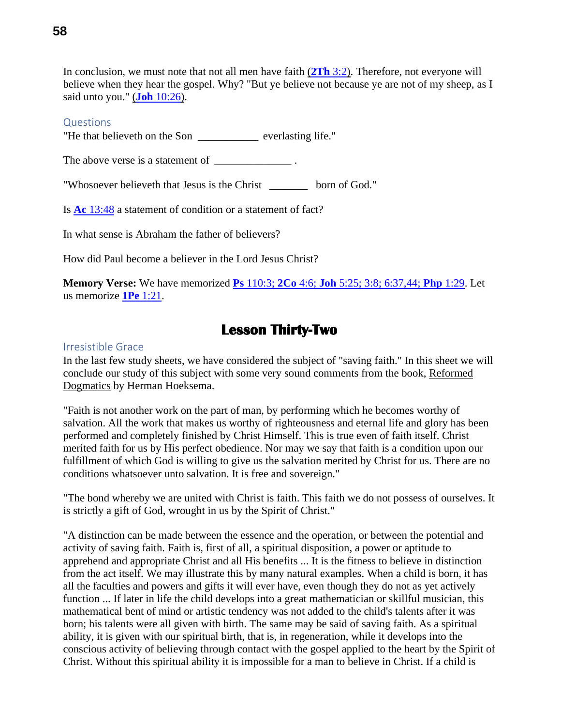In conclusion, we must note that not all men have faith (**2Th** 3:2). Therefore, not everyone will believe when they hear the gospel. Why? "But ye believe not because ye are not of my sheep, as I said unto you." (**Joh** 10:26).

### Questions

"He that believeth on the Son \_\_\_\_\_\_\_\_\_\_\_ everlasting life."

The above verse is a statement of \_\_\_\_\_\_\_\_\_\_\_\_\_\_\_\_\_\_\_\_.

"Whosoever believeth that Jesus is the Christ \_\_\_\_\_\_\_ born of God."

Is **Ac** 13:48 a statement of condition or a statement of fact?

In what sense is Abraham the father of believers?

How did Paul become a believer in the Lord Jesus Christ?

**Memory Verse:** We have memorized **Ps** 110:3; **2Co** 4:6; **Joh** 5:25; 3:8; 6:37,44; **Php** 1:29. Let us memorize **1Pe** 1:21.

# **Lesson Thirty-Two**

### Irresistible Grace

In the last few study sheets, we have considered the subject of "saving faith." In this sheet we will conclude our study of this subject with some very sound comments from the book, Reformed Dogmatics by Herman Hoeksema.

"Faith is not another work on the part of man, by performing which he becomes worthy of salvation. All the work that makes us worthy of righteousness and eternal life and glory has been performed and completely finished by Christ Himself. This is true even of faith itself. Christ merited faith for us by His perfect obedience. Nor may we say that faith is a condition upon our fulfillment of which God is willing to give us the salvation merited by Christ for us. There are no conditions whatsoever unto salvation. It is free and sovereign."

"The bond whereby we are united with Christ is faith. This faith we do not possess of ourselves. It is strictly a gift of God, wrought in us by the Spirit of Christ."

"A distinction can be made between the essence and the operation, or between the potential and activity of saving faith. Faith is, first of all, a spiritual disposition, a power or aptitude to apprehend and appropriate Christ and all His benefits ... It is the fitness to believe in distinction from the act itself. We may illustrate this by many natural examples. When a child is born, it has all the faculties and powers and gifts it will ever have, even though they do not as yet actively function ... If later in life the child develops into a great mathematician or skillful musician, this mathematical bent of mind or artistic tendency was not added to the child's talents after it was born; his talents were all given with birth. The same may be said of saving faith. As a spiritual ability, it is given with our spiritual birth, that is, in regeneration, while it develops into the conscious activity of believing through contact with the gospel applied to the heart by the Spirit of Christ. Without this spiritual ability it is impossible for a man to believe in Christ. If a child is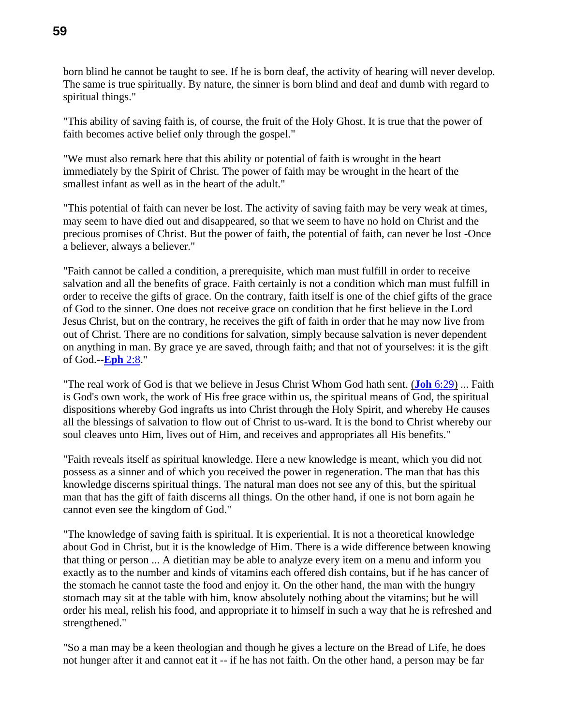born blind he cannot be taught to see. If he is born deaf, the activity of hearing will never develop. The same is true spiritually. By nature, the sinner is born blind and deaf and dumb with regard to spiritual things."

"This ability of saving faith is, of course, the fruit of the Holy Ghost. It is true that the power of faith becomes active belief only through the gospel."

"We must also remark here that this ability or potential of faith is wrought in the heart immediately by the Spirit of Christ. The power of faith may be wrought in the heart of the smallest infant as well as in the heart of the adult."

"This potential of faith can never be lost. The activity of saving faith may be very weak at times, may seem to have died out and disappeared, so that we seem to have no hold on Christ and the precious promises of Christ. But the power of faith, the potential of faith, can never be lost -Once a believer, always a believer."

"Faith cannot be called a condition, a prerequisite, which man must fulfill in order to receive salvation and all the benefits of grace. Faith certainly is not a condition which man must fulfill in order to receive the gifts of grace. On the contrary, faith itself is one of the chief gifts of the grace of God to the sinner. One does not receive grace on condition that he first believe in the Lord Jesus Christ, but on the contrary, he receives the gift of faith in order that he may now live from out of Christ. There are no conditions for salvation, simply because salvation is never dependent on anything in man. By grace ye are saved, through faith; and that not of yourselves: it is the gift of God.--**Eph** 2:8."

"The real work of God is that we believe in Jesus Christ Whom God hath sent. (**Joh** 6:29) ... Faith is God's own work, the work of His free grace within us, the spiritual means of God, the spiritual dispositions whereby God ingrafts us into Christ through the Holy Spirit, and whereby He causes all the blessings of salvation to flow out of Christ to us-ward. It is the bond to Christ whereby our soul cleaves unto Him, lives out of Him, and receives and appropriates all His benefits."

"Faith reveals itself as spiritual knowledge. Here a new knowledge is meant, which you did not possess as a sinner and of which you received the power in regeneration. The man that has this knowledge discerns spiritual things. The natural man does not see any of this, but the spiritual man that has the gift of faith discerns all things. On the other hand, if one is not born again he cannot even see the kingdom of God."

"The knowledge of saving faith is spiritual. It is experiential. It is not a theoretical knowledge about God in Christ, but it is the knowledge of Him. There is a wide difference between knowing that thing or person ... A dietitian may be able to analyze every item on a menu and inform you exactly as to the number and kinds of vitamins each offered dish contains, but if he has cancer of the stomach he cannot taste the food and enjoy it. On the other hand, the man with the hungry stomach may sit at the table with him, know absolutely nothing about the vitamins; but he will order his meal, relish his food, and appropriate it to himself in such a way that he is refreshed and strengthened."

"So a man may be a keen theologian and though he gives a lecture on the Bread of Life, he does not hunger after it and cannot eat it -- if he has not faith. On the other hand, a person may be far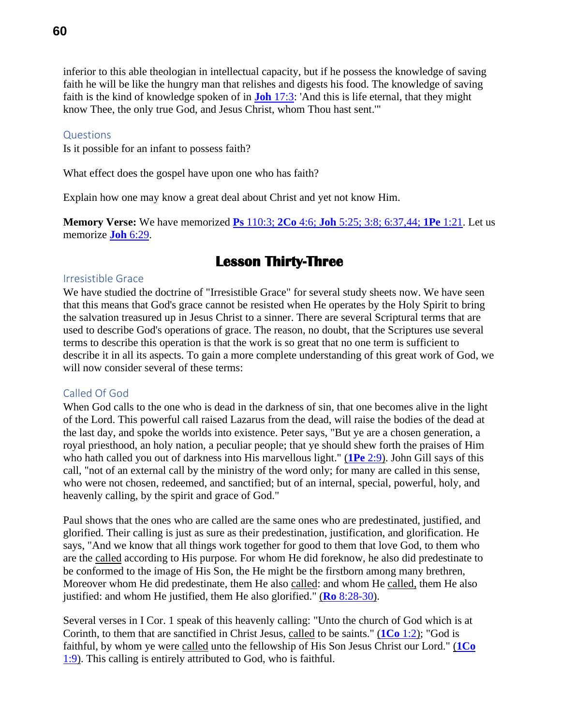inferior to this able theologian in intellectual capacity, but if he possess the knowledge of saving faith he will be like the hungry man that relishes and digests his food. The knowledge of saving faith is the kind of knowledge spoken of in **Joh** 17:3: 'And this is life eternal, that they might know Thee, the only true God, and Jesus Christ, whom Thou hast sent.'"

### **Questions**

Is it possible for an infant to possess faith?

What effect does the gospel have upon one who has faith?

Explain how one may know a great deal about Christ and yet not know Him.

**Memory Verse:** We have memorized **Ps** 110:3; **2Co** 4:6; **Joh** 5:25; 3:8; 6:37,44; **1Pe** 1:21. Let us memorize **Joh** 6:29.

# **Lesson Thirty-Three**

#### Irresistible Grace

We have studied the doctrine of "Irresistible Grace" for several study sheets now. We have seen that this means that God's grace cannot be resisted when He operates by the Holy Spirit to bring the salvation treasured up in Jesus Christ to a sinner. There are several Scriptural terms that are used to describe God's operations of grace. The reason, no doubt, that the Scriptures use several terms to describe this operation is that the work is so great that no one term is sufficient to describe it in all its aspects. To gain a more complete understanding of this great work of God, we will now consider several of these terms:

#### Called Of God

When God calls to the one who is dead in the darkness of sin, that one becomes alive in the light of the Lord. This powerful call raised Lazarus from the dead, will raise the bodies of the dead at the last day, and spoke the worlds into existence. Peter says, "But ye are a chosen generation, a royal priesthood, an holy nation, a peculiar people; that ye should shew forth the praises of Him who hath called you out of darkness into His marvellous light." (**1Pe** 2:9). John Gill says of this call, "not of an external call by the ministry of the word only; for many are called in this sense, who were not chosen, redeemed, and sanctified; but of an internal, special, powerful, holy, and heavenly calling, by the spirit and grace of God."

Paul shows that the ones who are called are the same ones who are predestinated, justified, and glorified. Their calling is just as sure as their predestination, justification, and glorification. He says, "And we know that all things work together for good to them that love God, to them who are the called according to His purpose. For whom He did foreknow, he also did predestinate to be conformed to the image of His Son, the He might be the firstborn among many brethren, Moreover whom He did predestinate, them He also called: and whom He called, them He also justified: and whom He justified, them He also glorified." (**Ro** 8:28-30).

Several verses in I Cor. 1 speak of this heavenly calling: "Unto the church of God which is at Corinth, to them that are sanctified in Christ Jesus, called to be saints." (**1Co** 1:2); "God is faithful, by whom ye were called unto the fellowship of His Son Jesus Christ our Lord." (**1Co**  1:9). This calling is entirely attributed to God, who is faithful.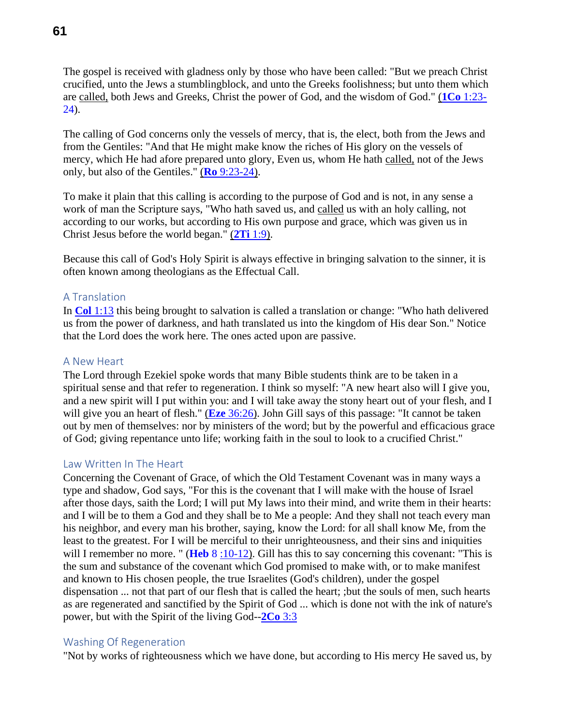The gospel is received with gladness only by those who have been called: "But we preach Christ crucified, unto the Jews a stumblingblock, and unto the Greeks foolishness; but unto them which are called, both Jews and Greeks, Christ the power of God, and the wisdom of God." (**1Co** 1:23- 24).

The calling of God concerns only the vessels of mercy, that is, the elect, both from the Jews and from the Gentiles: "And that He might make know the riches of His glory on the vessels of mercy, which He had afore prepared unto glory, Even us, whom He hath called, not of the Jews only, but also of the Gentiles." (**Ro** 9:23-24).

To make it plain that this calling is according to the purpose of God and is not, in any sense a work of man the Scripture says, "Who hath saved us, and called us with an holy calling, not according to our works, but according to His own purpose and grace, which was given us in Christ Jesus before the world began." (**2Ti** 1:9).

Because this call of God's Holy Spirit is always effective in bringing salvation to the sinner, it is often known among theologians as the Effectual Call.

### A Translation

In **Col** 1:13 this being brought to salvation is called a translation or change: "Who hath delivered us from the power of darkness, and hath translated us into the kingdom of His dear Son." Notice that the Lord does the work here. The ones acted upon are passive.

### A New Heart

The Lord through Ezekiel spoke words that many Bible students think are to be taken in a spiritual sense and that refer to regeneration. I think so myself: "A new heart also will I give you, and a new spirit will I put within you: and I will take away the stony heart out of your flesh, and I will give you an heart of flesh." (**Eze** 36:26). John Gill says of this passage: "It cannot be taken out by men of themselves: nor by ministers of the word; but by the powerful and efficacious grace of God; giving repentance unto life; working faith in the soul to look to a crucified Christ."

### Law Written In The Heart

Concerning the Covenant of Grace, of which the Old Testament Covenant was in many ways a type and shadow, God says, "For this is the covenant that I will make with the house of Israel after those days, saith the Lord; I will put My laws into their mind, and write them in their hearts: and I will be to them a God and they shall be to Me a people: And they shall not teach every man his neighbor, and every man his brother, saying, know the Lord: for all shall know Me, from the least to the greatest. For I will be merciful to their unrighteousness, and their sins and iniquities will I remember no more. " (**Heb** 8 :10-12). Gill has this to say concerning this covenant: "This is the sum and substance of the covenant which God promised to make with, or to make manifest and known to His chosen people, the true Israelites (God's children), under the gospel dispensation ... not that part of our flesh that is called the heart; ;but the souls of men, such hearts as are regenerated and sanctified by the Spirit of God ... which is done not with the ink of nature's power, but with the Spirit of the living God--**2Co** 3:3

### Washing Of Regeneration

"Not by works of righteousness which we have done, but according to His mercy He saved us, by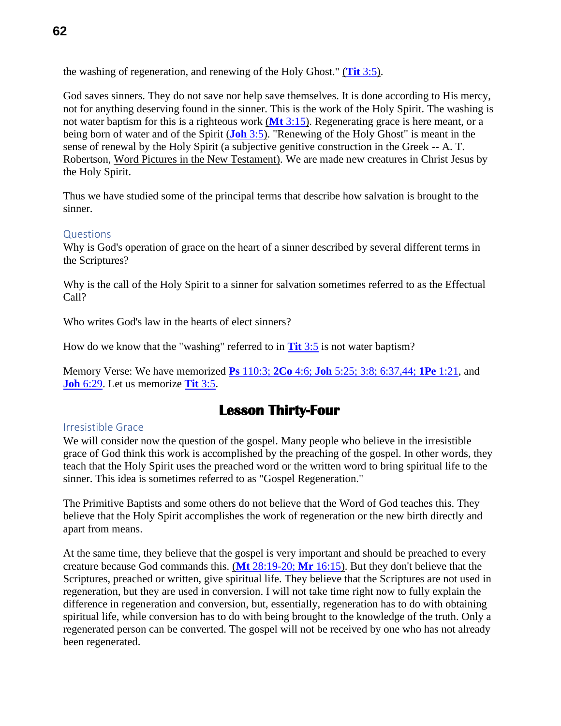the washing of regeneration, and renewing of the Holy Ghost." (**Tit** 3:5).

God saves sinners. They do not save nor help save themselves. It is done according to His mercy, not for anything deserving found in the sinner. This is the work of the Holy Spirit. The washing is not water baptism for this is a righteous work (**Mt** 3:15). Regenerating grace is here meant, or a being born of water and of the Spirit (**Joh** 3:5). "Renewing of the Holy Ghost" is meant in the sense of renewal by the Holy Spirit (a subjective genitive construction in the Greek -- A. T. Robertson, Word Pictures in the New Testament). We are made new creatures in Christ Jesus by the Holy Spirit.

Thus we have studied some of the principal terms that describe how salvation is brought to the sinner.

# **Questions**

Why is God's operation of grace on the heart of a sinner described by several different terms in the Scriptures?

Why is the call of the Holy Spirit to a sinner for salvation sometimes referred to as the Effectual Call?

Who writes God's law in the hearts of elect sinners?

How do we know that the "washing" referred to in **Tit** 3:5 is not water baptism?

Memory Verse: We have memorized **Ps** 110:3; **2Co** 4:6; **Joh** 5:25; 3:8; 6:37,44; **1Pe** 1:21, and **Joh** 6:29. Let us memorize **Tit** 3:5.

# **Lesson Thirty-Four**

# Irresistible Grace

We will consider now the question of the gospel. Many people who believe in the irresistible grace of God think this work is accomplished by the preaching of the gospel. In other words, they teach that the Holy Spirit uses the preached word or the written word to bring spiritual life to the sinner. This idea is sometimes referred to as "Gospel Regeneration."

The Primitive Baptists and some others do not believe that the Word of God teaches this. They believe that the Holy Spirit accomplishes the work of regeneration or the new birth directly and apart from means.

At the same time, they believe that the gospel is very important and should be preached to every creature because God commands this. (**Mt** 28:19-20; **Mr** 16:15). But they don't believe that the Scriptures, preached or written, give spiritual life. They believe that the Scriptures are not used in regeneration, but they are used in conversion. I will not take time right now to fully explain the difference in regeneration and conversion, but, essentially, regeneration has to do with obtaining spiritual life, while conversion has to do with being brought to the knowledge of the truth. Only a regenerated person can be converted. The gospel will not be received by one who has not already been regenerated.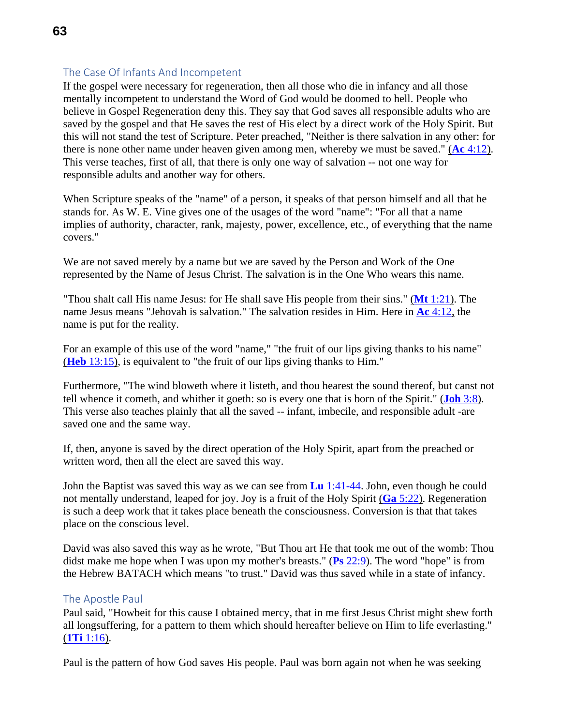# The Case Of Infants And Incompetent

If the gospel were necessary for regeneration, then all those who die in infancy and all those mentally incompetent to understand the Word of God would be doomed to hell. People who believe in Gospel Regeneration deny this. They say that God saves all responsible adults who are saved by the gospel and that He saves the rest of His elect by a direct work of the Holy Spirit. But this will not stand the test of Scripture. Peter preached, "Neither is there salvation in any other: for there is none other name under heaven given among men, whereby we must be saved." (**Ac** 4:12). This verse teaches, first of all, that there is only one way of salvation -- not one way for responsible adults and another way for others.

When Scripture speaks of the "name" of a person, it speaks of that person himself and all that he stands for. As W. E. Vine gives one of the usages of the word "name": "For all that a name implies of authority, character, rank, majesty, power, excellence, etc., of everything that the name covers."

We are not saved merely by a name but we are saved by the Person and Work of the One represented by the Name of Jesus Christ. The salvation is in the One Who wears this name.

"Thou shalt call His name Jesus: for He shall save His people from their sins." (**Mt** 1:21). The name Jesus means "Jehovah is salvation." The salvation resides in Him. Here in **Ac** 4:12, the name is put for the reality.

For an example of this use of the word "name," "the fruit of our lips giving thanks to his name" (**Heb** 13:15), is equivalent to "the fruit of our lips giving thanks to Him."

Furthermore, "The wind bloweth where it listeth, and thou hearest the sound thereof, but canst not tell whence it cometh, and whither it goeth: so is every one that is born of the Spirit." (**Joh** 3:8). This verse also teaches plainly that all the saved -- infant, imbecile, and responsible adult -are saved one and the same way.

If, then, anyone is saved by the direct operation of the Holy Spirit, apart from the preached or written word, then all the elect are saved this way.

John the Baptist was saved this way as we can see from **Lu** 1:41-44. John, even though he could not mentally understand, leaped for joy. Joy is a fruit of the Holy Spirit (**Ga** 5:22). Regeneration is such a deep work that it takes place beneath the consciousness. Conversion is that that takes place on the conscious level.

David was also saved this way as he wrote, "But Thou art He that took me out of the womb: Thou didst make me hope when I was upon my mother's breasts." (**Ps** 22:9). The word "hope" is from the Hebrew BATACH which means "to trust." David was thus saved while in a state of infancy.

### The Apostle Paul

Paul said, "Howbeit for this cause I obtained mercy, that in me first Jesus Christ might shew forth all longsuffering, for a pattern to them which should hereafter believe on Him to life everlasting." (**1Ti** 1:16).

Paul is the pattern of how God saves His people. Paul was born again not when he was seeking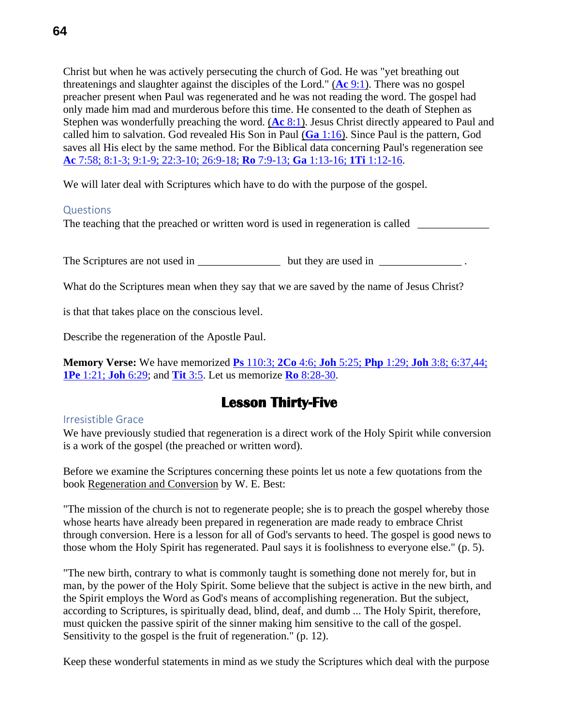Christ but when he was actively persecuting the church of God. He was "yet breathing out threatenings and slaughter against the disciples of the Lord." (**Ac** 9:1). There was no gospel preacher present when Paul was regenerated and he was not reading the word. The gospel had only made him mad and murderous before this time. He consented to the death of Stephen as Stephen was wonderfully preaching the word. (**Ac** 8:1). Jesus Christ directly appeared to Paul and called him to salvation. God revealed His Son in Paul (**Ga** 1:16). Since Paul is the pattern, God saves all His elect by the same method. For the Biblical data concerning Paul's regeneration see **Ac** 7:58; 8:1-3; 9:1-9; 22:3-10; 26:9-18; **Ro** 7:9-13; **Ga** 1:13-16; **1Ti** 1:12-16.

We will later deal with Scriptures which have to do with the purpose of the gospel.

### **Questions**

The teaching that the preached or written word is used in regeneration is called

The Scriptures are not used in \_\_\_\_\_\_\_\_\_\_\_\_\_\_\_ but they are used in \_\_\_\_\_\_\_\_\_\_\_\_\_\_\_ .

What do the Scriptures mean when they say that we are saved by the name of Jesus Christ?

is that that takes place on the conscious level.

Describe the regeneration of the Apostle Paul.

**Memory Verse:** We have memorized **Ps** 110:3; **2Co** 4:6; **Joh** 5:25; **Php** 1:29; **Joh** 3:8; 6:37,44; **1Pe** 1:21; **Joh** 6:29; and **Tit** 3:5. Let us memorize **Ro** 8:28-30.

# **Lesson Thirty-Five**

### Irresistible Grace

We have previously studied that regeneration is a direct work of the Holy Spirit while conversion is a work of the gospel (the preached or written word).

Before we examine the Scriptures concerning these points let us note a few quotations from the book Regeneration and Conversion by W. E. Best:

"The mission of the church is not to regenerate people; she is to preach the gospel whereby those whose hearts have already been prepared in regeneration are made ready to embrace Christ through conversion. Here is a lesson for all of God's servants to heed. The gospel is good news to those whom the Holy Spirit has regenerated. Paul says it is foolishness to everyone else." (p. 5).

"The new birth, contrary to what is commonly taught is something done not merely for, but in man, by the power of the Holy Spirit. Some believe that the subject is active in the new birth, and the Spirit employs the Word as God's means of accomplishing regeneration. But the subject, according to Scriptures, is spiritually dead, blind, deaf, and dumb ... The Holy Spirit, therefore, must quicken the passive spirit of the sinner making him sensitive to the call of the gospel. Sensitivity to the gospel is the fruit of regeneration." (p. 12).

Keep these wonderful statements in mind as we study the Scriptures which deal with the purpose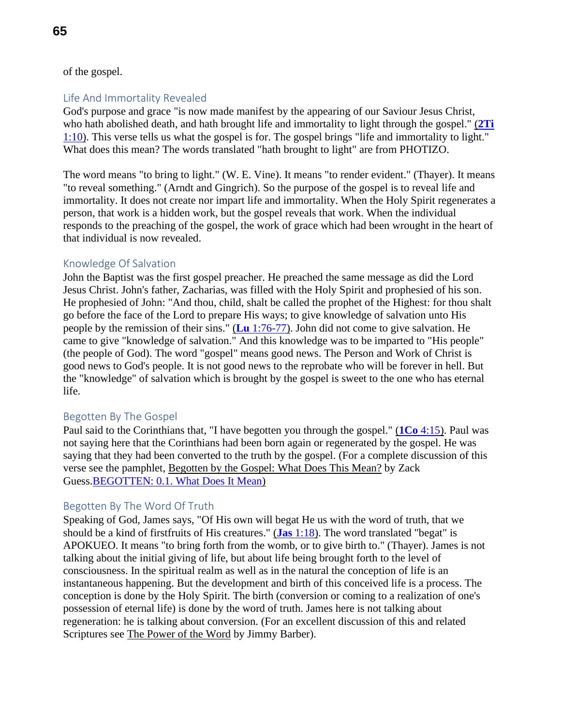of the gospel.

# Life And Immortality Revealed

God's purpose and grace "is now made manifest by the appearing of our Saviour Jesus Christ, who hath abolished death, and hath brought life and immortality to light through the gospel." (**2Ti**  1:10). This verse tells us what the gospel is for. The gospel brings "life and immortality to light." What does this mean? The words translated "hath brought to light" are from PHOTIZO.

The word means "to bring to light." (W. E. Vine). It means "to render evident." (Thayer). It means "to reveal something." (Arndt and Gingrich). So the purpose of the gospel is to reveal life and immortality. It does not create nor impart life and immortality. When the Holy Spirit regenerates a person, that work is a hidden work, but the gospel reveals that work. When the individual responds to the preaching of the gospel, the work of grace which had been wrought in the heart of that individual is now revealed.

# Knowledge Of Salvation

John the Baptist was the first gospel preacher. He preached the same message as did the Lord Jesus Christ. John's father, Zacharias, was filled with the Holy Spirit and prophesied of his son. He prophesied of John: "And thou, child, shalt be called the prophet of the Highest: for thou shalt go before the face of the Lord to prepare His ways; to give knowledge of salvation unto His people by the remission of their sins." (**Lu** 1:76-77). John did not come to give salvation. He came to give "knowledge of salvation." And this knowledge was to be imparted to "His people" (the people of God). The word "gospel" means good news. The Person and Work of Christ is good news to God's people. It is not good news to the reprobate who will be forever in hell. But the "knowledge" of salvation which is brought by the gospel is sweet to the one who has eternal life.

# Begotten By The Gospel

Paul said to the Corinthians that, "I have begotten you through the gospel." (**1Co** 4:15). Paul was not saying here that the Corinthians had been born again or regenerated by the gospel. He was saying that they had been converted to the truth by the gospel. (For a complete discussion of this verse see the pamphlet, Begotten by the Gospel: What Does This Mean? by Zack Guess.BEGOTTEN: 0.1. What Does It Mean)

# Begotten By The Word Of Truth

Speaking of God, James says, "Of His own will begat He us with the word of truth, that we should be a kind of firstfruits of His creatures." (**Jas** 1:18). The word translated "begat" is APOKUEO. It means "to bring forth from the womb, or to give birth to." (Thayer). James is not talking about the initial giving of life, but about life being brought forth to the level of consciousness. In the spiritual realm as well as in the natural the conception of life is an instantaneous happening. But the development and birth of this conceived life is a process. The conception is done by the Holy Spirit. The birth (conversion or coming to a realization of one's possession of eternal life) is done by the word of truth. James here is not talking about regeneration: he is talking about conversion. (For an excellent discussion of this and related Scriptures see The Power of the Word by Jimmy Barber).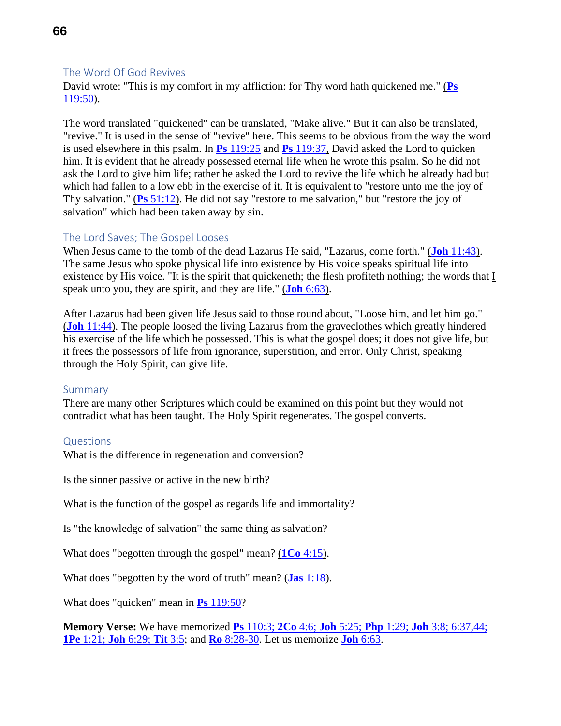### The Word Of God Revives

David wrote: "This is my comfort in my affliction: for Thy word hath quickened me." (**Ps**  119:50).

The word translated "quickened" can be translated, "Make alive." But it can also be translated, "revive." It is used in the sense of "revive" here. This seems to be obvious from the way the word is used elsewhere in this psalm. In **Ps** 119:25 and **Ps** 119:37, David asked the Lord to quicken him. It is evident that he already possessed eternal life when he wrote this psalm. So he did not ask the Lord to give him life; rather he asked the Lord to revive the life which he already had but which had fallen to a low ebb in the exercise of it. It is equivalent to "restore unto me the joy of Thy salvation." (**Ps** 51:12). He did not say "restore to me salvation," but "restore the joy of salvation" which had been taken away by sin.

# The Lord Saves; The Gospel Looses

When Jesus came to the tomb of the dead Lazarus He said, "Lazarus, come forth." (**Joh** 11:43). The same Jesus who spoke physical life into existence by His voice speaks spiritual life into existence by His voice. "It is the spirit that quickeneth; the flesh profiteth nothing; the words that I speak unto you, they are spirit, and they are life." (**Joh** 6:63).

After Lazarus had been given life Jesus said to those round about, "Loose him, and let him go." (**Joh** 11:44). The people loosed the living Lazarus from the graveclothes which greatly hindered his exercise of the life which he possessed. This is what the gospel does; it does not give life, but it frees the possessors of life from ignorance, superstition, and error. Only Christ, speaking through the Holy Spirit, can give life.

# **Summary**

There are many other Scriptures which could be examined on this point but they would not contradict what has been taught. The Holy Spirit regenerates. The gospel converts.

# **Questions**

What is the difference in regeneration and conversion?

Is the sinner passive or active in the new birth?

What is the function of the gospel as regards life and immortality?

Is "the knowledge of salvation" the same thing as salvation?

What does "begotten through the gospel" mean? (**1Co** 4:15).

What does "begotten by the word of truth" mean? (**Jas** 1:18).

What does "quicken" mean in **Ps** 119:50?

**Memory Verse:** We have memorized **Ps** 110:3; **2Co** 4:6; **Joh** 5:25; **Php** 1:29; **Joh** 3:8; 6:37,44; **1Pe** 1:21; **Joh** 6:29; **Tit** 3:5; and **Ro** 8:28-30. Let us memorize **Joh** 6:63.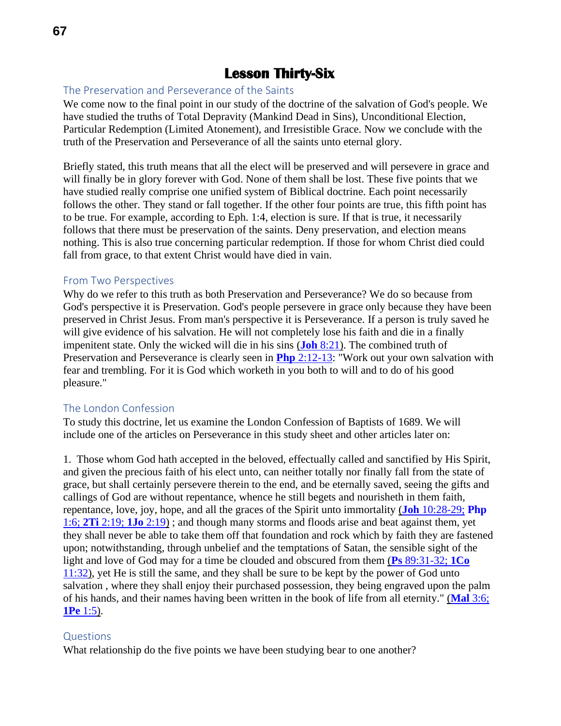# **Lesson Thirty-Six**

### The Preservation and Perseverance of the Saints

We come now to the final point in our study of the doctrine of the salvation of God's people. We have studied the truths of Total Depravity (Mankind Dead in Sins), Unconditional Election, Particular Redemption (Limited Atonement), and Irresistible Grace. Now we conclude with the truth of the Preservation and Perseverance of all the saints unto eternal glory.

Briefly stated, this truth means that all the elect will be preserved and will persevere in grace and will finally be in glory forever with God. None of them shall be lost. These five points that we have studied really comprise one unified system of Biblical doctrine. Each point necessarily follows the other. They stand or fall together. If the other four points are true, this fifth point has to be true. For example, according to Eph. 1:4, election is sure. If that is true, it necessarily follows that there must be preservation of the saints. Deny preservation, and election means nothing. This is also true concerning particular redemption. If those for whom Christ died could fall from grace, to that extent Christ would have died in vain.

### From Two Perspectives

Why do we refer to this truth as both Preservation and Perseverance? We do so because from God's perspective it is Preservation. God's people persevere in grace only because they have been preserved in Christ Jesus. From man's perspective it is Perseverance. If a person is truly saved he will give evidence of his salvation. He will not completely lose his faith and die in a finally impenitent state. Only the wicked will die in his sins (**Joh** 8:21). The combined truth of Preservation and Perseverance is clearly seen in **Php** 2:12-13: "Work out your own salvation with fear and trembling. For it is God which worketh in you both to will and to do of his good pleasure."

# The London Confession

To study this doctrine, let us examine the London Confession of Baptists of 1689. We will include one of the articles on Perseverance in this study sheet and other articles later on:

1. Those whom God hath accepted in the beloved, effectually called and sanctified by His Spirit, and given the precious faith of his elect unto, can neither totally nor finally fall from the state of grace, but shall certainly persevere therein to the end, and be eternally saved, seeing the gifts and callings of God are without repentance, whence he still begets and nourisheth in them faith, repentance, love, joy, hope, and all the graces of the Spirit unto immortality (**Joh** 10:28-29; **Php**  1:6; **2Ti** 2:19; **1Jo** 2:19) ; and though many storms and floods arise and beat against them, yet they shall never be able to take them off that foundation and rock which by faith they are fastened upon; notwithstanding, through unbelief and the temptations of Satan, the sensible sight of the light and love of God may for a time be clouded and obscured from them (**Ps** 89:31-32; **1Co**  11:32), yet He is still the same, and they shall be sure to be kept by the power of God unto salvation, where they shall enjoy their purchased possession, they being engraved upon the palm of his hands, and their names having been written in the book of life from all eternity." (**Mal** 3:6; **1Pe** 1:5).

# **Questions**

What relationship do the five points we have been studying bear to one another?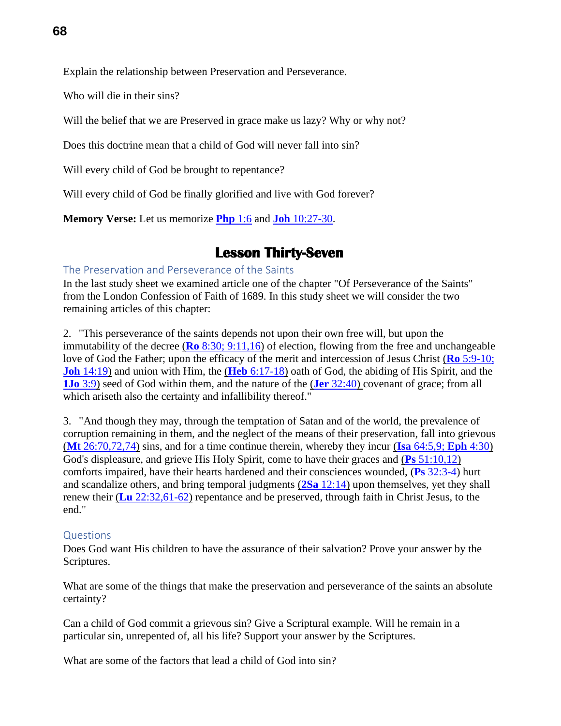Explain the relationship between Preservation and Perseverance.

Who will die in their sins?

Will the belief that we are Preserved in grace make us lazy? Why or why not?

Does this doctrine mean that a child of God will never fall into sin?

Will every child of God be brought to repentance?

Will every child of God be finally glorified and live with God forever?

**Memory Verse:** Let us memorize **Php** 1:6 and **Joh** 10:27-30.

# **Lesson Thirty-Seven**

The Preservation and Perseverance of the Saints

In the last study sheet we examined article one of the chapter "Of Perseverance of the Saints" from the London Confession of Faith of 1689. In this study sheet we will consider the two remaining articles of this chapter:

2. "This perseverance of the saints depends not upon their own free will, but upon the immutability of the decree (**Ro** 8:30; 9:11,16) of election, flowing from the free and unchangeable love of God the Father; upon the efficacy of the merit and intercession of Jesus Christ (**Ro** 5:9-10; **Joh** 14:19) and union with Him, the (**Heb** 6:17-18) oath of God, the abiding of His Spirit, and the **1Jo** 3:9) seed of God within them, and the nature of the (**Jer** 32:40) covenant of grace; from all which ariseth also the certainty and infallibility thereof."

3. "And though they may, through the temptation of Satan and of the world, the prevalence of corruption remaining in them, and the neglect of the means of their preservation, fall into grievous (**Mt** 26:70,72,74) sins, and for a time continue therein, whereby they incur (**Isa** 64:5,9; **Eph** 4:30) God's displeasure, and grieve His Holy Spirit, come to have their graces and (**Ps** 51:10,12) comforts impaired, have their hearts hardened and their consciences wounded, (**Ps** 32:3-4) hurt and scandalize others, and bring temporal judgments (**2Sa** 12:14) upon themselves, yet they shall renew their (**Lu** 22:32,61-62) repentance and be preserved, through faith in Christ Jesus, to the end."

# **Questions**

Does God want His children to have the assurance of their salvation? Prove your answer by the Scriptures.

What are some of the things that make the preservation and perseverance of the saints an absolute certainty?

Can a child of God commit a grievous sin? Give a Scriptural example. Will he remain in a particular sin, unrepented of, all his life? Support your answer by the Scriptures.

What are some of the factors that lead a child of God into sin?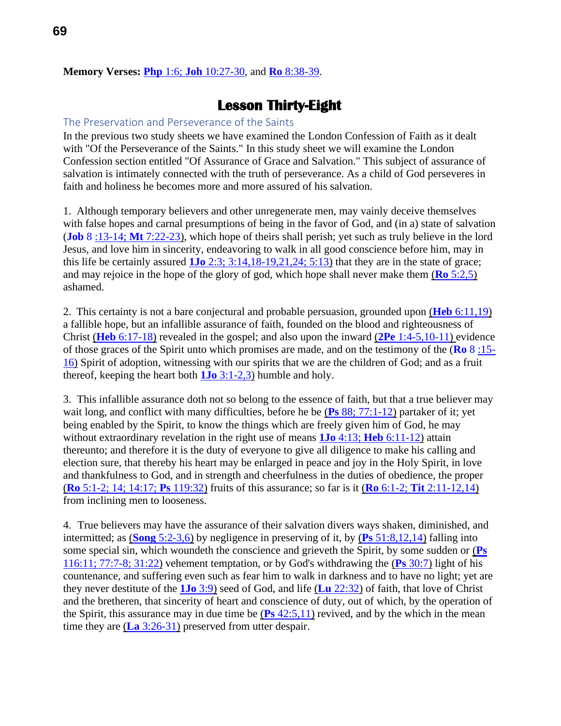# **Lesson Thirty-Eight**

### The Preservation and Perseverance of the Saints

In the previous two study sheets we have examined the London Confession of Faith as it dealt with "Of the Perseverance of the Saints." In this study sheet we will examine the London Confession section entitled "Of Assurance of Grace and Salvation." This subject of assurance of salvation is intimately connected with the truth of perseverance. As a child of God perseveres in faith and holiness he becomes more and more assured of his salvation.

1. Although temporary believers and other unregenerate men, may vainly deceive themselves with false hopes and carnal presumptions of being in the favor of God, and (in a) state of salvation (**Job** 8 :13-14; **Mt** 7:22-23), which hope of theirs shall perish; yet such as truly believe in the lord Jesus, and love him in sincerity, endeavoring to walk in all good conscience before him, may in this life be certainly assured **1Jo** 2:3; 3:14,18-19,21,24; 5:13) that they are in the state of grace; and may rejoice in the hope of the glory of god, which hope shall never make them (**Ro** 5:2,5) ashamed.

2. This certainty is not a bare conjectural and probable persuasion, grounded upon (**Heb** 6:11,19) a fallible hope, but an infallible assurance of faith, founded on the blood and righteousness of Christ (**Heb** 6:17-18) revealed in the gospel; and also upon the inward (**2Pe** 1:4-5,10-11) evidence of those graces of the Spirit unto which promises are made, and on the testimony of the (**Ro** 8 :15- 16) Spirit of adoption, witnessing with our spirits that we are the children of God; and as a fruit thereof, keeping the heart both **1Jo** 3:1-2,3) humble and holy.

3. This infallible assurance doth not so belong to the essence of faith, but that a true believer may wait long, and conflict with many difficulties, before he be (**Ps** 88; 77:1-12) partaker of it; yet being enabled by the Spirit, to know the things which are freely given him of God, he may without extraordinary revelation in the right use of means **1Jo** 4:13; **Heb** 6:11-12) attain thereunto; and therefore it is the duty of everyone to give all diligence to make his calling and election sure, that thereby his heart may be enlarged in peace and joy in the Holy Spirit, in love and thankfulness to God, and in strength and cheerfulness in the duties of obedience, the proper (**Ro** 5:1-2; 14; 14:17; **Ps** 119:32) fruits of this assurance; so far is it (**Ro** 6:1-2; **Tit** 2:11-12,14) from inclining men to looseness.

4. True believers may have the assurance of their salvation divers ways shaken, diminished, and intermitted; as (**Song** 5:2-3,6) by negligence in preserving of it, by (**Ps** 51:8,12,14) falling into some special sin, which woundeth the conscience and grieveth the Spirit, by some sudden or (**Ps**  116:11; 77:7-8; 31:22) vehement temptation, or by God's withdrawing the (**Ps** 30:7) light of his countenance, and suffering even such as fear him to walk in darkness and to have no light; yet are they never destitute of the **1Jo** 3:9) seed of God, and life (**Lu** 22:32) of faith, that love of Christ and the bretheren, that sincerity of heart and conscience of duty, out of which, by the operation of the Spirit, this assurance may in due time be (**Ps** 42:5,11) revived, and by the which in the mean time they are (**La** 3:26-31) preserved from utter despair.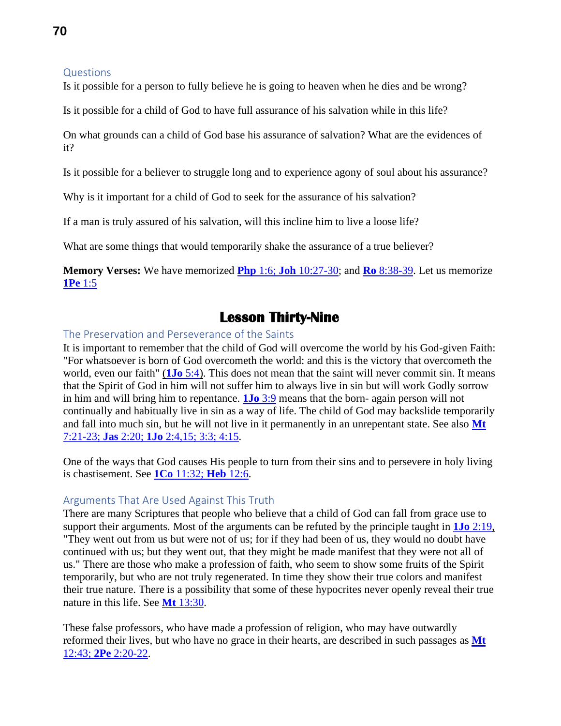### **Questions**

Is it possible for a person to fully believe he is going to heaven when he dies and be wrong?

Is it possible for a child of God to have full assurance of his salvation while in this life?

On what grounds can a child of God base his assurance of salvation? What are the evidences of it?

Is it possible for a believer to struggle long and to experience agony of soul about his assurance?

Why is it important for a child of God to seek for the assurance of his salvation?

If a man is truly assured of his salvation, will this incline him to live a loose life?

What are some things that would temporarily shake the assurance of a true believer?

**Memory Verses:** We have memorized **Php** 1:6; **Joh** 10:27-30; and **Ro** 8:38-39. Let us memorize **1Pe** 1:5

# **Lesson Thirty-Nine**

# The Preservation and Perseverance of the Saints

It is important to remember that the child of God will overcome the world by his God-given Faith: "For whatsoever is born of God overcometh the world: and this is the victory that overcometh the world, even our faith" (**1Jo** 5:4). This does not mean that the saint will never commit sin. It means that the Spirit of God in him will not suffer him to always live in sin but will work Godly sorrow in him and will bring him to repentance. **1Jo** 3:9 means that the born- again person will not continually and habitually live in sin as a way of life. The child of God may backslide temporarily and fall into much sin, but he will not live in it permanently in an unrepentant state. See also **Mt**  7:21-23; **Jas** 2:20; **1Jo** 2:4,15; 3:3; 4:15.

One of the ways that God causes His people to turn from their sins and to persevere in holy living is chastisement. See **1Co** 11:32; **Heb** 12:6.

# Arguments That Are Used Against This Truth

There are many Scriptures that people who believe that a child of God can fall from grace use to support their arguments. Most of the arguments can be refuted by the principle taught in **1Jo** 2:19, "They went out from us but were not of us; for if they had been of us, they would no doubt have continued with us; but they went out, that they might be made manifest that they were not all of us." There are those who make a profession of faith, who seem to show some fruits of the Spirit temporarily, but who are not truly regenerated. In time they show their true colors and manifest their true nature. There is a possibility that some of these hypocrites never openly reveal their true nature in this life. See **Mt** 13:30.

These false professors, who have made a profession of religion, who may have outwardly reformed their lives, but who have no grace in their hearts, are described in such passages as **Mt**  12:43; **2Pe** 2:20-22.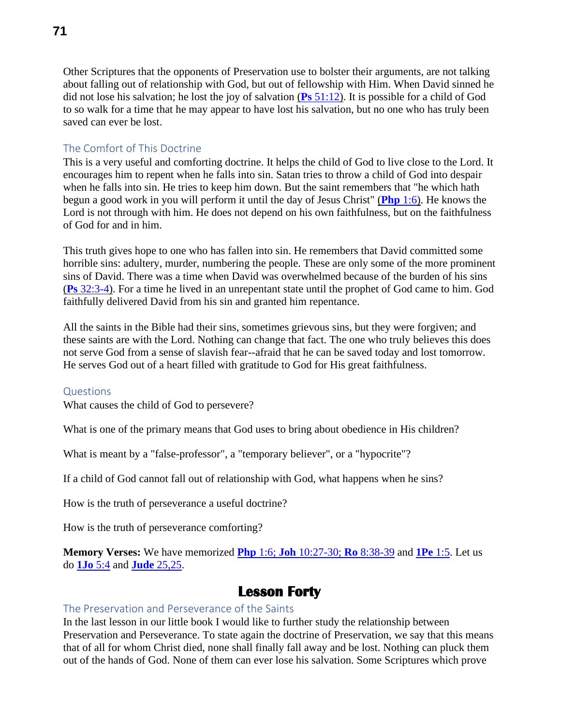Other Scriptures that the opponents of Preservation use to bolster their arguments, are not talking about falling out of relationship with God, but out of fellowship with Him. When David sinned he did not lose his salvation; he lost the joy of salvation (**Ps** 51:12). It is possible for a child of God to so walk for a time that he may appear to have lost his salvation, but no one who has truly been saved can ever be lost.

# The Comfort of This Doctrine

This is a very useful and comforting doctrine. It helps the child of God to live close to the Lord. It encourages him to repent when he falls into sin. Satan tries to throw a child of God into despair when he falls into sin. He tries to keep him down. But the saint remembers that "he which hath begun a good work in you will perform it until the day of Jesus Christ" (**Php** 1:6). He knows the Lord is not through with him. He does not depend on his own faithfulness, but on the faithfulness of God for and in him.

This truth gives hope to one who has fallen into sin. He remembers that David committed some horrible sins: adultery, murder, numbering the people. These are only some of the more prominent sins of David. There was a time when David was overwhelmed because of the burden of his sins (**Ps** 32:3-4). For a time he lived in an unrepentant state until the prophet of God came to him. God faithfully delivered David from his sin and granted him repentance.

All the saints in the Bible had their sins, sometimes grievous sins, but they were forgiven; and these saints are with the Lord. Nothing can change that fact. The one who truly believes this does not serve God from a sense of slavish fear--afraid that he can be saved today and lost tomorrow. He serves God out of a heart filled with gratitude to God for His great faithfulness.

### Questions

What causes the child of God to persevere?

What is one of the primary means that God uses to bring about obedience in His children?

What is meant by a "false-professor", a "temporary believer", or a "hypocrite"?

If a child of God cannot fall out of relationship with God, what happens when he sins?

How is the truth of perseverance a useful doctrine?

How is the truth of perseverance comforting?

**Memory Verses:** We have memorized **Php** 1:6; **Joh** 10:27-30; **Ro** 8:38-39 and **1Pe** 1:5. Let us do **1Jo** 5:4 and **Jude** 25,25.

# **Lesson Forty**

# The Preservation and Perseverance of the Saints

In the last lesson in our little book I would like to further study the relationship between Preservation and Perseverance. To state again the doctrine of Preservation, we say that this means that of all for whom Christ died, none shall finally fall away and be lost. Nothing can pluck them out of the hands of God. None of them can ever lose his salvation. Some Scriptures which prove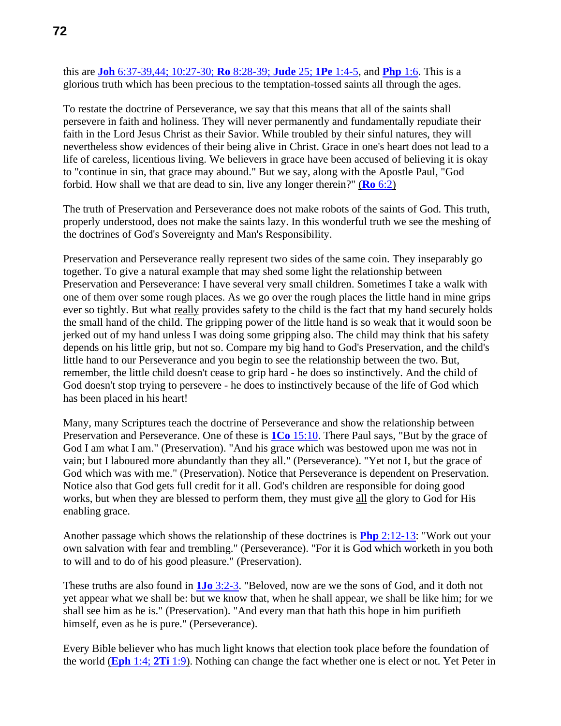this are **Joh** 6:37-39,44; 10:27-30; **Ro** 8:28-39; **Jude** 25; **1Pe** 1:4-5, and **Php** 1:6. This is a glorious truth which has been precious to the temptation-tossed saints all through the ages.

To restate the doctrine of Perseverance, we say that this means that all of the saints shall persevere in faith and holiness. They will never permanently and fundamentally repudiate their faith in the Lord Jesus Christ as their Savior. While troubled by their sinful natures, they will nevertheless show evidences of their being alive in Christ. Grace in one's heart does not lead to a life of careless, licentious living. We believers in grace have been accused of believing it is okay to "continue in sin, that grace may abound." But we say, along with the Apostle Paul, "God forbid. How shall we that are dead to sin, live any longer therein?" (**Ro** 6:2)

The truth of Preservation and Perseverance does not make robots of the saints of God. This truth, properly understood, does not make the saints lazy. In this wonderful truth we see the meshing of the doctrines of God's Sovereignty and Man's Responsibility.

Preservation and Perseverance really represent two sides of the same coin. They inseparably go together. To give a natural example that may shed some light the relationship between Preservation and Perseverance: I have several very small children. Sometimes I take a walk with one of them over some rough places. As we go over the rough places the little hand in mine grips ever so tightly. But what really provides safety to the child is the fact that my hand securely holds the small hand of the child. The gripping power of the little hand is so weak that it would soon be jerked out of my hand unless I was doing some gripping also. The child may think that his safety depends on his little grip, but not so. Compare my big hand to God's Preservation, and the child's little hand to our Perseverance and you begin to see the relationship between the two. But, remember, the little child doesn't cease to grip hard - he does so instinctively. And the child of God doesn't stop trying to persevere - he does to instinctively because of the life of God which has been placed in his heart!

Many, many Scriptures teach the doctrine of Perseverance and show the relationship between Preservation and Perseverance. One of these is **1Co** 15:10. There Paul says, "But by the grace of God I am what I am." (Preservation). "And his grace which was bestowed upon me was not in vain; but I laboured more abundantly than they all." (Perseverance). "Yet not I, but the grace of God which was with me." (Preservation). Notice that Perseverance is dependent on Preservation. Notice also that God gets full credit for it all. God's children are responsible for doing good works, but when they are blessed to perform them, they must give all the glory to God for His enabling grace.

Another passage which shows the relationship of these doctrines is **Php** 2:12-13: "Work out your own salvation with fear and trembling." (Perseverance). "For it is God which worketh in you both to will and to do of his good pleasure." (Preservation).

These truths are also found in **1Jo** 3:2-3. "Beloved, now are we the sons of God, and it doth not yet appear what we shall be: but we know that, when he shall appear, we shall be like him; for we shall see him as he is." (Preservation). "And every man that hath this hope in him purifieth himself, even as he is pure." (Perseverance).

Every Bible believer who has much light knows that election took place before the foundation of the world (**Eph** 1:4; **2Ti** 1:9). Nothing can change the fact whether one is elect or not. Yet Peter in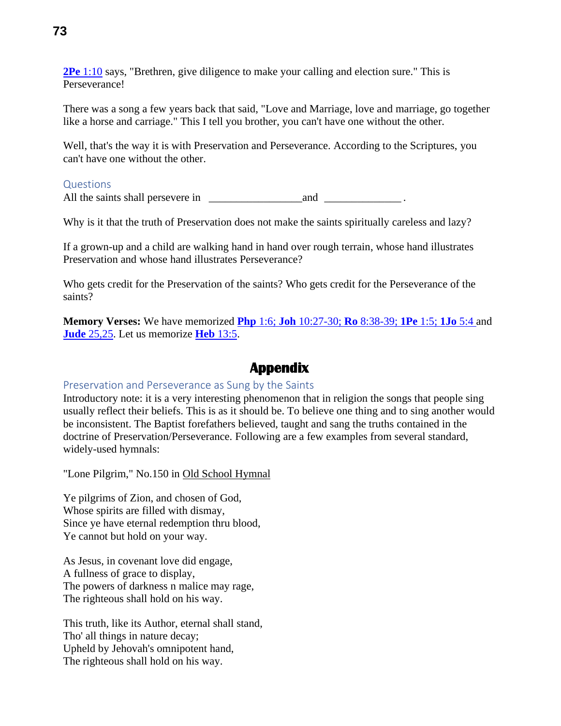**2Pe** 1:10 says, "Brethren, give diligence to make your calling and election sure." This is Perseverance!

There was a song a few years back that said, "Love and Marriage, love and marriage, go together like a horse and carriage." This I tell you brother, you can't have one without the other.

Well, that's the way it is with Preservation and Perseverance. According to the Scriptures, you can't have one without the other.

## **Questions**

All the saints shall persevere in  $\Box$  and  $\Box$ 

Why is it that the truth of Preservation does not make the saints spiritually careless and lazy?

If a grown-up and a child are walking hand in hand over rough terrain, whose hand illustrates Preservation and whose hand illustrates Perseverance?

Who gets credit for the Preservation of the saints? Who gets credit for the Perseverance of the saints?

**Memory Verses:** We have memorized **Php** 1:6; **Joh** 10:27-30; **Ro** 8:38-39; **1Pe** 1:5; **1Jo** 5:4 and **Jude** 25,25. Let us memorize **Heb** 13:5.

## **Appendix**

## Preservation and Perseverance as Sung by the Saints

Introductory note: it is a very interesting phenomenon that in religion the songs that people sing usually reflect their beliefs. This is as it should be. To believe one thing and to sing another would be inconsistent. The Baptist forefathers believed, taught and sang the truths contained in the doctrine of Preservation/Perseverance. Following are a few examples from several standard, widely-used hymnals:

"Lone Pilgrim," No.150 in Old School Hymnal

Ye pilgrims of Zion, and chosen of God, Whose spirits are filled with dismay, Since ye have eternal redemption thru blood, Ye cannot but hold on your way.

As Jesus, in covenant love did engage, A fullness of grace to display, The powers of darkness n malice may rage, The righteous shall hold on his way.

This truth, like its Author, eternal shall stand, Tho' all things in nature decay; Upheld by Jehovah's omnipotent hand, The righteous shall hold on his way.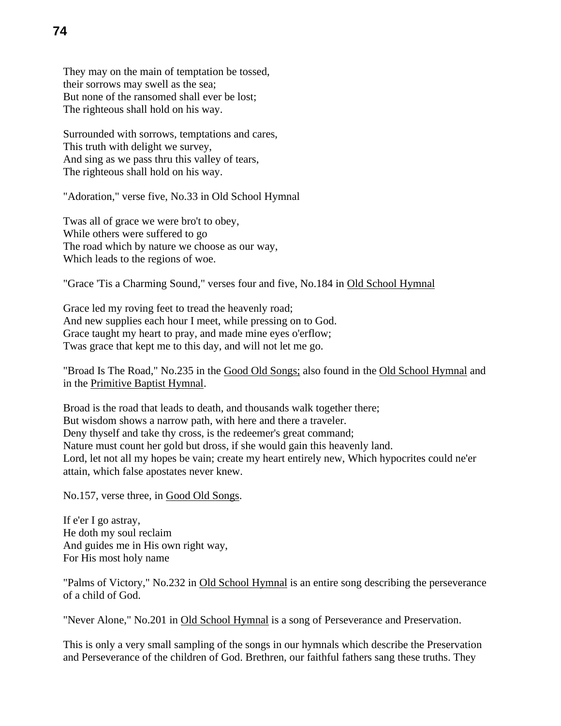They may on the main of temptation be tossed, their sorrows may swell as the sea; But none of the ransomed shall ever be lost; The righteous shall hold on his way.

Surrounded with sorrows, temptations and cares, This truth with delight we survey, And sing as we pass thru this valley of tears, The righteous shall hold on his way.

"Adoration," verse five, No.33 in Old School Hymnal

Twas all of grace we were bro't to obey, While others were suffered to go The road which by nature we choose as our way, Which leads to the regions of woe.

"Grace 'Tis a Charming Sound," verses four and five, No.184 in Old School Hymnal

Grace led my roving feet to tread the heavenly road; And new supplies each hour I meet, while pressing on to God. Grace taught my heart to pray, and made mine eyes o'erflow; Twas grace that kept me to this day, and will not let me go.

"Broad Is The Road," No.235 in the Good Old Songs; also found in the Old School Hymnal and in the Primitive Baptist Hymnal.

Broad is the road that leads to death, and thousands walk together there; But wisdom shows a narrow path, with here and there a traveler. Deny thyself and take thy cross, is the redeemer's great command; Nature must count her gold but dross, if she would gain this heavenly land. Lord, let not all my hopes be vain; create my heart entirely new, Which hypocrites could ne'er attain, which false apostates never knew.

No.157, verse three, in Good Old Songs.

If e'er I go astray, He doth my soul reclaim And guides me in His own right way, For His most holy name

"Palms of Victory," No.232 in Old School Hymnal is an entire song describing the perseverance of a child of God.

"Never Alone," No.201 in Old School Hymnal is a song of Perseverance and Preservation.

This is only a very small sampling of the songs in our hymnals which describe the Preservation and Perseverance of the children of God. Brethren, our faithful fathers sang these truths. They